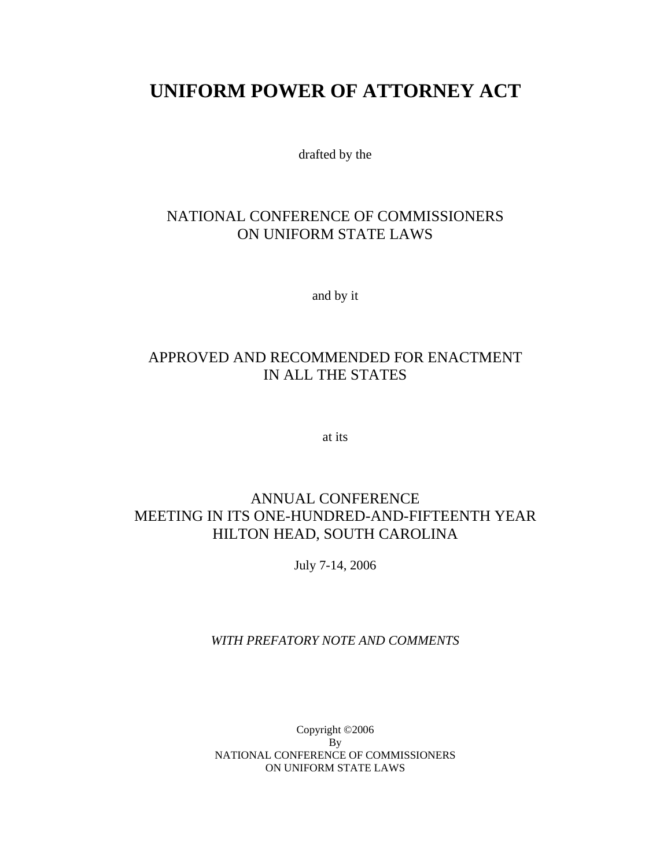# **UNIFORM POWER OF ATTORNEY ACT**

drafted by the

# NATIONAL CONFERENCE OF COMMISSIONERS ON UNIFORM STATE LAWS

and by it

# APPROVED AND RECOMMENDED FOR ENACTMENT IN ALL THE STATES

at its

# ANNUAL CONFERENCE MEETING IN ITS ONE-HUNDRED-AND-FIFTEENTH YEAR HILTON HEAD, SOUTH CAROLINA

July 7-14, 2006

# *WITH PREFATORY NOTE AND COMMENTS*

Copyright ©2006 By NATIONAL CONFERENCE OF COMMISSIONERS ON UNIFORM STATE LAWS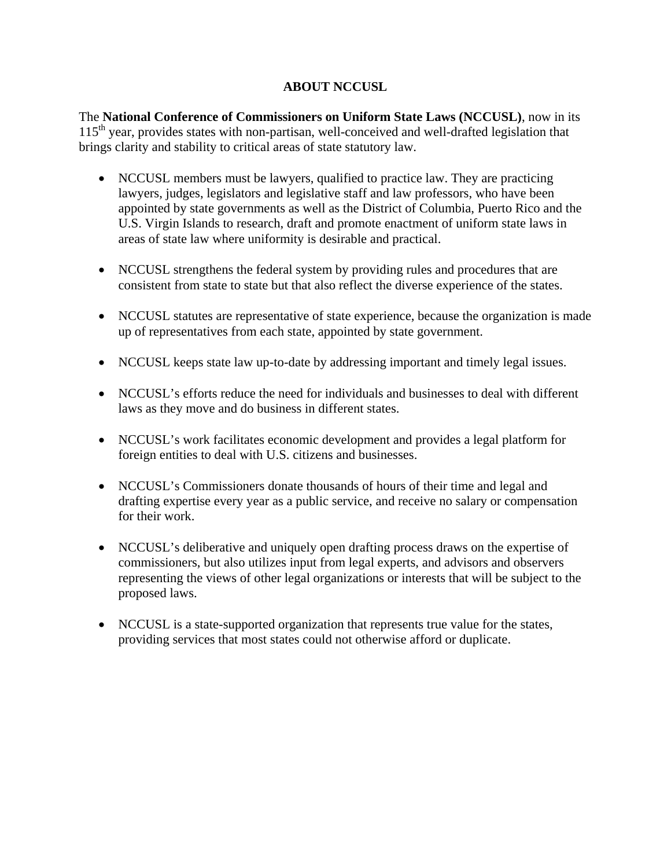# **ABOUT NCCUSL**

The **National Conference of Commissioners on Uniform State Laws (NCCUSL)**, now in its  $115<sup>th</sup>$  year, provides states with non-partisan, well-conceived and well-drafted legislation that brings clarity and stability to critical areas of state statutory law.

- NCCUSL members must be lawyers, qualified to practice law. They are practicing lawyers, judges, legislators and legislative staff and law professors, who have been appointed by state governments as well as the District of Columbia, Puerto Rico and the U.S. Virgin Islands to research, draft and promote enactment of uniform state laws in areas of state law where uniformity is desirable and practical.
- NCCUSL strengthens the federal system by providing rules and procedures that are consistent from state to state but that also reflect the diverse experience of the states.
- NCCUSL statutes are representative of state experience, because the organization is made up of representatives from each state, appointed by state government.
- NCCUSL keeps state law up-to-date by addressing important and timely legal issues.
- NCCUSL's efforts reduce the need for individuals and businesses to deal with different laws as they move and do business in different states.
- NCCUSL's work facilitates economic development and provides a legal platform for foreign entities to deal with U.S. citizens and businesses.
- NCCUSL's Commissioners donate thousands of hours of their time and legal and drafting expertise every year as a public service, and receive no salary or compensation for their work.
- NCCUSL's deliberative and uniquely open drafting process draws on the expertise of commissioners, but also utilizes input from legal experts, and advisors and observers representing the views of other legal organizations or interests that will be subject to the proposed laws.
- NCCUSL is a state-supported organization that represents true value for the states, providing services that most states could not otherwise afford or duplicate.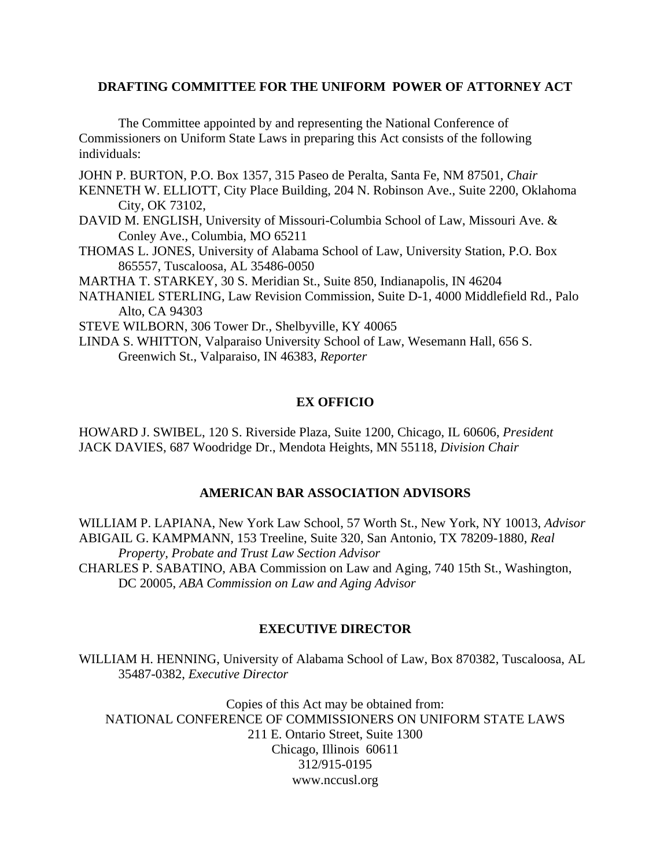# **DRAFTING COMMITTEE FOR THE UNIFORM POWER OF ATTORNEY ACT**

The Committee appointed by and representing the National Conference of Commissioners on Uniform State Laws in preparing this Act consists of the following individuals:

JOHN P. BURTON, P.O. Box 1357, 315 Paseo de Peralta, Santa Fe, NM 87501, *Chair*  KENNETH W. ELLIOTT, City Place Building, 204 N. Robinson Ave., Suite 2200, Oklahoma City, OK 73102,

- DAVID M. ENGLISH, University of Missouri-Columbia School of Law, Missouri Ave. & Conley Ave., Columbia, MO 65211
- THOMAS L. JONES, University of Alabama School of Law, University Station, P.O. Box 865557, Tuscaloosa, AL 35486-0050
- MARTHA T. STARKEY, 30 S. Meridian St., Suite 850, Indianapolis, IN 46204
- NATHANIEL STERLING, Law Revision Commission, Suite D-1, 4000 Middlefield Rd., Palo Alto, CA 94303

STEVE WILBORN, 306 Tower Dr., Shelbyville, KY 40065

LINDA S. WHITTON, Valparaiso University School of Law, Wesemann Hall, 656 S. Greenwich St., Valparaiso, IN 46383, *Reporter*

# **EX OFFICIO**

HOWARD J. SWIBEL, 120 S. Riverside Plaza, Suite 1200, Chicago, IL 60606, *President* JACK DAVIES, 687 Woodridge Dr., Mendota Heights, MN 55118, *Division Chair* 

# **AMERICAN BAR ASSOCIATION ADVISORS**

WILLIAM P. LAPIANA, New York Law School, 57 Worth St., New York, NY 10013, *Advisor* ABIGAIL G. KAMPMANN, 153 Treeline, Suite 320, San Antonio, TX 78209-1880, *Real Property, Probate and Trust Law Section Advisor* 

CHARLES P. SABATINO, ABA Commission on Law and Aging, 740 15th St., Washington, DC 20005, *ABA Commission on Law and Aging Advisor* 

# **EXECUTIVE DIRECTOR**

WILLIAM H. HENNING, University of Alabama School of Law, Box 870382, Tuscaloosa, AL 35487-0382, *Executive Director* 

Copies of this Act may be obtained from: NATIONAL CONFERENCE OF COMMISSIONERS ON UNIFORM STATE LAWS 211 E. Ontario Street, Suite 1300 Chicago, Illinois 60611 312/915-0195 www.nccusl.org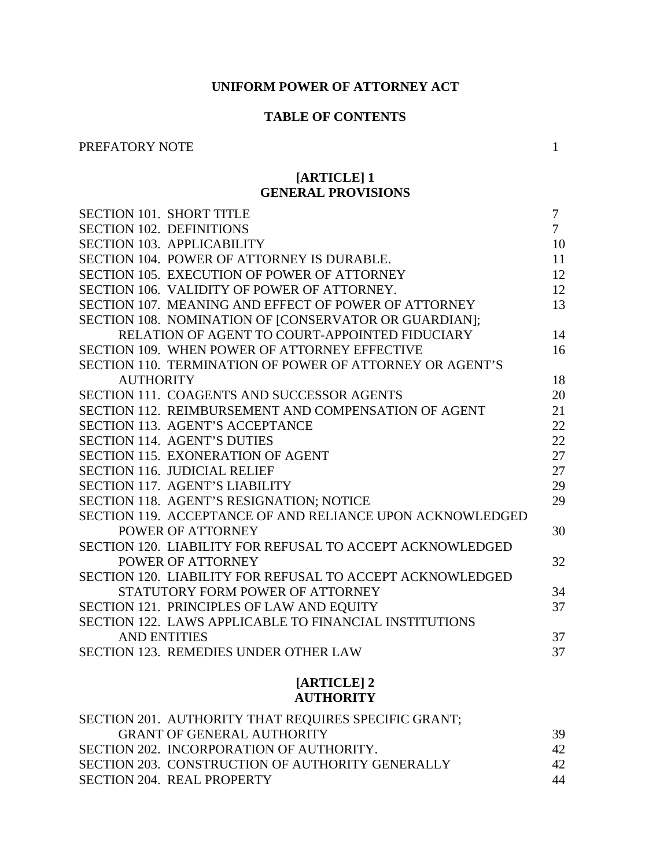# **UNIFORM POWER OF ATTORNEY ACT**

# **TABLE OF CONTENTS**

# PREFATORY NOTE 1

# **[ARTICLE] 1 GENERAL PROVISIONS**

| <b>SECTION 101. SHORT TITLE</b>                           | 7              |  |
|-----------------------------------------------------------|----------------|--|
| <b>SECTION 102. DEFINITIONS</b>                           | $\overline{7}$ |  |
| SECTION 103. APPLICABILITY                                | 10             |  |
| SECTION 104. POWER OF ATTORNEY IS DURABLE.                | 11             |  |
| SECTION 105. EXECUTION OF POWER OF ATTORNEY               | 12             |  |
| SECTION 106. VALIDITY OF POWER OF ATTORNEY.               | 12             |  |
| SECTION 107. MEANING AND EFFECT OF POWER OF ATTORNEY      | 13             |  |
| SECTION 108. NOMINATION OF [CONSERVATOR OR GUARDIAN];     |                |  |
| RELATION OF AGENT TO COURT-APPOINTED FIDUCIARY            | 14             |  |
| SECTION 109. WHEN POWER OF ATTORNEY EFFECTIVE             | 16             |  |
| SECTION 110. TERMINATION OF POWER OF ATTORNEY OR AGENT'S  |                |  |
| <b>AUTHORITY</b>                                          | 18             |  |
| <b>SECTION 111. COAGENTS AND SUCCESSOR AGENTS</b>         | 20             |  |
| SECTION 112. REIMBURSEMENT AND COMPENSATION OF AGENT      | 21             |  |
| <b>SECTION 113. AGENT'S ACCEPTANCE</b>                    | 22             |  |
| <b>SECTION 114. AGENT'S DUTIES</b>                        | 22             |  |
| <b>SECTION 115. EXONERATION OF AGENT</b>                  | 27             |  |
| <b>SECTION 116. JUDICIAL RELIEF</b>                       | 27             |  |
| <b>SECTION 117. AGENT'S LIABILITY</b>                     | 29             |  |
| SECTION 118. AGENT'S RESIGNATION; NOTICE                  | 29             |  |
| SECTION 119. ACCEPTANCE OF AND RELIANCE UPON ACKNOWLEDGED |                |  |
| POWER OF ATTORNEY                                         | 30             |  |
| SECTION 120. LIABILITY FOR REFUSAL TO ACCEPT ACKNOWLEDGED |                |  |
| POWER OF ATTORNEY                                         | 32             |  |
| SECTION 120. LIABILITY FOR REFUSAL TO ACCEPT ACKNOWLEDGED |                |  |
| STATUTORY FORM POWER OF ATTORNEY                          | 34             |  |
| SECTION 121. PRINCIPLES OF LAW AND EQUITY                 | 37             |  |
| SECTION 122. LAWS APPLICABLE TO FINANCIAL INSTITUTIONS    |                |  |
| <b>AND ENTITIES</b>                                       | 37             |  |
| <b>SECTION 123. REMEDIES UNDER OTHER LAW</b>              | 37             |  |
| [ARTICLE] 2                                               |                |  |

# **AUTHORITY**

| SECTION 201. AUTHORITY THAT REQUIRES SPECIFIC GRANT; |     |
|------------------------------------------------------|-----|
| <b>GRANT OF GENERAL AUTHORITY</b>                    | 39. |
| SECTION 202. INCORPORATION OF AUTHORITY.             | 42. |
| SECTION 203. CONSTRUCTION OF AUTHORITY GENERALLY     | 42. |
| SECTION 204. REAL PROPERTY                           | 44  |
|                                                      |     |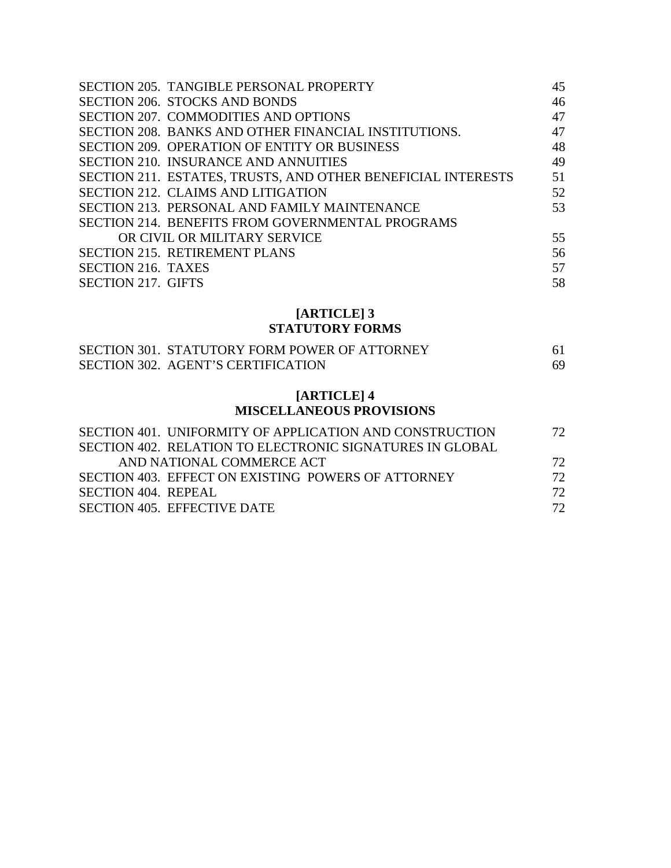| SECTION 205. TANGIBLE PERSONAL PROPERTY                      | 45 |
|--------------------------------------------------------------|----|
| <b>SECTION 206. STOCKS AND BONDS</b>                         | 46 |
| SECTION 207. COMMODITIES AND OPTIONS                         | 47 |
| SECTION 208. BANKS AND OTHER FINANCIAL INSTITUTIONS.         | 47 |
| <b>SECTION 209. OPERATION OF ENTITY OR BUSINESS</b>          | 48 |
| <b>SECTION 210. INSURANCE AND ANNUITIES</b>                  | 49 |
| SECTION 211. ESTATES, TRUSTS, AND OTHER BENEFICIAL INTERESTS | 51 |
| SECTION 212. CLAIMS AND LITIGATION                           | 52 |
| SECTION 213. PERSONAL AND FAMILY MAINTENANCE                 | 53 |
| <b>SECTION 214. BENEFITS FROM GOVERNMENTAL PROGRAMS</b>      |    |
| OR CIVIL OR MILITARY SERVICE                                 | 55 |
| <b>SECTION 215. RETIREMENT PLANS</b>                         | 56 |
| <b>SECTION 216. TAXES</b>                                    | 57 |
| SECTION 217. GIFTS                                           | 58 |

# **[ARTICLE] 3 STATUTORY FORMS**

| SECTION 301. STATUTORY FORM POWER OF ATTORNEY |     |
|-----------------------------------------------|-----|
| SECTION 302. AGENT'S CERTIFICATION            | -69 |

# **[ARTICLE] 4 MISCELLANEOUS PROVISIONS**

| SECTION 401. UNIFORMITY OF APPLICATION AND CONSTRUCTION  | 72. |
|----------------------------------------------------------|-----|
| SECTION 402. RELATION TO ELECTRONIC SIGNATURES IN GLOBAL |     |
| AND NATIONAL COMMERCE ACT                                | 72. |
| SECTION 403. EFFECT ON EXISTING POWERS OF ATTORNEY       | 72. |
| SECTION 404. REPEAL                                      | 72. |
| SECTION 405. EFFECTIVE DATE                              | 72. |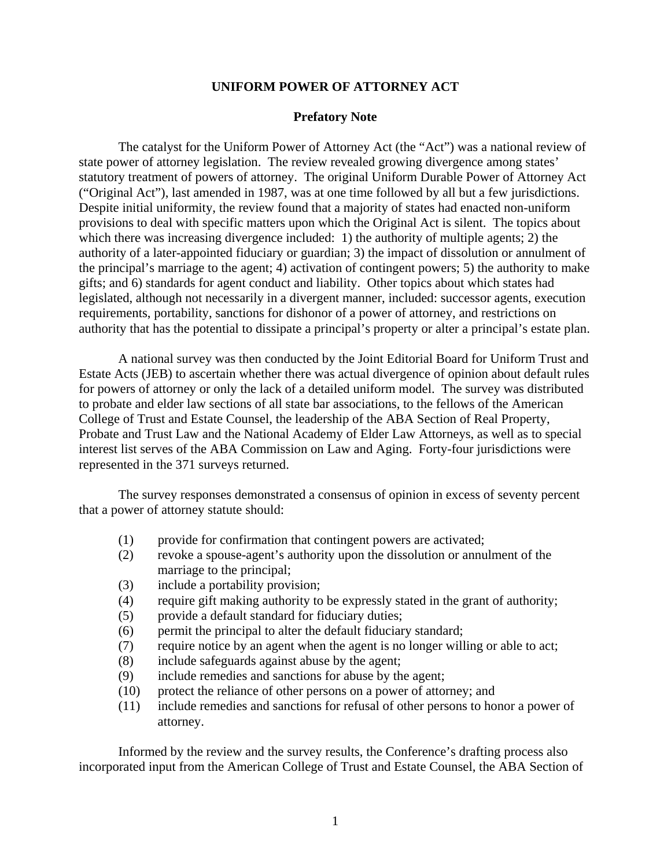## **UNIFORM POWER OF ATTORNEY ACT**

## **Prefatory Note**

 The catalyst for the Uniform Power of Attorney Act (the "Act") was a national review of state power of attorney legislation. The review revealed growing divergence among states' statutory treatment of powers of attorney. The original Uniform Durable Power of Attorney Act ("Original Act"), last amended in 1987, was at one time followed by all but a few jurisdictions. Despite initial uniformity, the review found that a majority of states had enacted non-uniform provisions to deal with specific matters upon which the Original Act is silent. The topics about which there was increasing divergence included: 1) the authority of multiple agents; 2) the authority of a later-appointed fiduciary or guardian; 3) the impact of dissolution or annulment of the principal's marriage to the agent; 4) activation of contingent powers; 5) the authority to make gifts; and 6) standards for agent conduct and liability. Other topics about which states had legislated, although not necessarily in a divergent manner, included: successor agents, execution requirements, portability, sanctions for dishonor of a power of attorney, and restrictions on authority that has the potential to dissipate a principal's property or alter a principal's estate plan.

 A national survey was then conducted by the Joint Editorial Board for Uniform Trust and Estate Acts (JEB) to ascertain whether there was actual divergence of opinion about default rules for powers of attorney or only the lack of a detailed uniform model. The survey was distributed to probate and elder law sections of all state bar associations, to the fellows of the American College of Trust and Estate Counsel, the leadership of the ABA Section of Real Property, Probate and Trust Law and the National Academy of Elder Law Attorneys, as well as to special interest list serves of the ABA Commission on Law and Aging. Forty-four jurisdictions were represented in the 371 surveys returned.

 The survey responses demonstrated a consensus of opinion in excess of seventy percent that a power of attorney statute should:

- (1) provide for confirmation that contingent powers are activated;
- (2) revoke a spouse-agent's authority upon the dissolution or annulment of the marriage to the principal;
- (3) include a portability provision;
- (4) require gift making authority to be expressly stated in the grant of authority;
- (5) provide a default standard for fiduciary duties;
- (6) permit the principal to alter the default fiduciary standard;
- (7) require notice by an agent when the agent is no longer willing or able to act;
- (8) include safeguards against abuse by the agent;
- (9) include remedies and sanctions for abuse by the agent;
- (10) protect the reliance of other persons on a power of attorney; and
- (11) include remedies and sanctions for refusal of other persons to honor a power of attorney.

 Informed by the review and the survey results, the Conference's drafting process also incorporated input from the American College of Trust and Estate Counsel, the ABA Section of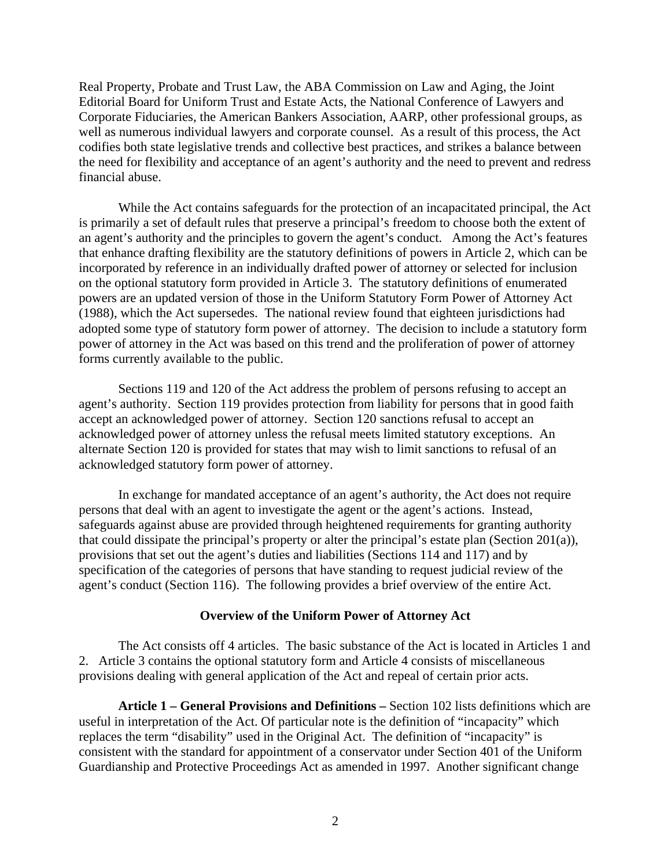Real Property, Probate and Trust Law, the ABA Commission on Law and Aging, the Joint Editorial Board for Uniform Trust and Estate Acts, the National Conference of Lawyers and Corporate Fiduciaries, the American Bankers Association, AARP, other professional groups, as well as numerous individual lawyers and corporate counsel. As a result of this process, the Act codifies both state legislative trends and collective best practices, and strikes a balance between the need for flexibility and acceptance of an agent's authority and the need to prevent and redress financial abuse.

 While the Act contains safeguards for the protection of an incapacitated principal, the Act is primarily a set of default rules that preserve a principal's freedom to choose both the extent of an agent's authority and the principles to govern the agent's conduct. Among the Act's features that enhance drafting flexibility are the statutory definitions of powers in Article 2, which can be incorporated by reference in an individually drafted power of attorney or selected for inclusion on the optional statutory form provided in Article 3. The statutory definitions of enumerated powers are an updated version of those in the Uniform Statutory Form Power of Attorney Act (1988), which the Act supersedes. The national review found that eighteen jurisdictions had adopted some type of statutory form power of attorney. The decision to include a statutory form power of attorney in the Act was based on this trend and the proliferation of power of attorney forms currently available to the public.

 Sections 119 and 120 of the Act address the problem of persons refusing to accept an agent's authority. Section 119 provides protection from liability for persons that in good faith accept an acknowledged power of attorney. Section 120 sanctions refusal to accept an acknowledged power of attorney unless the refusal meets limited statutory exceptions. An alternate Section 120 is provided for states that may wish to limit sanctions to refusal of an acknowledged statutory form power of attorney.

 In exchange for mandated acceptance of an agent's authority, the Act does not require persons that deal with an agent to investigate the agent or the agent's actions. Instead, safeguards against abuse are provided through heightened requirements for granting authority that could dissipate the principal's property or alter the principal's estate plan (Section 201(a)), provisions that set out the agent's duties and liabilities (Sections 114 and 117) and by specification of the categories of persons that have standing to request judicial review of the agent's conduct (Section 116). The following provides a brief overview of the entire Act.

#### **Overview of the Uniform Power of Attorney Act**

 The Act consists off 4 articles. The basic substance of the Act is located in Articles 1 and 2. Article 3 contains the optional statutory form and Article 4 consists of miscellaneous provisions dealing with general application of the Act and repeal of certain prior acts.

**Article 1 – General Provisions and Definitions –** Section 102 lists definitions which are useful in interpretation of the Act. Of particular note is the definition of "incapacity" which replaces the term "disability" used in the Original Act. The definition of "incapacity" is consistent with the standard for appointment of a conservator under Section 401 of the Uniform Guardianship and Protective Proceedings Act as amended in 1997. Another significant change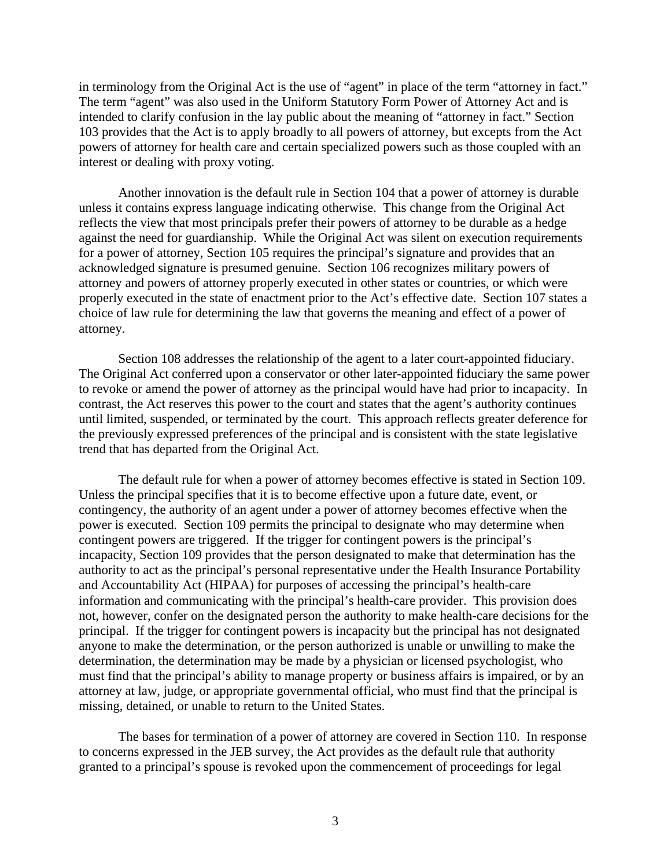in terminology from the Original Act is the use of "agent" in place of the term "attorney in fact." The term "agent" was also used in the Uniform Statutory Form Power of Attorney Act and is intended to clarify confusion in the lay public about the meaning of "attorney in fact." Section 103 provides that the Act is to apply broadly to all powers of attorney, but excepts from the Act powers of attorney for health care and certain specialized powers such as those coupled with an interest or dealing with proxy voting.

 Another innovation is the default rule in Section 104 that a power of attorney is durable unless it contains express language indicating otherwise. This change from the Original Act reflects the view that most principals prefer their powers of attorney to be durable as a hedge against the need for guardianship. While the Original Act was silent on execution requirements for a power of attorney, Section 105 requires the principal's signature and provides that an acknowledged signature is presumed genuine. Section 106 recognizes military powers of attorney and powers of attorney properly executed in other states or countries, or which were properly executed in the state of enactment prior to the Act's effective date. Section 107 states a choice of law rule for determining the law that governs the meaning and effect of a power of attorney.

 Section 108 addresses the relationship of the agent to a later court-appointed fiduciary. The Original Act conferred upon a conservator or other later-appointed fiduciary the same power to revoke or amend the power of attorney as the principal would have had prior to incapacity. In contrast, the Act reserves this power to the court and states that the agent's authority continues until limited, suspended, or terminated by the court. This approach reflects greater deference for the previously expressed preferences of the principal and is consistent with the state legislative trend that has departed from the Original Act.

 The default rule for when a power of attorney becomes effective is stated in Section 109. Unless the principal specifies that it is to become effective upon a future date, event, or contingency, the authority of an agent under a power of attorney becomes effective when the power is executed. Section 109 permits the principal to designate who may determine when contingent powers are triggered. If the trigger for contingent powers is the principal's incapacity, Section 109 provides that the person designated to make that determination has the authority to act as the principal's personal representative under the Health Insurance Portability and Accountability Act (HIPAA) for purposes of accessing the principal's health-care information and communicating with the principal's health-care provider. This provision does not, however, confer on the designated person the authority to make health-care decisions for the principal. If the trigger for contingent powers is incapacity but the principal has not designated anyone to make the determination, or the person authorized is unable or unwilling to make the determination, the determination may be made by a physician or licensed psychologist, who must find that the principal's ability to manage property or business affairs is impaired, or by an attorney at law, judge, or appropriate governmental official, who must find that the principal is missing, detained, or unable to return to the United States.

 The bases for termination of a power of attorney are covered in Section 110. In response to concerns expressed in the JEB survey, the Act provides as the default rule that authority granted to a principal's spouse is revoked upon the commencement of proceedings for legal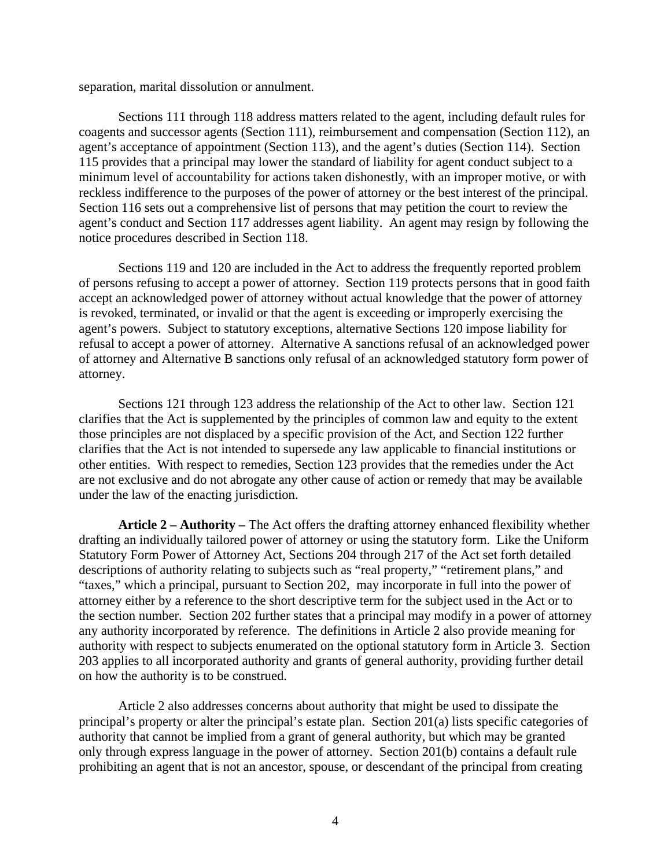separation, marital dissolution or annulment.

 Sections 111 through 118 address matters related to the agent, including default rules for coagents and successor agents (Section 111), reimbursement and compensation (Section 112), an agent's acceptance of appointment (Section 113), and the agent's duties (Section 114). Section 115 provides that a principal may lower the standard of liability for agent conduct subject to a minimum level of accountability for actions taken dishonestly, with an improper motive, or with reckless indifference to the purposes of the power of attorney or the best interest of the principal. Section 116 sets out a comprehensive list of persons that may petition the court to review the agent's conduct and Section 117 addresses agent liability. An agent may resign by following the notice procedures described in Section 118.

 Sections 119 and 120 are included in the Act to address the frequently reported problem of persons refusing to accept a power of attorney. Section 119 protects persons that in good faith accept an acknowledged power of attorney without actual knowledge that the power of attorney is revoked, terminated, or invalid or that the agent is exceeding or improperly exercising the agent's powers. Subject to statutory exceptions, alternative Sections 120 impose liability for refusal to accept a power of attorney. Alternative A sanctions refusal of an acknowledged power of attorney and Alternative B sanctions only refusal of an acknowledged statutory form power of attorney.

 Sections 121 through 123 address the relationship of the Act to other law. Section 121 clarifies that the Act is supplemented by the principles of common law and equity to the extent those principles are not displaced by a specific provision of the Act, and Section 122 further clarifies that the Act is not intended to supersede any law applicable to financial institutions or other entities. With respect to remedies, Section 123 provides that the remedies under the Act are not exclusive and do not abrogate any other cause of action or remedy that may be available under the law of the enacting jurisdiction.

**Article 2 – Authority –** The Act offers the drafting attorney enhanced flexibility whether drafting an individually tailored power of attorney or using the statutory form. Like the Uniform Statutory Form Power of Attorney Act, Sections 204 through 217 of the Act set forth detailed descriptions of authority relating to subjects such as "real property," "retirement plans," and "taxes," which a principal, pursuant to Section 202, may incorporate in full into the power of attorney either by a reference to the short descriptive term for the subject used in the Act or to the section number. Section 202 further states that a principal may modify in a power of attorney any authority incorporated by reference. The definitions in Article 2 also provide meaning for authority with respect to subjects enumerated on the optional statutory form in Article 3. Section 203 applies to all incorporated authority and grants of general authority, providing further detail on how the authority is to be construed.

 Article 2 also addresses concerns about authority that might be used to dissipate the principal's property or alter the principal's estate plan. Section 201(a) lists specific categories of authority that cannot be implied from a grant of general authority, but which may be granted only through express language in the power of attorney. Section 201(b) contains a default rule prohibiting an agent that is not an ancestor, spouse, or descendant of the principal from creating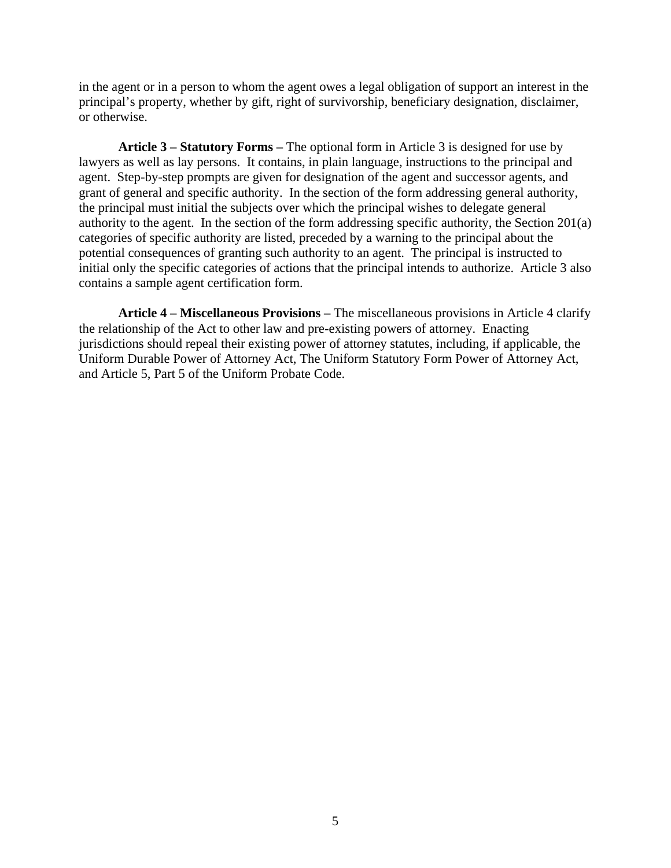in the agent or in a person to whom the agent owes a legal obligation of support an interest in the principal's property, whether by gift, right of survivorship, beneficiary designation, disclaimer, or otherwise.

**Article 3 – Statutory Forms –** The optional form in Article 3 is designed for use by lawyers as well as lay persons. It contains, in plain language, instructions to the principal and agent. Step-by-step prompts are given for designation of the agent and successor agents, and grant of general and specific authority. In the section of the form addressing general authority, the principal must initial the subjects over which the principal wishes to delegate general authority to the agent. In the section of the form addressing specific authority, the Section 201(a) categories of specific authority are listed, preceded by a warning to the principal about the potential consequences of granting such authority to an agent. The principal is instructed to initial only the specific categories of actions that the principal intends to authorize. Article 3 also contains a sample agent certification form.

**Article 4 – Miscellaneous Provisions –** The miscellaneous provisions in Article 4 clarify the relationship of the Act to other law and pre-existing powers of attorney. Enacting jurisdictions should repeal their existing power of attorney statutes, including, if applicable, the Uniform Durable Power of Attorney Act, The Uniform Statutory Form Power of Attorney Act, and Article 5, Part 5 of the Uniform Probate Code.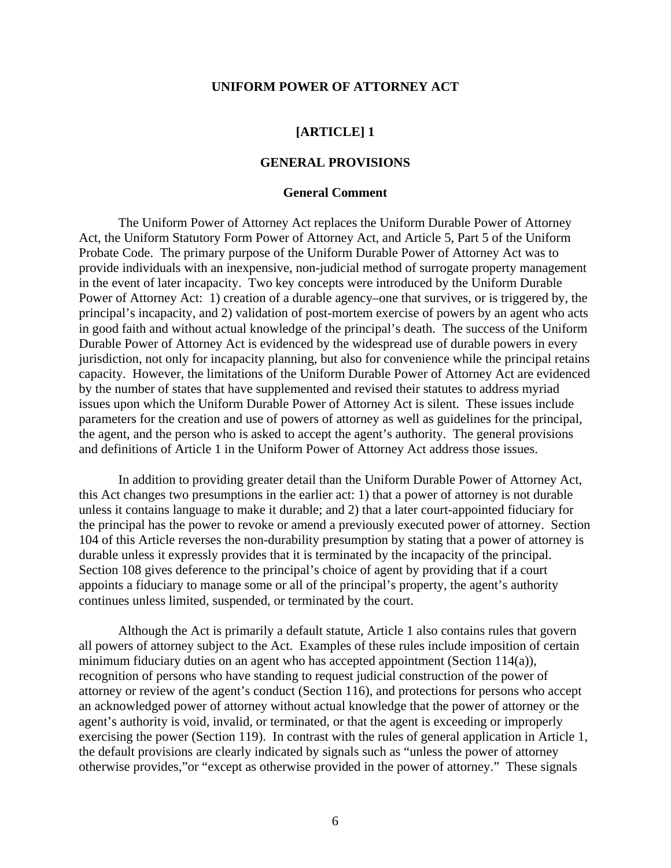#### **UNIFORM POWER OF ATTORNEY ACT**

# **[ARTICLE] 1**

# **GENERAL PROVISIONS**

# **General Comment**

The Uniform Power of Attorney Act replaces the Uniform Durable Power of Attorney Act, the Uniform Statutory Form Power of Attorney Act, and Article 5, Part 5 of the Uniform Probate Code. The primary purpose of the Uniform Durable Power of Attorney Act was to provide individuals with an inexpensive, non-judicial method of surrogate property management in the event of later incapacity. Two key concepts were introduced by the Uniform Durable Power of Attorney Act: 1) creation of a durable agency–one that survives, or is triggered by, the principal's incapacity, and 2) validation of post-mortem exercise of powers by an agent who acts in good faith and without actual knowledge of the principal's death. The success of the Uniform Durable Power of Attorney Act is evidenced by the widespread use of durable powers in every jurisdiction, not only for incapacity planning, but also for convenience while the principal retains capacity. However, the limitations of the Uniform Durable Power of Attorney Act are evidenced by the number of states that have supplemented and revised their statutes to address myriad issues upon which the Uniform Durable Power of Attorney Act is silent. These issues include parameters for the creation and use of powers of attorney as well as guidelines for the principal, the agent, and the person who is asked to accept the agent's authority. The general provisions and definitions of Article 1 in the Uniform Power of Attorney Act address those issues.

 In addition to providing greater detail than the Uniform Durable Power of Attorney Act, this Act changes two presumptions in the earlier act: 1) that a power of attorney is not durable unless it contains language to make it durable; and 2) that a later court-appointed fiduciary for the principal has the power to revoke or amend a previously executed power of attorney. Section 104 of this Article reverses the non-durability presumption by stating that a power of attorney is durable unless it expressly provides that it is terminated by the incapacity of the principal. Section 108 gives deference to the principal's choice of agent by providing that if a court appoints a fiduciary to manage some or all of the principal's property, the agent's authority continues unless limited, suspended, or terminated by the court.

 Although the Act is primarily a default statute, Article 1 also contains rules that govern all powers of attorney subject to the Act. Examples of these rules include imposition of certain minimum fiduciary duties on an agent who has accepted appointment (Section 114(a)), recognition of persons who have standing to request judicial construction of the power of attorney or review of the agent's conduct (Section 116), and protections for persons who accept an acknowledged power of attorney without actual knowledge that the power of attorney or the agent's authority is void, invalid, or terminated, or that the agent is exceeding or improperly exercising the power (Section 119). In contrast with the rules of general application in Article 1, the default provisions are clearly indicated by signals such as "unless the power of attorney otherwise provides,"or "except as otherwise provided in the power of attorney." These signals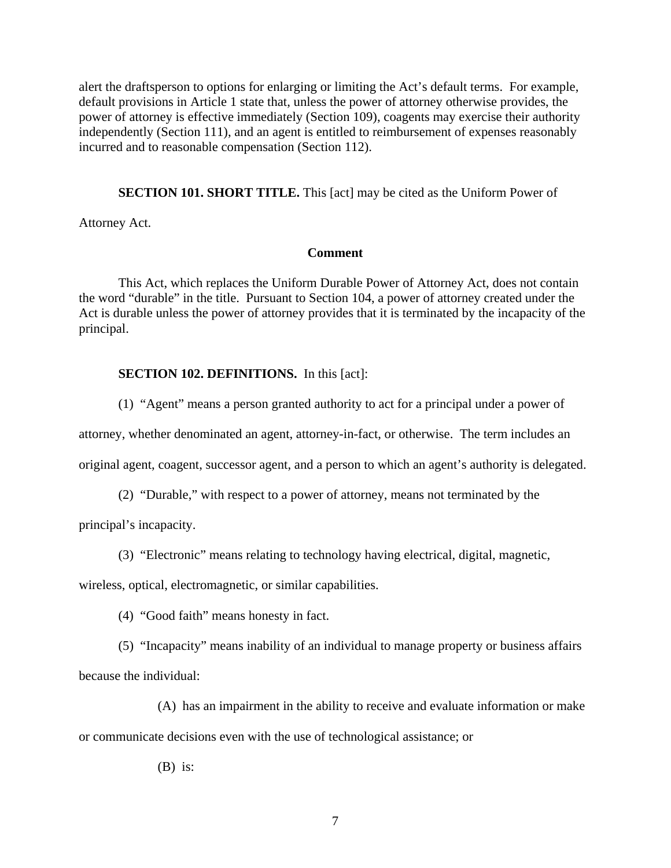alert the draftsperson to options for enlarging or limiting the Act's default terms. For example, default provisions in Article 1 state that, unless the power of attorney otherwise provides, the power of attorney is effective immediately (Section 109), coagents may exercise their authority independently (Section 111), and an agent is entitled to reimbursement of expenses reasonably incurred and to reasonable compensation (Section 112).

**SECTION 101. SHORT TITLE.** This [act] may be cited as the Uniform Power of

Attorney Act.

#### **Comment**

This Act, which replaces the Uniform Durable Power of Attorney Act, does not contain the word "durable" in the title. Pursuant to Section 104, a power of attorney created under the Act is durable unless the power of attorney provides that it is terminated by the incapacity of the principal.

## **SECTION 102. DEFINITIONS.** In this [act]:

(1) "Agent" means a person granted authority to act for a principal under a power of

attorney, whether denominated an agent, attorney-in-fact, or otherwise. The term includes an

original agent, coagent, successor agent, and a person to which an agent's authority is delegated.

(2) "Durable," with respect to a power of attorney, means not terminated by the

principal's incapacity.

(3) "Electronic" means relating to technology having electrical, digital, magnetic,

wireless, optical, electromagnetic, or similar capabilities.

(4) "Good faith" means honesty in fact.

 (5) "Incapacity" means inability of an individual to manage property or business affairs because the individual:

 (A) has an impairment in the ability to receive and evaluate information or make or communicate decisions even with the use of technological assistance; or

 $(B)$  is:

7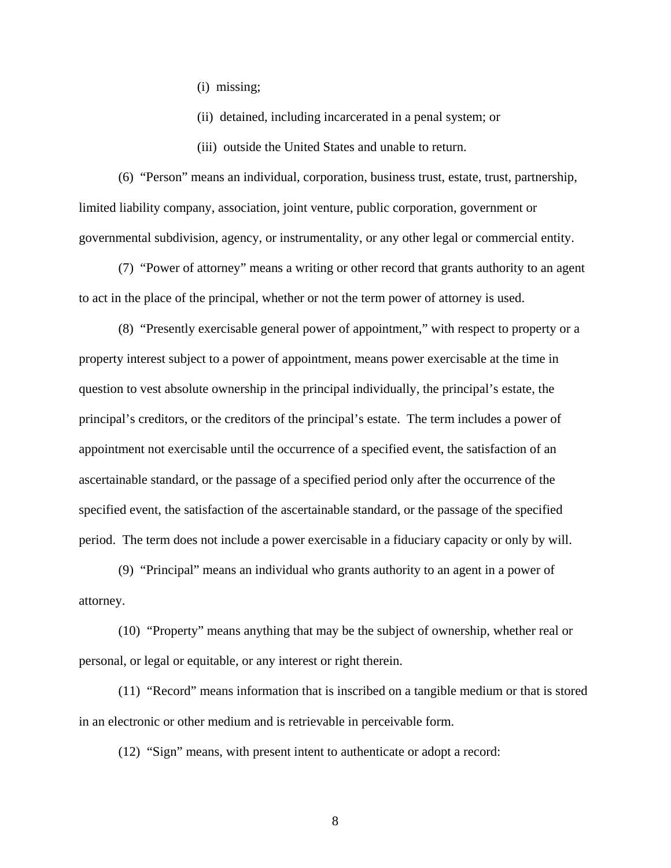(i) missing;

(ii) detained, including incarcerated in a penal system; or

(iii) outside the United States and unable to return.

 (6) "Person" means an individual, corporation, business trust, estate, trust, partnership, limited liability company, association, joint venture, public corporation, government or governmental subdivision, agency, or instrumentality, or any other legal or commercial entity.

 (7) "Power of attorney" means a writing or other record that grants authority to an agent to act in the place of the principal, whether or not the term power of attorney is used.

 (8) "Presently exercisable general power of appointment," with respect to property or a property interest subject to a power of appointment, means power exercisable at the time in question to vest absolute ownership in the principal individually, the principal's estate, the principal's creditors, or the creditors of the principal's estate. The term includes a power of appointment not exercisable until the occurrence of a specified event, the satisfaction of an ascertainable standard, or the passage of a specified period only after the occurrence of the specified event, the satisfaction of the ascertainable standard, or the passage of the specified period. The term does not include a power exercisable in a fiduciary capacity or only by will.

 (9) "Principal" means an individual who grants authority to an agent in a power of attorney.

 (10) "Property" means anything that may be the subject of ownership, whether real or personal, or legal or equitable, or any interest or right therein.

 (11) "Record" means information that is inscribed on a tangible medium or that is stored in an electronic or other medium and is retrievable in perceivable form.

(12) "Sign" means, with present intent to authenticate or adopt a record:

8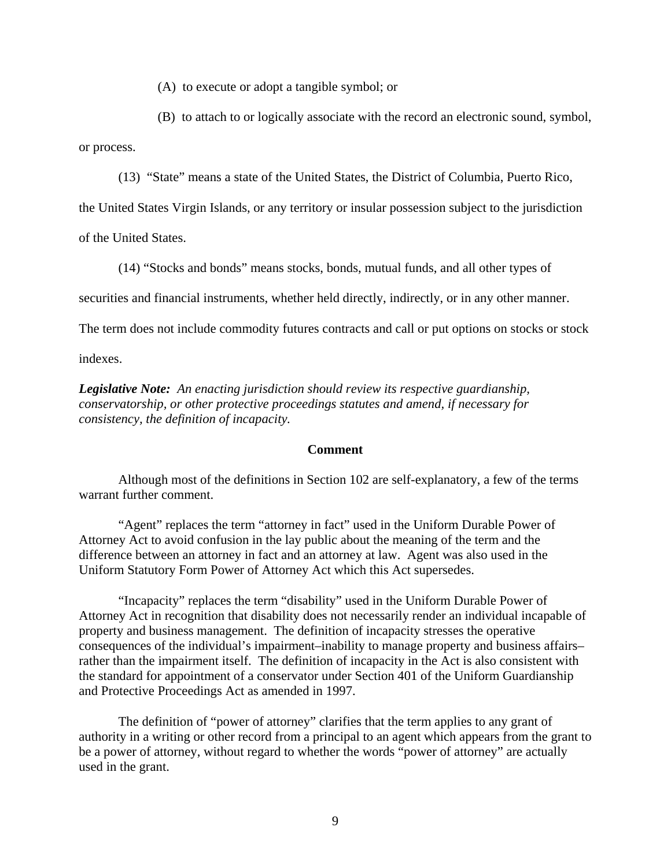(A) to execute or adopt a tangible symbol; or

 (B) to attach to or logically associate with the record an electronic sound, symbol, or process.

(13) "State" means a state of the United States, the District of Columbia, Puerto Rico,

the United States Virgin Islands, or any territory or insular possession subject to the jurisdiction

of the United States.

(14) "Stocks and bonds" means stocks, bonds, mutual funds, and all other types of

securities and financial instruments, whether held directly, indirectly, or in any other manner.

The term does not include commodity futures contracts and call or put options on stocks or stock

indexes.

*Legislative Note: An enacting jurisdiction should review its respective guardianship, conservatorship, or other protective proceedings statutes and amend, if necessary for consistency, the definition of incapacity.* 

#### **Comment**

 Although most of the definitions in Section 102 are self-explanatory, a few of the terms warrant further comment.

 "Agent" replaces the term "attorney in fact" used in the Uniform Durable Power of Attorney Act to avoid confusion in the lay public about the meaning of the term and the difference between an attorney in fact and an attorney at law. Agent was also used in the Uniform Statutory Form Power of Attorney Act which this Act supersedes.

 "Incapacity" replaces the term "disability" used in the Uniform Durable Power of Attorney Act in recognition that disability does not necessarily render an individual incapable of property and business management. The definition of incapacity stresses the operative consequences of the individual's impairment–inability to manage property and business affairs– rather than the impairment itself. The definition of incapacity in the Act is also consistent with the standard for appointment of a conservator under Section 401 of the Uniform Guardianship and Protective Proceedings Act as amended in 1997.

 The definition of "power of attorney" clarifies that the term applies to any grant of authority in a writing or other record from a principal to an agent which appears from the grant to be a power of attorney, without regard to whether the words "power of attorney" are actually used in the grant.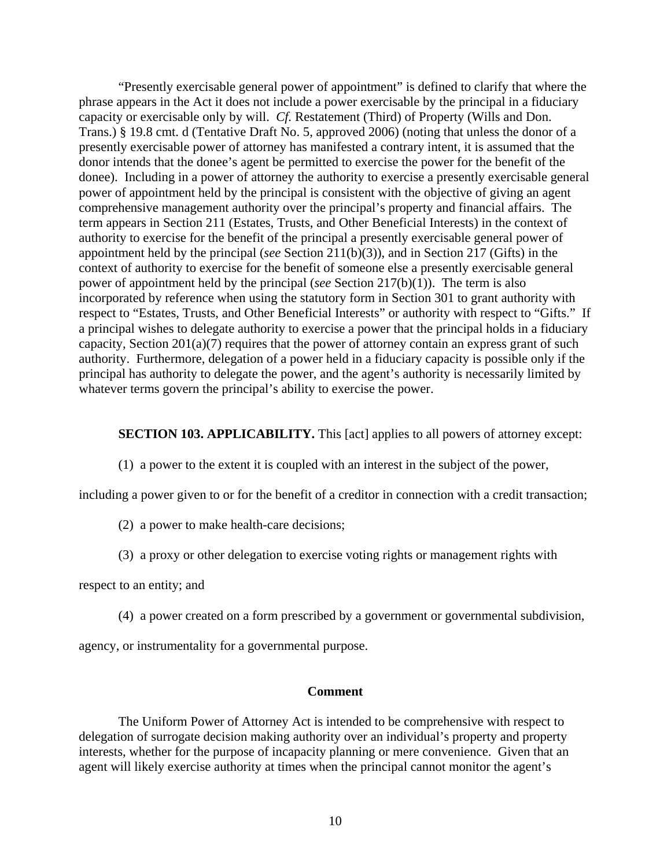"Presently exercisable general power of appointment" is defined to clarify that where the phrase appears in the Act it does not include a power exercisable by the principal in a fiduciary capacity or exercisable only by will. *Cf.* Restatement (Third) of Property (Wills and Don. Trans.) § 19.8 cmt. d (Tentative Draft No. 5, approved 2006) (noting that unless the donor of a presently exercisable power of attorney has manifested a contrary intent, it is assumed that the donor intends that the donee's agent be permitted to exercise the power for the benefit of the donee). Including in a power of attorney the authority to exercise a presently exercisable general power of appointment held by the principal is consistent with the objective of giving an agent comprehensive management authority over the principal's property and financial affairs. The term appears in Section 211 (Estates, Trusts, and Other Beneficial Interests) in the context of authority to exercise for the benefit of the principal a presently exercisable general power of appointment held by the principal (*see* Section 211(b)(3)), and in Section 217 (Gifts) in the context of authority to exercise for the benefit of someone else a presently exercisable general power of appointment held by the principal (*see* Section 217(b)(1)). The term is also incorporated by reference when using the statutory form in Section 301 to grant authority with respect to "Estates, Trusts, and Other Beneficial Interests" or authority with respect to "Gifts." If a principal wishes to delegate authority to exercise a power that the principal holds in a fiduciary capacity, Section 201(a)(7) requires that the power of attorney contain an express grant of such authority. Furthermore, delegation of a power held in a fiduciary capacity is possible only if the principal has authority to delegate the power, and the agent's authority is necessarily limited by whatever terms govern the principal's ability to exercise the power.

# **SECTION 103. APPLICABILITY.** This [act] applies to all powers of attorney except:

(1) a power to the extent it is coupled with an interest in the subject of the power,

including a power given to or for the benefit of a creditor in connection with a credit transaction;

- (2) a power to make health-care decisions;
- (3) a proxy or other delegation to exercise voting rights or management rights with

respect to an entity; and

(4) a power created on a form prescribed by a government or governmental subdivision,

agency, or instrumentality for a governmental purpose.

#### **Comment**

The Uniform Power of Attorney Act is intended to be comprehensive with respect to delegation of surrogate decision making authority over an individual's property and property interests, whether for the purpose of incapacity planning or mere convenience. Given that an agent will likely exercise authority at times when the principal cannot monitor the agent's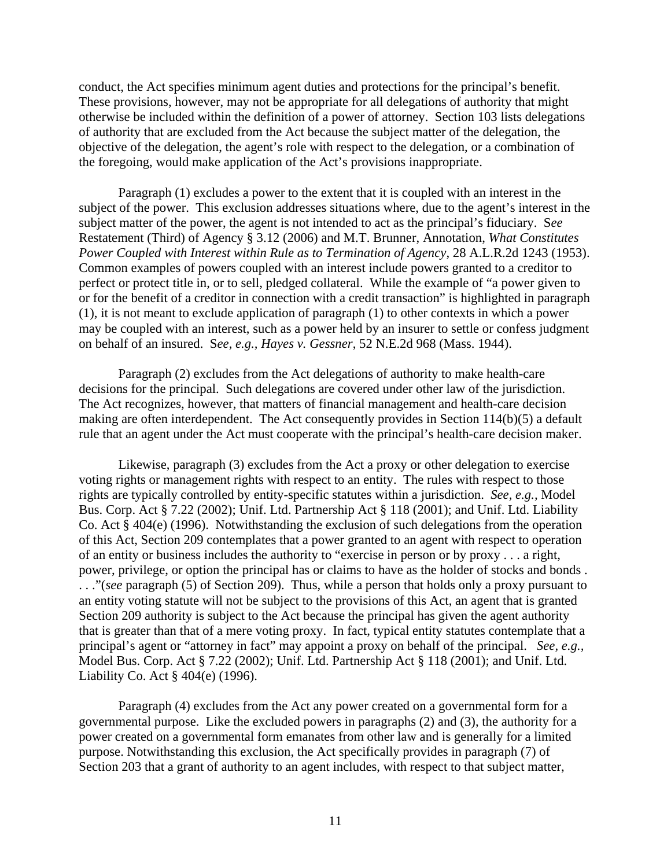conduct, the Act specifies minimum agent duties and protections for the principal's benefit. These provisions, however, may not be appropriate for all delegations of authority that might otherwise be included within the definition of a power of attorney. Section 103 lists delegations of authority that are excluded from the Act because the subject matter of the delegation, the objective of the delegation, the agent's role with respect to the delegation, or a combination of the foregoing, would make application of the Act's provisions inappropriate.

 Paragraph (1) excludes a power to the extent that it is coupled with an interest in the subject of the power. This exclusion addresses situations where, due to the agent's interest in the subject matter of the power, the agent is not intended to act as the principal's fiduciary. S*ee* Restatement (Third) of Agency § 3.12 (2006) and M.T. Brunner, Annotation, *What Constitutes Power Coupled with Interest within Rule as to Termination of Agency*, 28 A.L.R.2d 1243 (1953). Common examples of powers coupled with an interest include powers granted to a creditor to perfect or protect title in, or to sell, pledged collateral. While the example of "a power given to or for the benefit of a creditor in connection with a credit transaction" is highlighted in paragraph (1), it is not meant to exclude application of paragraph (1) to other contexts in which a power may be coupled with an interest, such as a power held by an insurer to settle or confess judgment on behalf of an insured. S*ee, e.g., Hayes v. Gessner*, 52 N.E.2d 968 (Mass. 1944).

 Paragraph (2) excludes from the Act delegations of authority to make health-care decisions for the principal. Such delegations are covered under other law of the jurisdiction. The Act recognizes, however, that matters of financial management and health-care decision making are often interdependent. The Act consequently provides in Section 114(b)(5) a default rule that an agent under the Act must cooperate with the principal's health-care decision maker.

 Likewise, paragraph (3) excludes from the Act a proxy or other delegation to exercise voting rights or management rights with respect to an entity. The rules with respect to those rights are typically controlled by entity-specific statutes within a jurisdiction. *See, e.g.,* Model Bus. Corp. Act § 7.22 (2002); Unif. Ltd. Partnership Act § 118 (2001); and Unif. Ltd. Liability Co. Act § 404(e) (1996). Notwithstanding the exclusion of such delegations from the operation of this Act, Section 209 contemplates that a power granted to an agent with respect to operation of an entity or business includes the authority to "exercise in person or by proxy . . . a right, power, privilege, or option the principal has or claims to have as the holder of stocks and bonds . . . ."(*see* paragraph (5) of Section 209). Thus, while a person that holds only a proxy pursuant to an entity voting statute will not be subject to the provisions of this Act, an agent that is granted Section 209 authority is subject to the Act because the principal has given the agent authority that is greater than that of a mere voting proxy. In fact, typical entity statutes contemplate that a principal's agent or "attorney in fact" may appoint a proxy on behalf of the principal. *See, e.g.,* Model Bus. Corp. Act § 7.22 (2002); Unif. Ltd. Partnership Act § 118 (2001); and Unif. Ltd. Liability Co. Act § 404(e) (1996).

 Paragraph (4) excludes from the Act any power created on a governmental form for a governmental purpose. Like the excluded powers in paragraphs (2) and (3), the authority for a power created on a governmental form emanates from other law and is generally for a limited purpose. Notwithstanding this exclusion, the Act specifically provides in paragraph (7) of Section 203 that a grant of authority to an agent includes, with respect to that subject matter,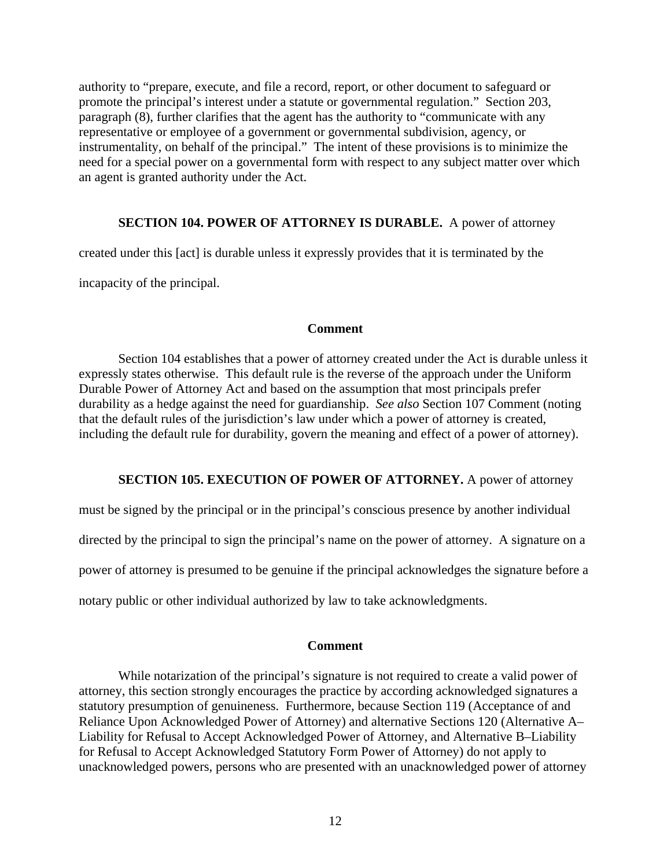authority to "prepare, execute, and file a record, report, or other document to safeguard or promote the principal's interest under a statute or governmental regulation." Section 203, paragraph (8), further clarifies that the agent has the authority to "communicate with any representative or employee of a government or governmental subdivision, agency, or instrumentality, on behalf of the principal." The intent of these provisions is to minimize the need for a special power on a governmental form with respect to any subject matter over which an agent is granted authority under the Act.

## **SECTION 104. POWER OF ATTORNEY IS DURABLE.** A power of attorney

created under this [act] is durable unless it expressly provides that it is terminated by the

incapacity of the principal.

#### **Comment**

Section 104 establishes that a power of attorney created under the Act is durable unless it expressly states otherwise. This default rule is the reverse of the approach under the Uniform Durable Power of Attorney Act and based on the assumption that most principals prefer durability as a hedge against the need for guardianship. *See also* Section 107 Comment (noting that the default rules of the jurisdiction's law under which a power of attorney is created, including the default rule for durability, govern the meaning and effect of a power of attorney).

#### **SECTION 105. EXECUTION OF POWER OF ATTORNEY.** A power of attorney

must be signed by the principal or in the principal's conscious presence by another individual

directed by the principal to sign the principal's name on the power of attorney. A signature on a

power of attorney is presumed to be genuine if the principal acknowledges the signature before a

notary public or other individual authorized by law to take acknowledgments.

#### **Comment**

While notarization of the principal's signature is not required to create a valid power of attorney, this section strongly encourages the practice by according acknowledged signatures a statutory presumption of genuineness. Furthermore, because Section 119 (Acceptance of and Reliance Upon Acknowledged Power of Attorney) and alternative Sections 120 (Alternative A– Liability for Refusal to Accept Acknowledged Power of Attorney, and Alternative B–Liability for Refusal to Accept Acknowledged Statutory Form Power of Attorney) do not apply to unacknowledged powers, persons who are presented with an unacknowledged power of attorney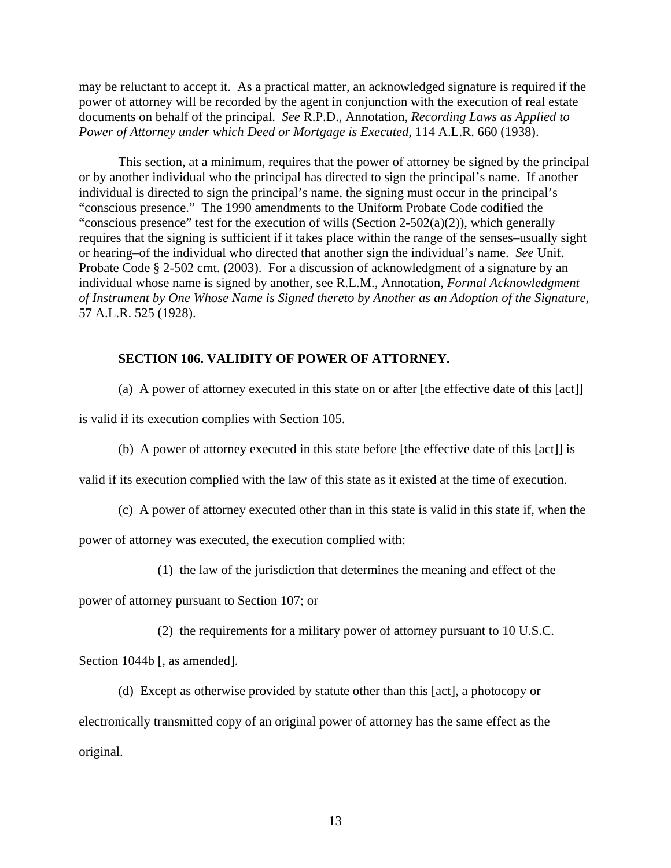may be reluctant to accept it. As a practical matter, an acknowledged signature is required if the power of attorney will be recorded by the agent in conjunction with the execution of real estate documents on behalf of the principal. *See* R.P.D., Annotation, *Recording Laws as Applied to Power of Attorney under which Deed or Mortgage is Executed*, 114 A.L.R. 660 (1938).

 This section, at a minimum, requires that the power of attorney be signed by the principal or by another individual who the principal has directed to sign the principal's name. If another individual is directed to sign the principal's name, the signing must occur in the principal's "conscious presence." The 1990 amendments to the Uniform Probate Code codified the "conscious presence" test for the execution of wills (Section 2-502(a)(2)), which generally requires that the signing is sufficient if it takes place within the range of the senses–usually sight or hearing–of the individual who directed that another sign the individual's name. *See* Unif. Probate Code § 2-502 cmt. (2003). For a discussion of acknowledgment of a signature by an individual whose name is signed by another, see R.L.M., Annotation, *Formal Acknowledgment of Instrument by One Whose Name is Signed thereto by Another as an Adoption of the Signature,*  57 A.L.R. 525 (1928).

#### **SECTION 106. VALIDITY OF POWER OF ATTORNEY.**

(a) A power of attorney executed in this state on or after [the effective date of this [act]]

is valid if its execution complies with Section 105.

(b) A power of attorney executed in this state before [the effective date of this [act]] is

valid if its execution complied with the law of this state as it existed at the time of execution.

(c) A power of attorney executed other than in this state is valid in this state if, when the

power of attorney was executed, the execution complied with:

(1) the law of the jurisdiction that determines the meaning and effect of the

power of attorney pursuant to Section 107; or

(2) the requirements for a military power of attorney pursuant to 10 U.S.C.

Section 1044b [, as amended].

(d) Except as otherwise provided by statute other than this [act], a photocopy or

electronically transmitted copy of an original power of attorney has the same effect as the original.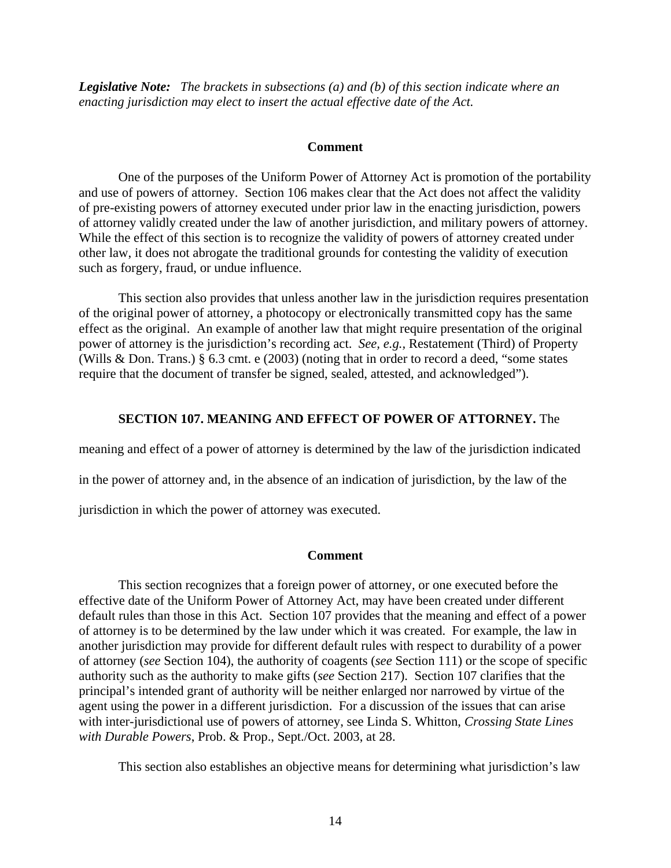*Legislative Note: The brackets in subsections (a) and (b) of this section indicate where an enacting jurisdiction may elect to insert the actual effective date of the Act.* 

#### **Comment**

 One of the purposes of the Uniform Power of Attorney Act is promotion of the portability and use of powers of attorney. Section 106 makes clear that the Act does not affect the validity of pre-existing powers of attorney executed under prior law in the enacting jurisdiction, powers of attorney validly created under the law of another jurisdiction, and military powers of attorney. While the effect of this section is to recognize the validity of powers of attorney created under other law, it does not abrogate the traditional grounds for contesting the validity of execution such as forgery, fraud, or undue influence.

 This section also provides that unless another law in the jurisdiction requires presentation of the original power of attorney, a photocopy or electronically transmitted copy has the same effect as the original. An example of another law that might require presentation of the original power of attorney is the jurisdiction's recording act. *See, e.g.,* Restatement (Third) of Property (Wills & Don. Trans.) § 6.3 cmt. e (2003) (noting that in order to record a deed, "some states require that the document of transfer be signed, sealed, attested, and acknowledged").

# **SECTION 107. MEANING AND EFFECT OF POWER OF ATTORNEY.** The

meaning and effect of a power of attorney is determined by the law of the jurisdiction indicated

in the power of attorney and, in the absence of an indication of jurisdiction, by the law of the

jurisdiction in which the power of attorney was executed.

## **Comment**

This section recognizes that a foreign power of attorney, or one executed before the effective date of the Uniform Power of Attorney Act, may have been created under different default rules than those in this Act. Section 107 provides that the meaning and effect of a power of attorney is to be determined by the law under which it was created. For example, the law in another jurisdiction may provide for different default rules with respect to durability of a power of attorney (*see* Section 104), the authority of coagents (*see* Section 111) or the scope of specific authority such as the authority to make gifts (*see* Section 217). Section 107 clarifies that the principal's intended grant of authority will be neither enlarged nor narrowed by virtue of the agent using the power in a different jurisdiction. For a discussion of the issues that can arise with inter-jurisdictional use of powers of attorney, see Linda S. Whitton, *Crossing State Lines with Durable Powers*, Prob. & Prop., Sept./Oct. 2003, at 28.

This section also establishes an objective means for determining what jurisdiction's law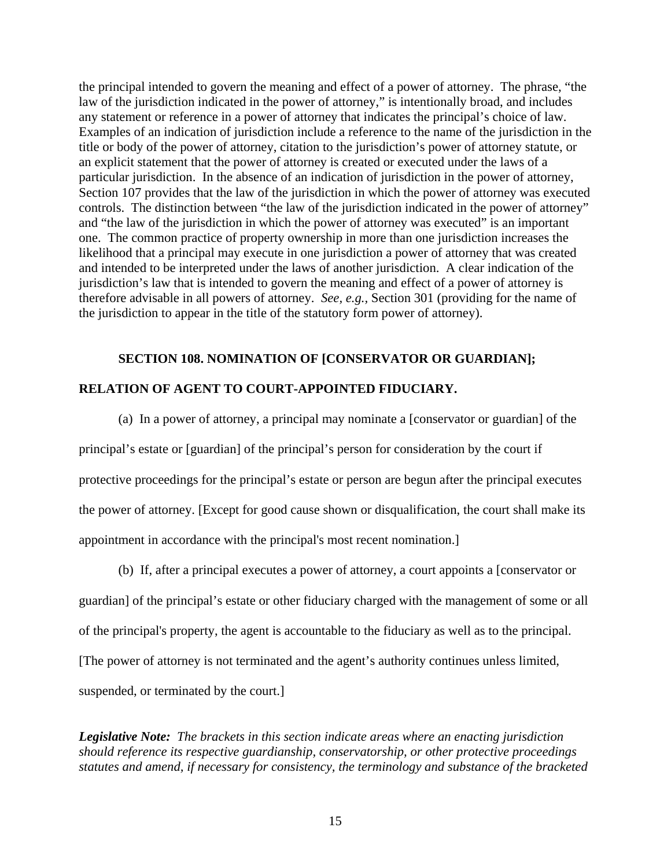the principal intended to govern the meaning and effect of a power of attorney. The phrase, "the law of the jurisdiction indicated in the power of attorney," is intentionally broad, and includes any statement or reference in a power of attorney that indicates the principal's choice of law. Examples of an indication of jurisdiction include a reference to the name of the jurisdiction in the title or body of the power of attorney, citation to the jurisdiction's power of attorney statute, or an explicit statement that the power of attorney is created or executed under the laws of a particular jurisdiction. In the absence of an indication of jurisdiction in the power of attorney, Section 107 provides that the law of the jurisdiction in which the power of attorney was executed controls. The distinction between "the law of the jurisdiction indicated in the power of attorney" and "the law of the jurisdiction in which the power of attorney was executed" is an important one. The common practice of property ownership in more than one jurisdiction increases the likelihood that a principal may execute in one jurisdiction a power of attorney that was created and intended to be interpreted under the laws of another jurisdiction. A clear indication of the jurisdiction's law that is intended to govern the meaning and effect of a power of attorney is therefore advisable in all powers of attorney. *See, e.g.,* Section 301 (providing for the name of the jurisdiction to appear in the title of the statutory form power of attorney).

# **SECTION 108. NOMINATION OF [CONSERVATOR OR GUARDIAN];**

# **RELATION OF AGENT TO COURT-APPOINTED FIDUCIARY.**

(a) In a power of attorney, a principal may nominate a [conservator or guardian] of the principal's estate or [guardian] of the principal's person for consideration by the court if protective proceedings for the principal's estate or person are begun after the principal executes the power of attorney. [Except for good cause shown or disqualification, the court shall make its appointment in accordance with the principal's most recent nomination.]

 (b) If, after a principal executes a power of attorney, a court appoints a [conservator or guardian] of the principal's estate or other fiduciary charged with the management of some or all of the principal's property, the agent is accountable to the fiduciary as well as to the principal. [The power of attorney is not terminated and the agent's authority continues unless limited, suspended, or terminated by the court.]

*Legislative Note: The brackets in this section indicate areas where an enacting jurisdiction should reference its respective guardianship, conservatorship, or other protective proceedings statutes and amend, if necessary for consistency, the terminology and substance of the bracketed*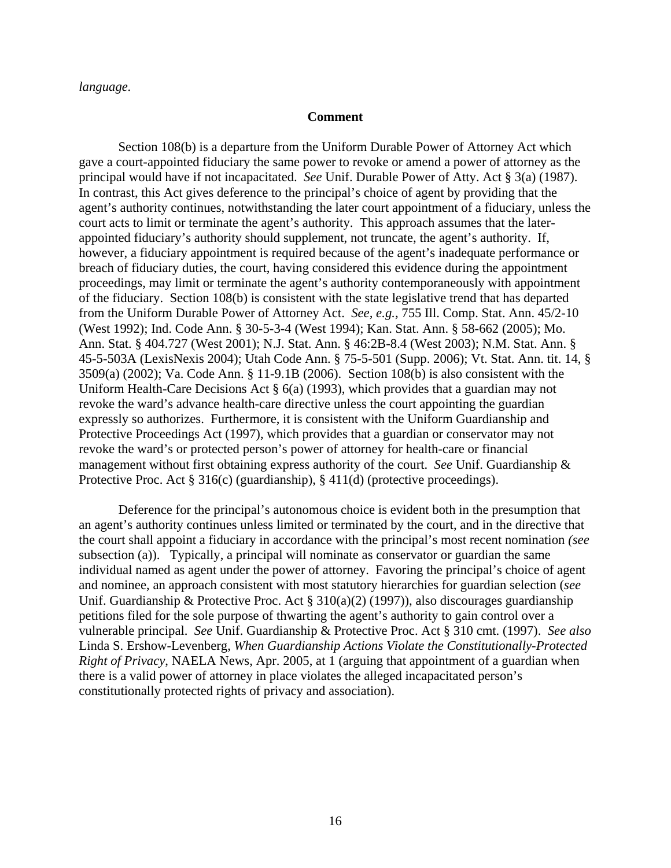*language.*

#### **Comment**

 Section 108(b) is a departure from the Uniform Durable Power of Attorney Act which gave a court-appointed fiduciary the same power to revoke or amend a power of attorney as the principal would have if not incapacitated. *See* Unif. Durable Power of Atty. Act § 3(a) (1987). In contrast, this Act gives deference to the principal's choice of agent by providing that the agent's authority continues, notwithstanding the later court appointment of a fiduciary, unless the court acts to limit or terminate the agent's authority. This approach assumes that the laterappointed fiduciary's authority should supplement, not truncate, the agent's authority. If, however, a fiduciary appointment is required because of the agent's inadequate performance or breach of fiduciary duties, the court, having considered this evidence during the appointment proceedings, may limit or terminate the agent's authority contemporaneously with appointment of the fiduciary. Section 108(b) is consistent with the state legislative trend that has departed from the Uniform Durable Power of Attorney Act. *See, e.g.,* 755 Ill. Comp. Stat. Ann. 45/2-10 (West 1992); Ind. Code Ann. § 30-5-3-4 (West 1994); Kan. Stat. Ann. § 58-662 (2005); Mo. Ann. Stat. § 404.727 (West 2001); N.J. Stat. Ann. § 46:2B-8.4 (West 2003); N.M. Stat. Ann. § 45-5-503A (LexisNexis 2004); Utah Code Ann. § 75-5-501 (Supp. 2006); Vt. Stat. Ann. tit. 14, § 3509(a) (2002); Va. Code Ann. § 11-9.1B (2006). Section 108(b) is also consistent with the Uniform Health-Care Decisions Act § 6(a) (1993), which provides that a guardian may not revoke the ward's advance health-care directive unless the court appointing the guardian expressly so authorizes. Furthermore, it is consistent with the Uniform Guardianship and Protective Proceedings Act (1997), which provides that a guardian or conservator may not revoke the ward's or protected person's power of attorney for health-care or financial management without first obtaining express authority of the court. *See* Unif. Guardianship & Protective Proc. Act § 316(c) (guardianship), § 411(d) (protective proceedings).

 Deference for the principal's autonomous choice is evident both in the presumption that an agent's authority continues unless limited or terminated by the court, and in the directive that the court shall appoint a fiduciary in accordance with the principal's most recent nomination *(see*  subsection (a)). Typically, a principal will nominate as conservator or guardian the same individual named as agent under the power of attorney. Favoring the principal's choice of agent and nominee, an approach consistent with most statutory hierarchies for guardian selection (*see* Unif. Guardianship & Protective Proc. Act §  $310(a)(2)$  (1997)), also discourages guardianship petitions filed for the sole purpose of thwarting the agent's authority to gain control over a vulnerable principal. *See* Unif. Guardianship & Protective Proc. Act § 310 cmt. (1997). *See also*  Linda S. Ershow-Levenberg, *When Guardianship Actions Violate the Constitutionally-Protected Right of Privacy*, NAELA News, Apr. 2005, at 1 (arguing that appointment of a guardian when there is a valid power of attorney in place violates the alleged incapacitated person's constitutionally protected rights of privacy and association).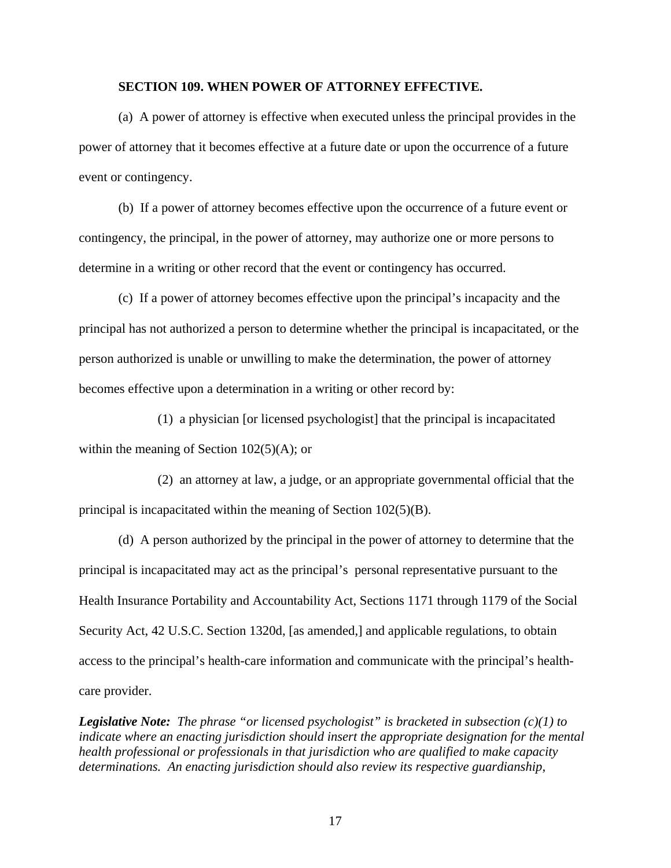## **SECTION 109. WHEN POWER OF ATTORNEY EFFECTIVE.**

 (a) A power of attorney is effective when executed unless the principal provides in the power of attorney that it becomes effective at a future date or upon the occurrence of a future event or contingency.

 (b) If a power of attorney becomes effective upon the occurrence of a future event or contingency, the principal, in the power of attorney, may authorize one or more persons to determine in a writing or other record that the event or contingency has occurred.

 (c) If a power of attorney becomes effective upon the principal's incapacity and the principal has not authorized a person to determine whether the principal is incapacitated, or the person authorized is unable or unwilling to make the determination, the power of attorney becomes effective upon a determination in a writing or other record by:

 (1) a physician [or licensed psychologist] that the principal is incapacitated within the meaning of Section  $102(5)(A)$ ; or

 (2) an attorney at law, a judge, or an appropriate governmental official that the principal is incapacitated within the meaning of Section 102(5)(B).

 (d) A person authorized by the principal in the power of attorney to determine that the principal is incapacitated may act as the principal's personal representative pursuant to the Health Insurance Portability and Accountability Act, Sections 1171 through 1179 of the Social Security Act, 42 U.S.C. Section 1320d, [as amended,] and applicable regulations, to obtain access to the principal's health-care information and communicate with the principal's healthcare provider.

*Legislative Note: The phrase "or licensed psychologist" is bracketed in subsection (c)(1) to indicate where an enacting jurisdiction should insert the appropriate designation for the mental health professional or professionals in that jurisdiction who are qualified to make capacity determinations. An enacting jurisdiction should also review its respective guardianship,* 

17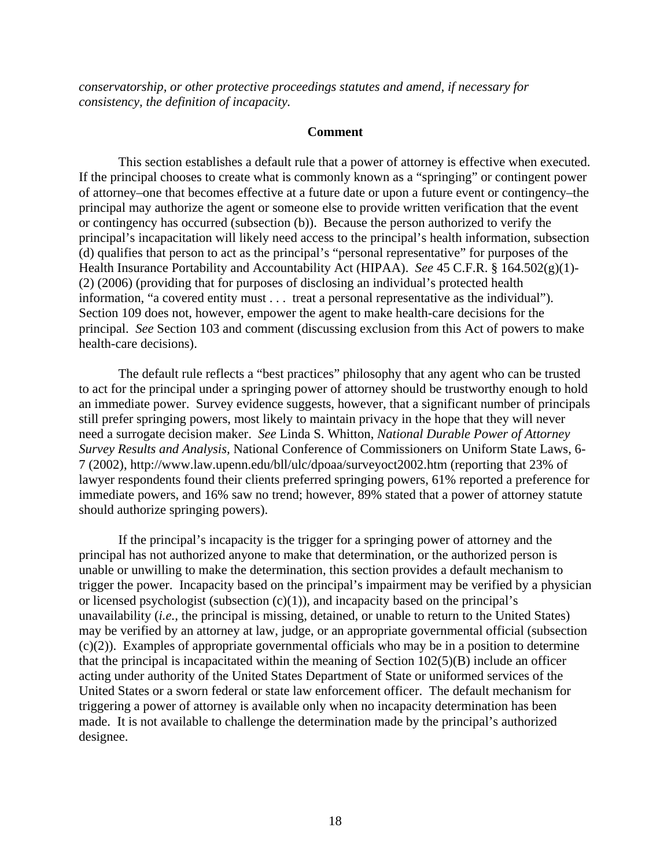*conservatorship, or other protective proceedings statutes and amend, if necessary for consistency, the definition of incapacity.*

#### **Comment**

This section establishes a default rule that a power of attorney is effective when executed. If the principal chooses to create what is commonly known as a "springing" or contingent power of attorney–one that becomes effective at a future date or upon a future event or contingency–the principal may authorize the agent or someone else to provide written verification that the event or contingency has occurred (subsection (b)). Because the person authorized to verify the principal's incapacitation will likely need access to the principal's health information, subsection (d) qualifies that person to act as the principal's "personal representative" for purposes of the Health Insurance Portability and Accountability Act (HIPAA). *See* 45 C.F.R. § 164.502(g)(1)- (2) (2006) (providing that for purposes of disclosing an individual's protected health information, "a covered entity must . . . treat a personal representative as the individual"). Section 109 does not, however, empower the agent to make health-care decisions for the principal. *See* Section 103 and comment (discussing exclusion from this Act of powers to make health-care decisions).

 The default rule reflects a "best practices" philosophy that any agent who can be trusted to act for the principal under a springing power of attorney should be trustworthy enough to hold an immediate power. Survey evidence suggests, however, that a significant number of principals still prefer springing powers, most likely to maintain privacy in the hope that they will never need a surrogate decision maker. *See* Linda S. Whitton, *National Durable Power of Attorney Survey Results and Analysis,* National Conference of Commissioners on Uniform State Laws, 6- 7 (2002), http://www.law.upenn.edu/bll/ulc/dpoaa/surveyoct2002.htm (reporting that 23% of lawyer respondents found their clients preferred springing powers, 61% reported a preference for immediate powers, and 16% saw no trend; however, 89% stated that a power of attorney statute should authorize springing powers).

 If the principal's incapacity is the trigger for a springing power of attorney and the principal has not authorized anyone to make that determination, or the authorized person is unable or unwilling to make the determination, this section provides a default mechanism to trigger the power. Incapacity based on the principal's impairment may be verified by a physician or licensed psychologist (subsection  $(c)(1)$ ), and incapacity based on the principal's unavailability (*i.e.,* the principal is missing, detained, or unable to return to the United States) may be verified by an attorney at law, judge, or an appropriate governmental official (subsection (c)(2)). Examples of appropriate governmental officials who may be in a position to determine that the principal is incapacitated within the meaning of Section  $102(5)(B)$  include an officer acting under authority of the United States Department of State or uniformed services of the United States or a sworn federal or state law enforcement officer. The default mechanism for triggering a power of attorney is available only when no incapacity determination has been made. It is not available to challenge the determination made by the principal's authorized designee.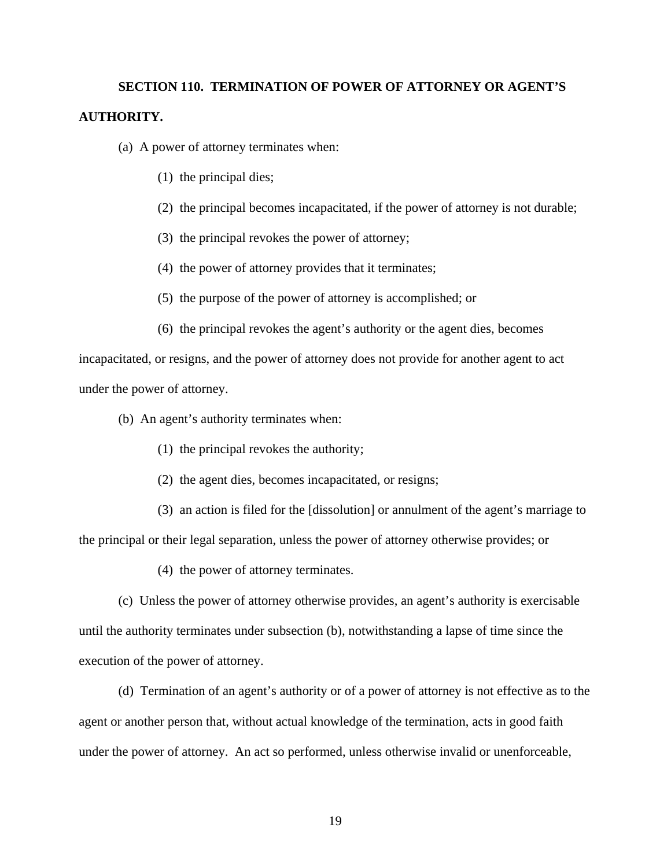# **SECTION 110. TERMINATION OF POWER OF ATTORNEY OR AGENT'S AUTHORITY.**

- (a) A power of attorney terminates when:
	- (1) the principal dies;
	- (2) the principal becomes incapacitated, if the power of attorney is not durable;
	- (3) the principal revokes the power of attorney;
	- (4) the power of attorney provides that it terminates;
	- (5) the purpose of the power of attorney is accomplished; or
	- (6) the principal revokes the agent's authority or the agent dies, becomes

incapacitated, or resigns, and the power of attorney does not provide for another agent to act under the power of attorney.

- (b) An agent's authority terminates when:
	- (1) the principal revokes the authority;
	- (2) the agent dies, becomes incapacitated, or resigns;
- (3) an action is filed for the [dissolution] or annulment of the agent's marriage to the principal or their legal separation, unless the power of attorney otherwise provides; or

(4) the power of attorney terminates.

 (c) Unless the power of attorney otherwise provides, an agent's authority is exercisable until the authority terminates under subsection (b), notwithstanding a lapse of time since the execution of the power of attorney.

 (d) Termination of an agent's authority or of a power of attorney is not effective as to the agent or another person that, without actual knowledge of the termination, acts in good faith under the power of attorney. An act so performed, unless otherwise invalid or unenforceable,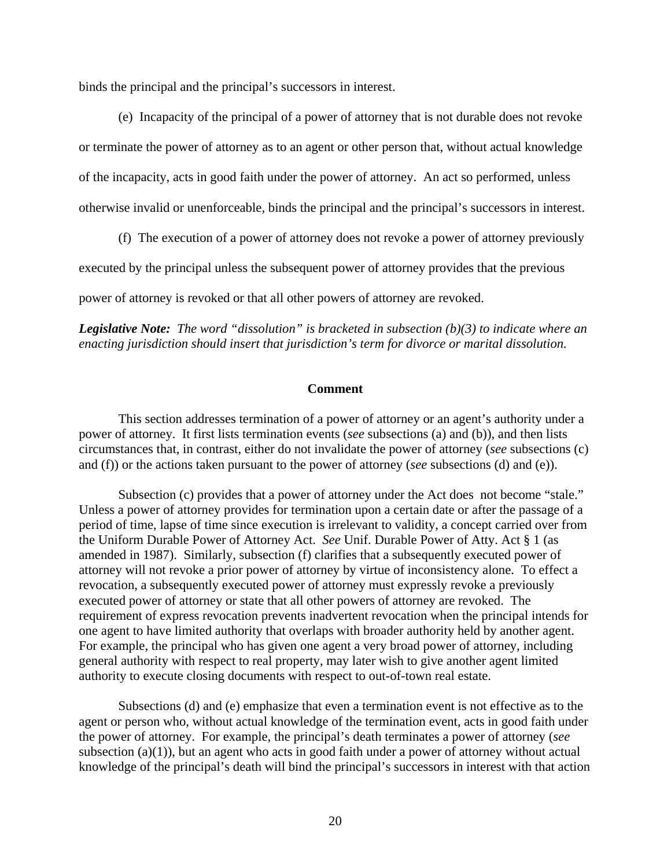binds the principal and the principal's successors in interest.

- (e) Incapacity of the principal of a power of attorney that is not durable does not revoke or terminate the power of attorney as to an agent or other person that, without actual knowledge of the incapacity, acts in good faith under the power of attorney. An act so performed, unless otherwise invalid or unenforceable, binds the principal and the principal's successors in interest.
	- (f) The execution of a power of attorney does not revoke a power of attorney previously

executed by the principal unless the subsequent power of attorney provides that the previous

power of attorney is revoked or that all other powers of attorney are revoked.

*Legislative Note: The word "dissolution" is bracketed in subsection (b)(3) to indicate where an enacting jurisdiction should insert that jurisdiction's term for divorce or marital dissolution.*

#### **Comment**

 This section addresses termination of a power of attorney or an agent's authority under a power of attorney. It first lists termination events (*see* subsections (a) and (b)), and then lists circumstances that, in contrast, either do not invalidate the power of attorney (*see* subsections (c) and (f)) or the actions taken pursuant to the power of attorney (*see* subsections (d) and (e)).

Subsection (c) provides that a power of attorney under the Act does not become "stale." Unless a power of attorney provides for termination upon a certain date or after the passage of a period of time, lapse of time since execution is irrelevant to validity, a concept carried over from the Uniform Durable Power of Attorney Act. *See* Unif. Durable Power of Atty. Act § 1 (as amended in 1987). Similarly, subsection (f) clarifies that a subsequently executed power of attorney will not revoke a prior power of attorney by virtue of inconsistency alone. To effect a revocation, a subsequently executed power of attorney must expressly revoke a previously executed power of attorney or state that all other powers of attorney are revoked. The requirement of express revocation prevents inadvertent revocation when the principal intends for one agent to have limited authority that overlaps with broader authority held by another agent. For example, the principal who has given one agent a very broad power of attorney, including general authority with respect to real property, may later wish to give another agent limited authority to execute closing documents with respect to out-of-town real estate.

 Subsections (d) and (e) emphasize that even a termination event is not effective as to the agent or person who, without actual knowledge of the termination event, acts in good faith under the power of attorney. For example, the principal's death terminates a power of attorney (*see*  subsection (a)(1)), but an agent who acts in good faith under a power of attorney without actual knowledge of the principal's death will bind the principal's successors in interest with that action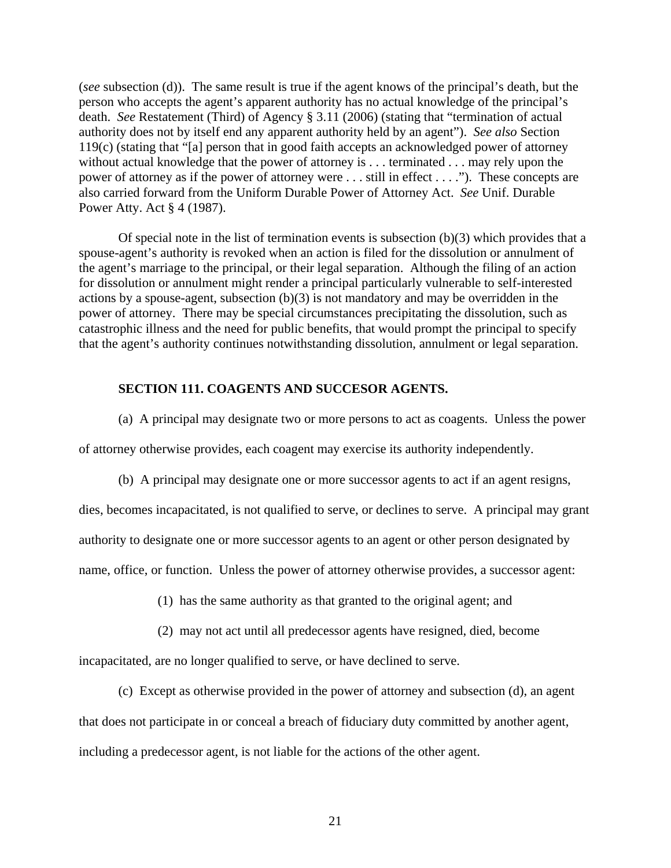(*see* subsection (d)). The same result is true if the agent knows of the principal's death, but the person who accepts the agent's apparent authority has no actual knowledge of the principal's death. *See* Restatement (Third) of Agency § 3.11 (2006) (stating that "termination of actual authority does not by itself end any apparent authority held by an agent"). *See also* Section 119(c) (stating that "[a] person that in good faith accepts an acknowledged power of attorney without actual knowledge that the power of attorney is . . . terminated . . . may rely upon the power of attorney as if the power of attorney were . . . still in effect . . . ."). These concepts are also carried forward from the Uniform Durable Power of Attorney Act. *See* Unif. Durable Power Atty. Act § 4 (1987).

Of special note in the list of termination events is subsection  $(b)(3)$  which provides that a spouse-agent's authority is revoked when an action is filed for the dissolution or annulment of the agent's marriage to the principal, or their legal separation. Although the filing of an action for dissolution or annulment might render a principal particularly vulnerable to self-interested actions by a spouse-agent, subsection  $(b)(3)$  is not mandatory and may be overridden in the power of attorney. There may be special circumstances precipitating the dissolution, such as catastrophic illness and the need for public benefits, that would prompt the principal to specify that the agent's authority continues notwithstanding dissolution, annulment or legal separation.

#### **SECTION 111. COAGENTS AND SUCCESOR AGENTS.**

(a) A principal may designate two or more persons to act as coagents. Unless the power

of attorney otherwise provides, each coagent may exercise its authority independently.

(b) A principal may designate one or more successor agents to act if an agent resigns,

dies, becomes incapacitated, is not qualified to serve, or declines to serve. A principal may grant

authority to designate one or more successor agents to an agent or other person designated by

name, office, or function. Unless the power of attorney otherwise provides, a successor agent:

(1) has the same authority as that granted to the original agent; and

(2) may not act until all predecessor agents have resigned, died, become

incapacitated, are no longer qualified to serve, or have declined to serve.

 (c) Except as otherwise provided in the power of attorney and subsection (d), an agent that does not participate in or conceal a breach of fiduciary duty committed by another agent, including a predecessor agent, is not liable for the actions of the other agent.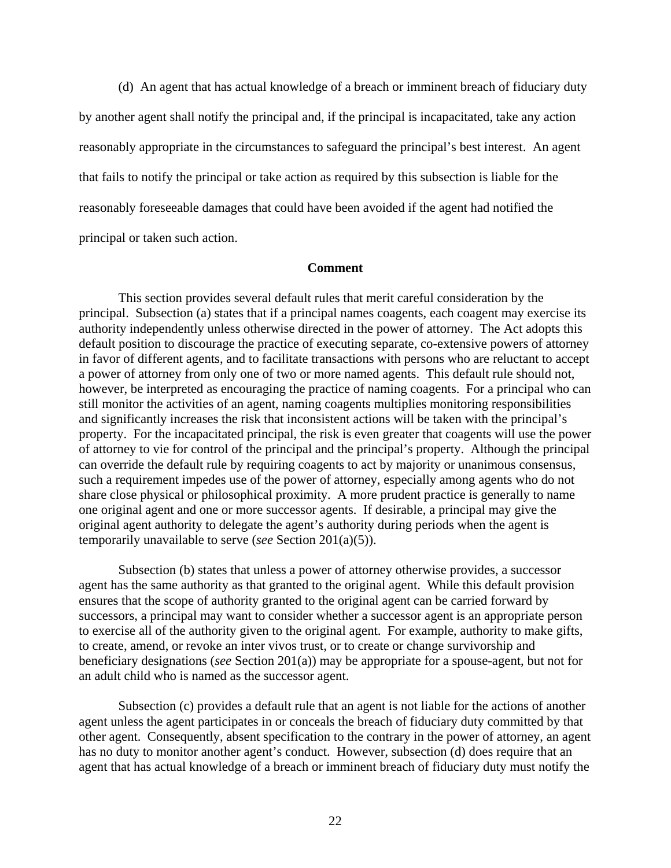(d) An agent that has actual knowledge of a breach or imminent breach of fiduciary duty by another agent shall notify the principal and, if the principal is incapacitated, take any action reasonably appropriate in the circumstances to safeguard the principal's best interest. An agent that fails to notify the principal or take action as required by this subsection is liable for the reasonably foreseeable damages that could have been avoided if the agent had notified the principal or taken such action.

#### **Comment**

 This section provides several default rules that merit careful consideration by the principal. Subsection (a) states that if a principal names coagents, each coagent may exercise its authority independently unless otherwise directed in the power of attorney. The Act adopts this default position to discourage the practice of executing separate, co-extensive powers of attorney in favor of different agents, and to facilitate transactions with persons who are reluctant to accept a power of attorney from only one of two or more named agents. This default rule should not, however, be interpreted as encouraging the practice of naming coagents. For a principal who can still monitor the activities of an agent, naming coagents multiplies monitoring responsibilities and significantly increases the risk that inconsistent actions will be taken with the principal's property. For the incapacitated principal, the risk is even greater that coagents will use the power of attorney to vie for control of the principal and the principal's property. Although the principal can override the default rule by requiring coagents to act by majority or unanimous consensus, such a requirement impedes use of the power of attorney, especially among agents who do not share close physical or philosophical proximity. A more prudent practice is generally to name one original agent and one or more successor agents. If desirable, a principal may give the original agent authority to delegate the agent's authority during periods when the agent is temporarily unavailable to serve (*see* Section 201(a)(5)).

 Subsection (b) states that unless a power of attorney otherwise provides, a successor agent has the same authority as that granted to the original agent. While this default provision ensures that the scope of authority granted to the original agent can be carried forward by successors, a principal may want to consider whether a successor agent is an appropriate person to exercise all of the authority given to the original agent. For example, authority to make gifts, to create, amend, or revoke an inter vivos trust, or to create or change survivorship and beneficiary designations (*see* Section 201(a)) may be appropriate for a spouse-agent, but not for an adult child who is named as the successor agent.

 Subsection (c) provides a default rule that an agent is not liable for the actions of another agent unless the agent participates in or conceals the breach of fiduciary duty committed by that other agent. Consequently, absent specification to the contrary in the power of attorney, an agent has no duty to monitor another agent's conduct. However, subsection (d) does require that an agent that has actual knowledge of a breach or imminent breach of fiduciary duty must notify the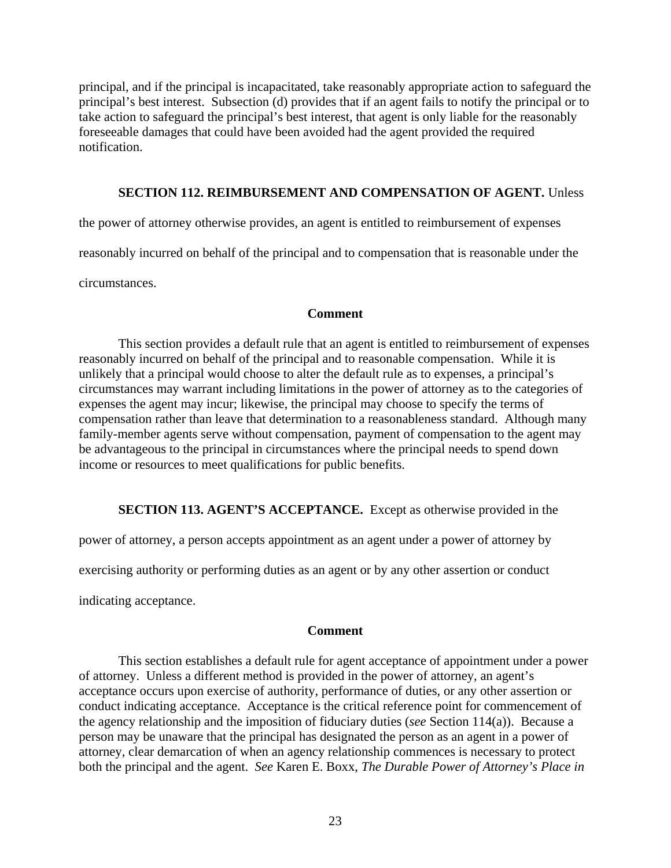principal, and if the principal is incapacitated, take reasonably appropriate action to safeguard the principal's best interest. Subsection (d) provides that if an agent fails to notify the principal or to take action to safeguard the principal's best interest, that agent is only liable for the reasonably foreseeable damages that could have been avoided had the agent provided the required notification.

## **SECTION 112. REIMBURSEMENT AND COMPENSATION OF AGENT.** Unless

the power of attorney otherwise provides, an agent is entitled to reimbursement of expenses

reasonably incurred on behalf of the principal and to compensation that is reasonable under the

circumstances.

## **Comment**

This section provides a default rule that an agent is entitled to reimbursement of expenses reasonably incurred on behalf of the principal and to reasonable compensation. While it is unlikely that a principal would choose to alter the default rule as to expenses, a principal's circumstances may warrant including limitations in the power of attorney as to the categories of expenses the agent may incur; likewise, the principal may choose to specify the terms of compensation rather than leave that determination to a reasonableness standard. Although many family-member agents serve without compensation, payment of compensation to the agent may be advantageous to the principal in circumstances where the principal needs to spend down income or resources to meet qualifications for public benefits.

# **SECTION 113. AGENT'S ACCEPTANCE.** Except as otherwise provided in the

power of attorney, a person accepts appointment as an agent under a power of attorney by

exercising authority or performing duties as an agent or by any other assertion or conduct

indicating acceptance.

## **Comment**

 This section establishes a default rule for agent acceptance of appointment under a power of attorney. Unless a different method is provided in the power of attorney, an agent's acceptance occurs upon exercise of authority, performance of duties, or any other assertion or conduct indicating acceptance. Acceptance is the critical reference point for commencement of the agency relationship and the imposition of fiduciary duties (*see* Section 114(a)). Because a person may be unaware that the principal has designated the person as an agent in a power of attorney, clear demarcation of when an agency relationship commences is necessary to protect both the principal and the agent. *See* Karen E. Boxx, *The Durable Power of Attorney's Place in*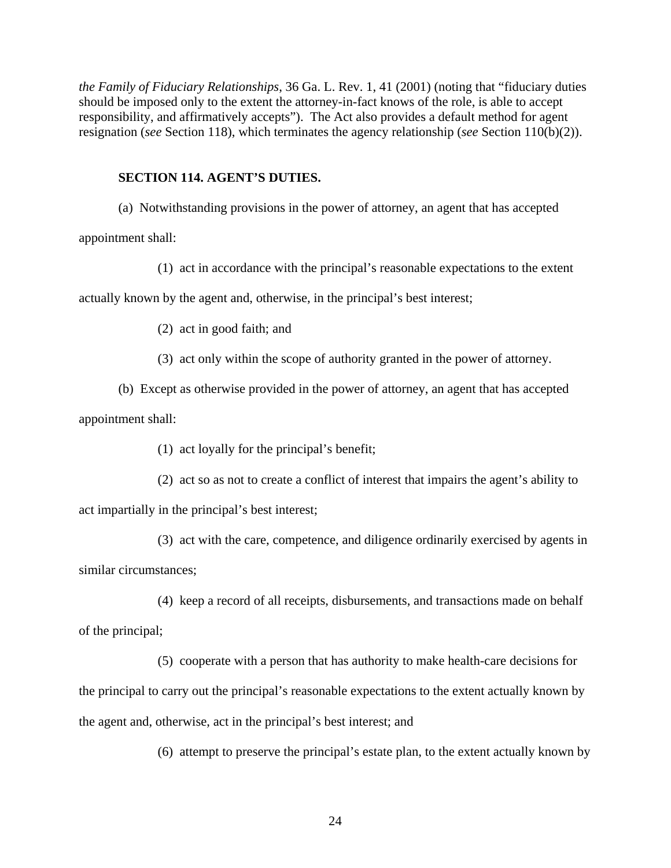*the Family of Fiduciary Relationships*, 36 Ga. L. Rev. 1, 41 (2001) (noting that "fiduciary duties should be imposed only to the extent the attorney-in-fact knows of the role, is able to accept responsibility, and affirmatively accepts"). The Act also provides a default method for agent resignation (*see* Section 118), which terminates the agency relationship (*see* Section 110(b)(2)).

#### **SECTION 114. AGENT'S DUTIES.**

(a) Notwithstanding provisions in the power of attorney, an agent that has accepted

appointment shall:

(1) act in accordance with the principal's reasonable expectations to the extent

actually known by the agent and, otherwise, in the principal's best interest;

(2) act in good faith; and

(3) act only within the scope of authority granted in the power of attorney.

(b) Except as otherwise provided in the power of attorney, an agent that has accepted

appointment shall:

(1) act loyally for the principal's benefit;

 (2) act so as not to create a conflict of interest that impairs the agent's ability to act impartially in the principal's best interest;

 (3) act with the care, competence, and diligence ordinarily exercised by agents in similar circumstances;

 (4) keep a record of all receipts, disbursements, and transactions made on behalf of the principal;

 (5) cooperate with a person that has authority to make health-care decisions for the principal to carry out the principal's reasonable expectations to the extent actually known by the agent and, otherwise, act in the principal's best interest; and

(6) attempt to preserve the principal's estate plan, to the extent actually known by

24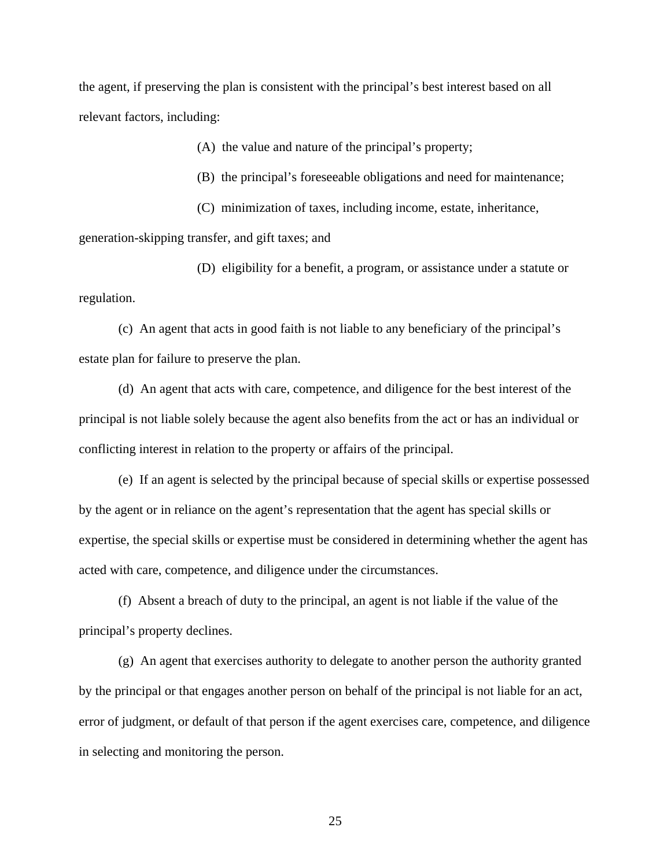the agent, if preserving the plan is consistent with the principal's best interest based on all relevant factors, including:

(A) the value and nature of the principal's property;

(B) the principal's foreseeable obligations and need for maintenance;

(C) minimization of taxes, including income, estate, inheritance,

generation-skipping transfer, and gift taxes; and

 (D) eligibility for a benefit, a program, or assistance under a statute or regulation.

 (c) An agent that acts in good faith is not liable to any beneficiary of the principal's estate plan for failure to preserve the plan.

 (d) An agent that acts with care, competence, and diligence for the best interest of the principal is not liable solely because the agent also benefits from the act or has an individual or conflicting interest in relation to the property or affairs of the principal.

 (e) If an agent is selected by the principal because of special skills or expertise possessed by the agent or in reliance on the agent's representation that the agent has special skills or expertise, the special skills or expertise must be considered in determining whether the agent has acted with care, competence, and diligence under the circumstances.

 (f) Absent a breach of duty to the principal, an agent is not liable if the value of the principal's property declines.

 (g) An agent that exercises authority to delegate to another person the authority granted by the principal or that engages another person on behalf of the principal is not liable for an act, error of judgment, or default of that person if the agent exercises care, competence, and diligence in selecting and monitoring the person.

25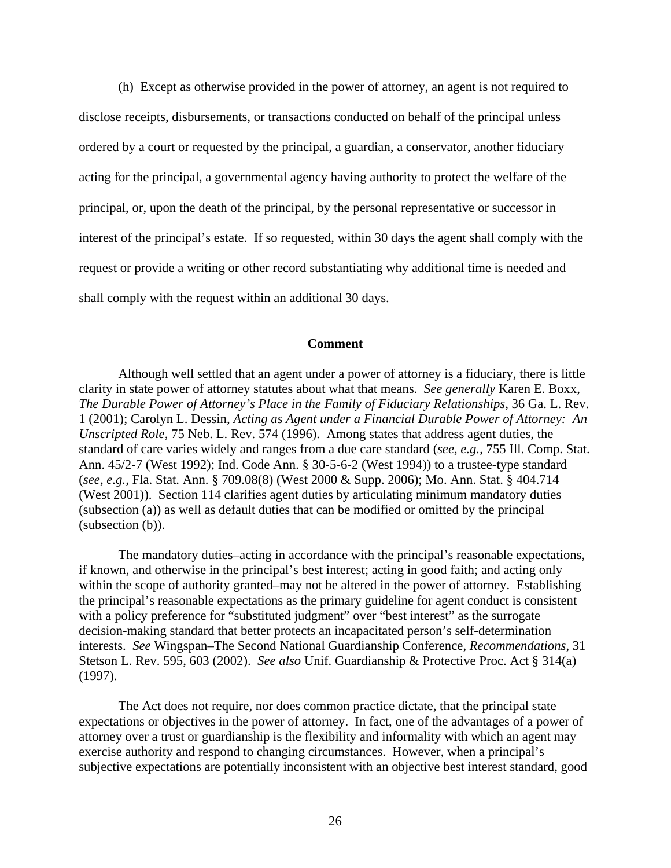(h) Except as otherwise provided in the power of attorney, an agent is not required to disclose receipts, disbursements, or transactions conducted on behalf of the principal unless ordered by a court or requested by the principal, a guardian, a conservator, another fiduciary acting for the principal, a governmental agency having authority to protect the welfare of the principal, or, upon the death of the principal, by the personal representative or successor in interest of the principal's estate. If so requested, within 30 days the agent shall comply with the request or provide a writing or other record substantiating why additional time is needed and shall comply with the request within an additional 30 days.

#### **Comment**

 Although well settled that an agent under a power of attorney is a fiduciary, there is little clarity in state power of attorney statutes about what that means. *See generally* Karen E. Boxx, *The Durable Power of Attorney's Place in the Family of Fiduciary Relationships*, 36 Ga. L. Rev. 1 (2001); Carolyn L. Dessin, *Acting as Agent under a Financial Durable Power of Attorney: An Unscripted Role*, 75 Neb. L. Rev. 574 (1996). Among states that address agent duties, the standard of care varies widely and ranges from a due care standard (*see, e.g.*, 755 Ill. Comp. Stat. Ann. 45/2-7 (West 1992); Ind. Code Ann. § 30-5-6-2 (West 1994)) to a trustee-type standard (*see, e.g.,* Fla. Stat. Ann. § 709.08(8) (West 2000 & Supp. 2006); Mo. Ann. Stat. § 404.714 (West 2001)). Section 114 clarifies agent duties by articulating minimum mandatory duties (subsection (a)) as well as default duties that can be modified or omitted by the principal (subsection (b)).

The mandatory duties–acting in accordance with the principal's reasonable expectations, if known, and otherwise in the principal's best interest; acting in good faith; and acting only within the scope of authority granted–may not be altered in the power of attorney. Establishing the principal's reasonable expectations as the primary guideline for agent conduct is consistent with a policy preference for "substituted judgment" over "best interest" as the surrogate decision-making standard that better protects an incapacitated person's self-determination interests. *See* Wingspan–The Second National Guardianship Conference, *Recommendations*, 31 Stetson L. Rev. 595, 603 (2002). *See also* Unif. Guardianship & Protective Proc. Act § 314(a) (1997).

The Act does not require, nor does common practice dictate, that the principal state expectations or objectives in the power of attorney. In fact, one of the advantages of a power of attorney over a trust or guardianship is the flexibility and informality with which an agent may exercise authority and respond to changing circumstances. However, when a principal's subjective expectations are potentially inconsistent with an objective best interest standard, good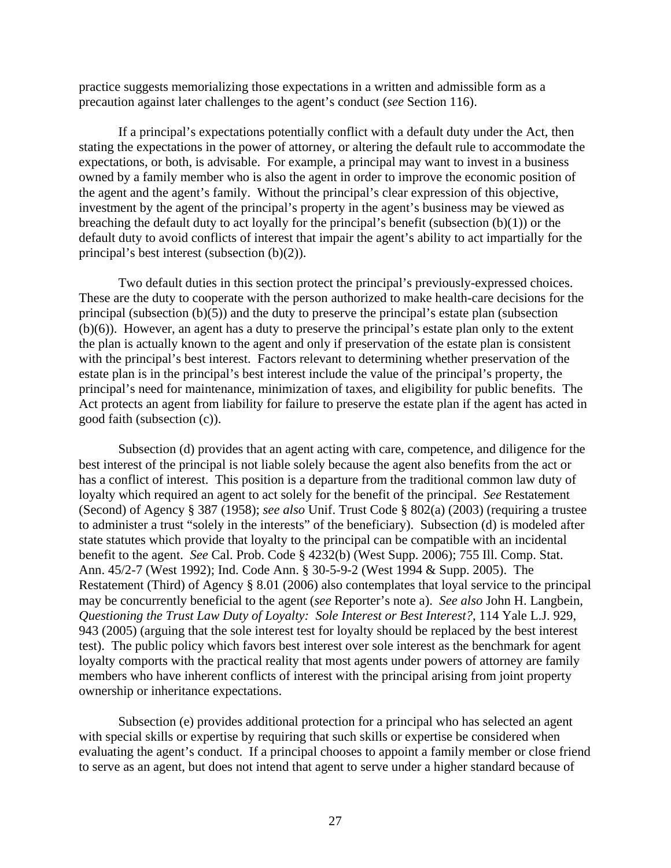practice suggests memorializing those expectations in a written and admissible form as a precaution against later challenges to the agent's conduct (*see* Section 116).

 If a principal's expectations potentially conflict with a default duty under the Act, then stating the expectations in the power of attorney, or altering the default rule to accommodate the expectations, or both, is advisable. For example, a principal may want to invest in a business owned by a family member who is also the agent in order to improve the economic position of the agent and the agent's family. Without the principal's clear expression of this objective, investment by the agent of the principal's property in the agent's business may be viewed as breaching the default duty to act loyally for the principal's benefit (subsection  $(b)(1)$ ) or the default duty to avoid conflicts of interest that impair the agent's ability to act impartially for the principal's best interest (subsection (b)(2)).

 Two default duties in this section protect the principal's previously-expressed choices. These are the duty to cooperate with the person authorized to make health-care decisions for the principal (subsection (b)(5)) and the duty to preserve the principal's estate plan (subsection (b)(6)). However, an agent has a duty to preserve the principal's estate plan only to the extent the plan is actually known to the agent and only if preservation of the estate plan is consistent with the principal's best interest. Factors relevant to determining whether preservation of the estate plan is in the principal's best interest include the value of the principal's property, the principal's need for maintenance, minimization of taxes, and eligibility for public benefits. The Act protects an agent from liability for failure to preserve the estate plan if the agent has acted in good faith (subsection (c)).

 Subsection (d) provides that an agent acting with care, competence, and diligence for the best interest of the principal is not liable solely because the agent also benefits from the act or has a conflict of interest. This position is a departure from the traditional common law duty of loyalty which required an agent to act solely for the benefit of the principal. *See* Restatement (Second) of Agency § 387 (1958); *see also* Unif. Trust Code § 802(a) (2003) (requiring a trustee to administer a trust "solely in the interests" of the beneficiary). Subsection (d) is modeled after state statutes which provide that loyalty to the principal can be compatible with an incidental benefit to the agent. *See* Cal. Prob. Code § 4232(b) (West Supp. 2006); 755 Ill. Comp. Stat. Ann. 45/2-7 (West 1992); Ind. Code Ann. § 30-5-9-2 (West 1994 & Supp. 2005). The Restatement (Third) of Agency § 8.01 (2006) also contemplates that loyal service to the principal may be concurrently beneficial to the agent (*see* Reporter's note a). *See also* John H. Langbein, *Questioning the Trust Law Duty of Loyalty: Sole Interest or Best Interest?*, 114 Yale L.J. 929, 943 (2005) (arguing that the sole interest test for loyalty should be replaced by the best interest test). The public policy which favors best interest over sole interest as the benchmark for agent loyalty comports with the practical reality that most agents under powers of attorney are family members who have inherent conflicts of interest with the principal arising from joint property ownership or inheritance expectations.

 Subsection (e) provides additional protection for a principal who has selected an agent with special skills or expertise by requiring that such skills or expertise be considered when evaluating the agent's conduct. If a principal chooses to appoint a family member or close friend to serve as an agent, but does not intend that agent to serve under a higher standard because of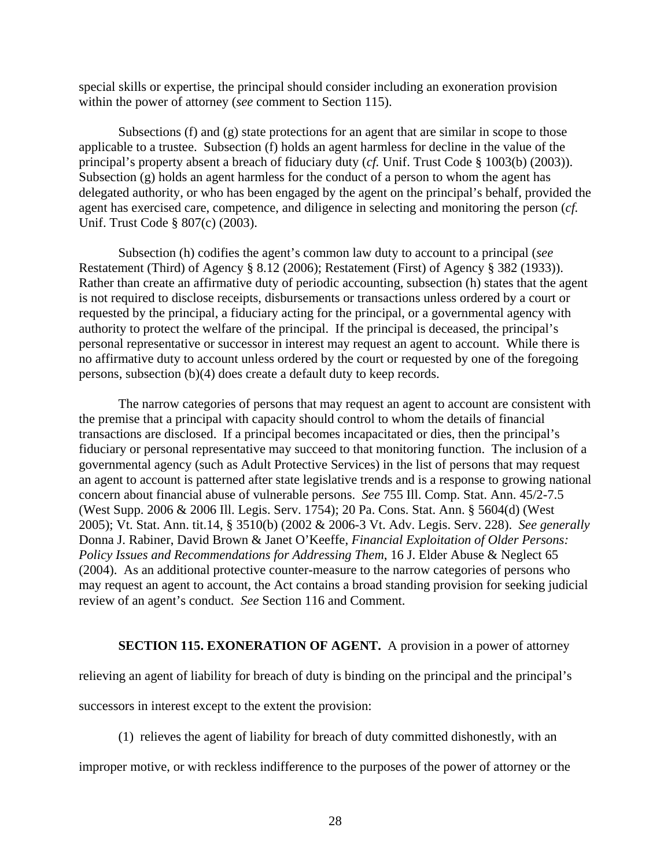special skills or expertise, the principal should consider including an exoneration provision within the power of attorney (*see* comment to Section 115).

Subsections (f) and (g) state protections for an agent that are similar in scope to those applicable to a trustee. Subsection (f) holds an agent harmless for decline in the value of the principal's property absent a breach of fiduciary duty (*cf.* Unif. Trust Code § 1003(b) (2003)). Subsection (g) holds an agent harmless for the conduct of a person to whom the agent has delegated authority, or who has been engaged by the agent on the principal's behalf, provided the agent has exercised care, competence, and diligence in selecting and monitoring the person (*cf.*  Unif. Trust Code § 807(c) (2003).

 Subsection (h) codifies the agent's common law duty to account to a principal (*see*  Restatement (Third) of Agency § 8.12 (2006); Restatement (First) of Agency § 382 (1933)). Rather than create an affirmative duty of periodic accounting, subsection (h) states that the agent is not required to disclose receipts, disbursements or transactions unless ordered by a court or requested by the principal, a fiduciary acting for the principal, or a governmental agency with authority to protect the welfare of the principal. If the principal is deceased, the principal's personal representative or successor in interest may request an agent to account. While there is no affirmative duty to account unless ordered by the court or requested by one of the foregoing persons, subsection (b)(4) does create a default duty to keep records.

 The narrow categories of persons that may request an agent to account are consistent with the premise that a principal with capacity should control to whom the details of financial transactions are disclosed. If a principal becomes incapacitated or dies, then the principal's fiduciary or personal representative may succeed to that monitoring function. The inclusion of a governmental agency (such as Adult Protective Services) in the list of persons that may request an agent to account is patterned after state legislative trends and is a response to growing national concern about financial abuse of vulnerable persons. *See* 755 Ill. Comp. Stat. Ann. 45/2-7.5 (West Supp. 2006 & 2006 Ill. Legis. Serv. 1754); 20 Pa. Cons. Stat. Ann. § 5604(d) (West 2005); Vt. Stat. Ann. tit.14, § 3510(b) (2002 & 2006-3 Vt. Adv. Legis. Serv. 228). *See generally* Donna J. Rabiner, David Brown & Janet O'Keeffe, *Financial Exploitation of Older Persons: Policy Issues and Recommendations for Addressing Them*, 16 J. Elder Abuse & Neglect 65 (2004). As an additional protective counter-measure to the narrow categories of persons who may request an agent to account, the Act contains a broad standing provision for seeking judicial review of an agent's conduct. *See* Section 116 and Comment.

# **SECTION 115. EXONERATION OF AGENT.** A provision in a power of attorney

relieving an agent of liability for breach of duty is binding on the principal and the principal's

successors in interest except to the extent the provision:

(1) relieves the agent of liability for breach of duty committed dishonestly, with an

improper motive, or with reckless indifference to the purposes of the power of attorney or the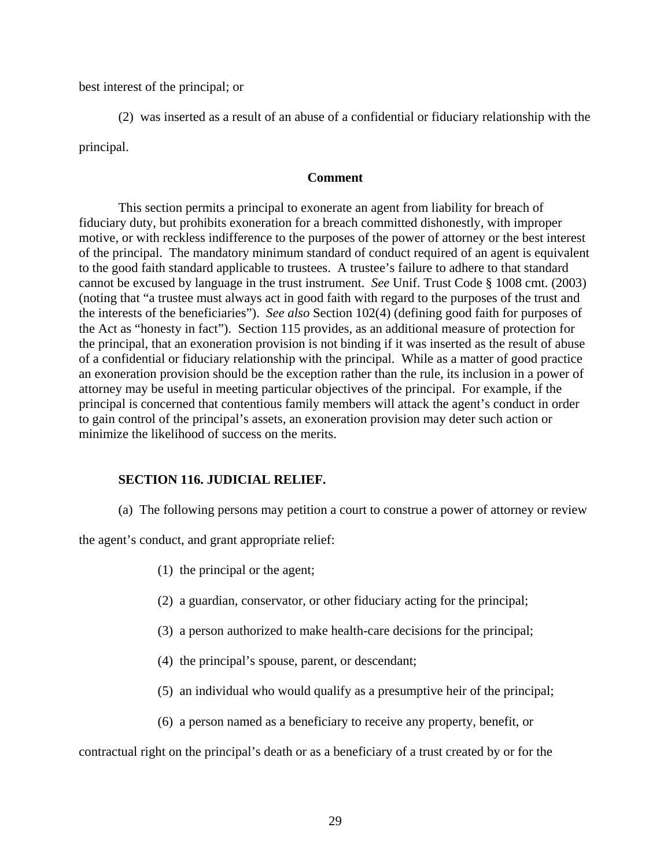best interest of the principal; or

(2) was inserted as a result of an abuse of a confidential or fiduciary relationship with the

principal.

## **Comment**

This section permits a principal to exonerate an agent from liability for breach of fiduciary duty, but prohibits exoneration for a breach committed dishonestly, with improper motive, or with reckless indifference to the purposes of the power of attorney or the best interest of the principal. The mandatory minimum standard of conduct required of an agent is equivalent to the good faith standard applicable to trustees. A trustee's failure to adhere to that standard cannot be excused by language in the trust instrument. *See* Unif. Trust Code § 1008 cmt. (2003) (noting that "a trustee must always act in good faith with regard to the purposes of the trust and the interests of the beneficiaries"). *See also* Section 102(4) (defining good faith for purposes of the Act as "honesty in fact"). Section 115 provides, as an additional measure of protection for the principal, that an exoneration provision is not binding if it was inserted as the result of abuse of a confidential or fiduciary relationship with the principal. While as a matter of good practice an exoneration provision should be the exception rather than the rule, its inclusion in a power of attorney may be useful in meeting particular objectives of the principal. For example, if the principal is concerned that contentious family members will attack the agent's conduct in order to gain control of the principal's assets, an exoneration provision may deter such action or minimize the likelihood of success on the merits.

#### **SECTION 116. JUDICIAL RELIEF.**

(a) The following persons may petition a court to construe a power of attorney or review

the agent's conduct, and grant appropriate relief:

- (1) the principal or the agent;
- (2) a guardian, conservator, or other fiduciary acting for the principal;
- (3) a person authorized to make health-care decisions for the principal;
- (4) the principal's spouse, parent, or descendant;
- (5) an individual who would qualify as a presumptive heir of the principal;
- (6) a person named as a beneficiary to receive any property, benefit, or

contractual right on the principal's death or as a beneficiary of a trust created by or for the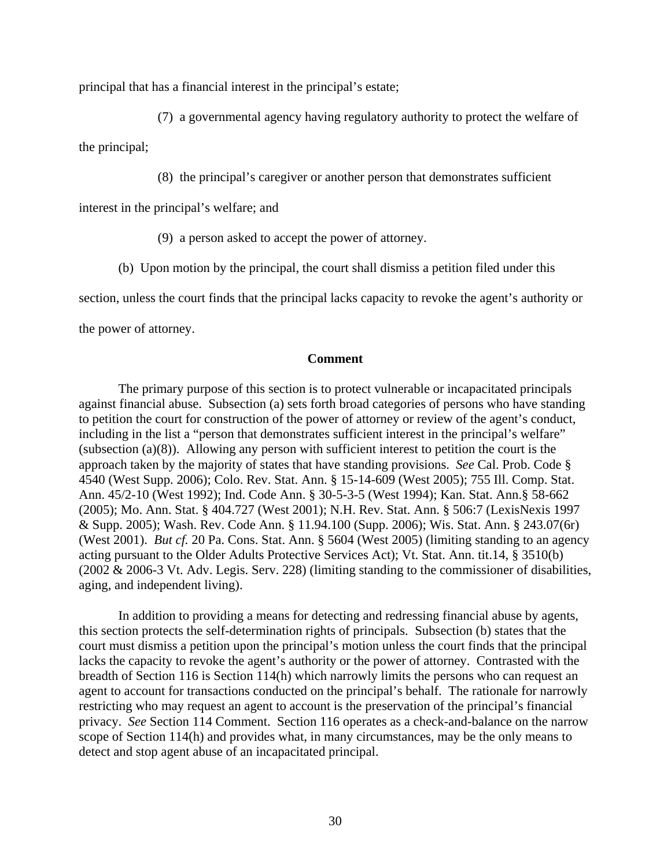principal that has a financial interest in the principal's estate;

(7) a governmental agency having regulatory authority to protect the welfare of

the principal;

(8) the principal's caregiver or another person that demonstrates sufficient

interest in the principal's welfare; and

(9) a person asked to accept the power of attorney.

(b) Upon motion by the principal, the court shall dismiss a petition filed under this

section, unless the court finds that the principal lacks capacity to revoke the agent's authority or

the power of attorney.

# **Comment**

 The primary purpose of this section is to protect vulnerable or incapacitated principals against financial abuse. Subsection (a) sets forth broad categories of persons who have standing to petition the court for construction of the power of attorney or review of the agent's conduct, including in the list a "person that demonstrates sufficient interest in the principal's welfare" (subsection (a)(8)). Allowing any person with sufficient interest to petition the court is the approach taken by the majority of states that have standing provisions. *See* Cal. Prob. Code § 4540 (West Supp. 2006); Colo. Rev. Stat. Ann. § 15-14-609 (West 2005); 755 Ill. Comp. Stat. Ann. 45/2-10 (West 1992); Ind. Code Ann. § 30-5-3-5 (West 1994); Kan. Stat. Ann.§ 58-662 (2005); Mo. Ann. Stat. § 404.727 (West 2001); N.H. Rev. Stat. Ann. § 506:7 (LexisNexis 1997 & Supp. 2005); Wash. Rev. Code Ann. § 11.94.100 (Supp. 2006); Wis. Stat. Ann. § 243.07(6r) (West 2001). *But cf.* 20 Pa. Cons. Stat. Ann. § 5604 (West 2005) (limiting standing to an agency acting pursuant to the Older Adults Protective Services Act); Vt. Stat. Ann. tit.14, § 3510(b) (2002 & 2006-3 Vt. Adv. Legis. Serv. 228) (limiting standing to the commissioner of disabilities, aging, and independent living).

 In addition to providing a means for detecting and redressing financial abuse by agents, this section protects the self-determination rights of principals. Subsection (b) states that the court must dismiss a petition upon the principal's motion unless the court finds that the principal lacks the capacity to revoke the agent's authority or the power of attorney. Contrasted with the breadth of Section 116 is Section 114(h) which narrowly limits the persons who can request an agent to account for transactions conducted on the principal's behalf. The rationale for narrowly restricting who may request an agent to account is the preservation of the principal's financial privacy. *See* Section 114 Comment. Section 116 operates as a check-and-balance on the narrow scope of Section 114(h) and provides what, in many circumstances, may be the only means to detect and stop agent abuse of an incapacitated principal.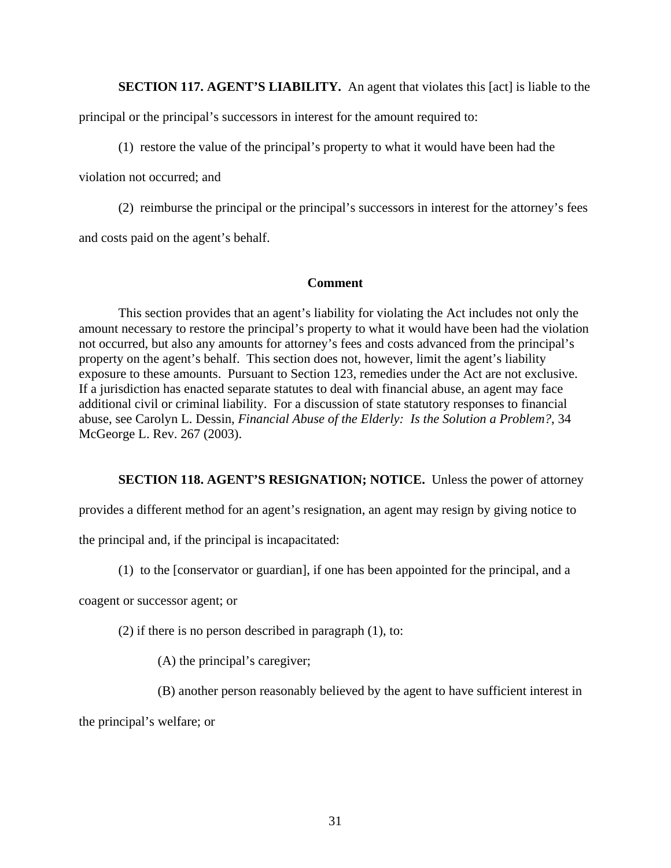**SECTION 117. AGENT'S LIABILITY.** An agent that violates this [act] is liable to the

principal or the principal's successors in interest for the amount required to:

(1) restore the value of the principal's property to what it would have been had the

violation not occurred; and

(2) reimburse the principal or the principal's successors in interest for the attorney's fees

and costs paid on the agent's behalf.

# **Comment**

This section provides that an agent's liability for violating the Act includes not only the amount necessary to restore the principal's property to what it would have been had the violation not occurred, but also any amounts for attorney's fees and costs advanced from the principal's property on the agent's behalf. This section does not, however, limit the agent's liability exposure to these amounts. Pursuant to Section 123, remedies under the Act are not exclusive. If a jurisdiction has enacted separate statutes to deal with financial abuse, an agent may face additional civil or criminal liability. For a discussion of state statutory responses to financial abuse, see Carolyn L. Dessin, *Financial Abuse of the Elderly: Is the Solution a Problem?*, 34 McGeorge L. Rev. 267 (2003).

# **SECTION 118. AGENT'S RESIGNATION; NOTICE.** Unless the power of attorney

provides a different method for an agent's resignation, an agent may resign by giving notice to

the principal and, if the principal is incapacitated:

(1) to the [conservator or guardian], if one has been appointed for the principal, and a

coagent or successor agent; or

(2) if there is no person described in paragraph (1), to:

(A) the principal's caregiver;

(B) another person reasonably believed by the agent to have sufficient interest in

the principal's welfare; or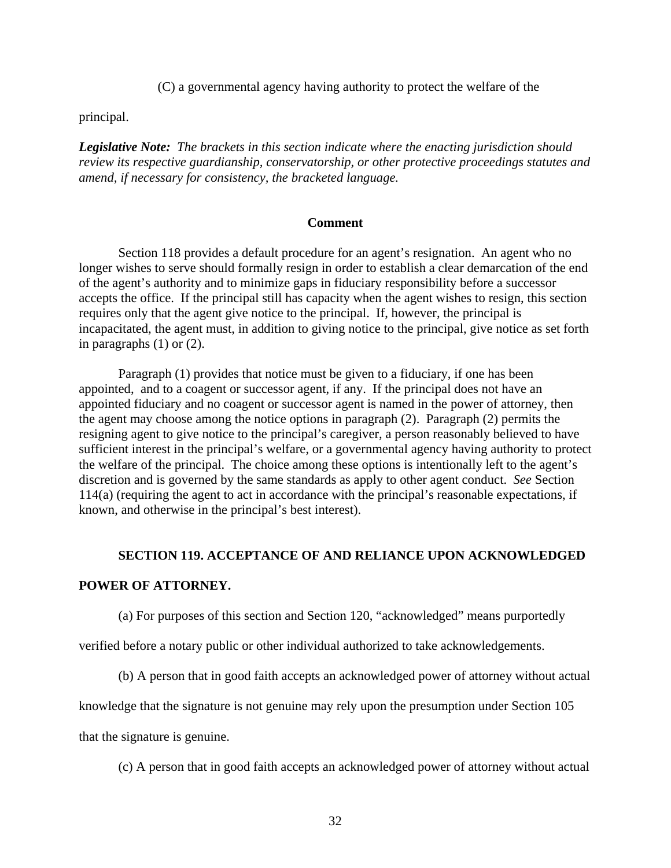(C) a governmental agency having authority to protect the welfare of the

principal.

*Legislative Note: The brackets in this section indicate where the enacting jurisdiction should review its respective guardianship, conservatorship, or other protective proceedings statutes and amend, if necessary for consistency, the bracketed language.*

## **Comment**

 Section 118 provides a default procedure for an agent's resignation. An agent who no longer wishes to serve should formally resign in order to establish a clear demarcation of the end of the agent's authority and to minimize gaps in fiduciary responsibility before a successor accepts the office. If the principal still has capacity when the agent wishes to resign, this section requires only that the agent give notice to the principal. If, however, the principal is incapacitated, the agent must, in addition to giving notice to the principal, give notice as set forth in paragraphs (1) or (2).

 Paragraph (1) provides that notice must be given to a fiduciary, if one has been appointed, and to a coagent or successor agent, if any. If the principal does not have an appointed fiduciary and no coagent or successor agent is named in the power of attorney, then the agent may choose among the notice options in paragraph (2). Paragraph (2) permits the resigning agent to give notice to the principal's caregiver, a person reasonably believed to have sufficient interest in the principal's welfare, or a governmental agency having authority to protect the welfare of the principal. The choice among these options is intentionally left to the agent's discretion and is governed by the same standards as apply to other agent conduct. *See* Section 114(a) (requiring the agent to act in accordance with the principal's reasonable expectations, if known, and otherwise in the principal's best interest).

# **SECTION 119. ACCEPTANCE OF AND RELIANCE UPON ACKNOWLEDGED**

# **POWER OF ATTORNEY.**

(a) For purposes of this section and Section 120, "acknowledged" means purportedly

verified before a notary public or other individual authorized to take acknowledgements.

(b) A person that in good faith accepts an acknowledged power of attorney without actual

knowledge that the signature is not genuine may rely upon the presumption under Section 105

that the signature is genuine.

(c) A person that in good faith accepts an acknowledged power of attorney without actual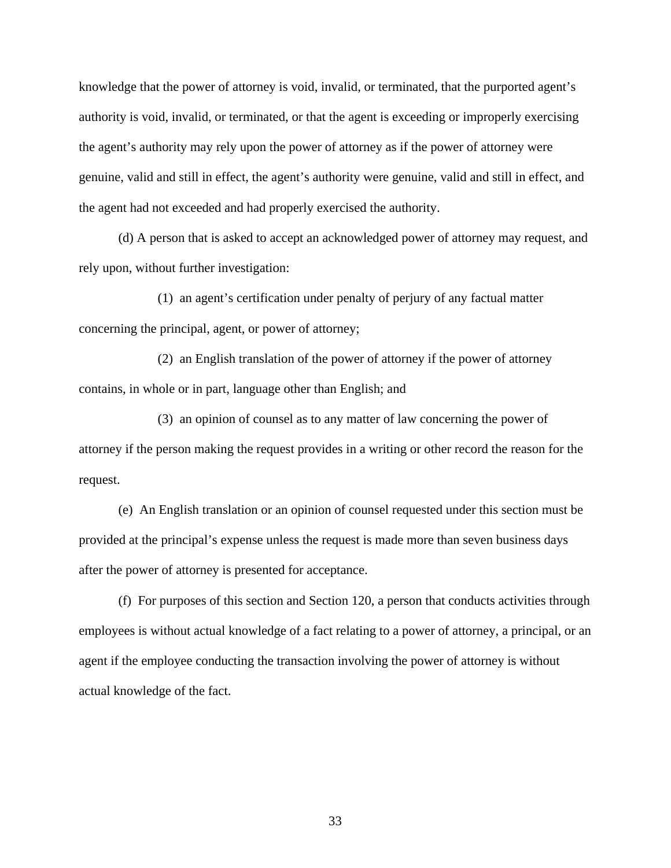knowledge that the power of attorney is void, invalid, or terminated, that the purported agent's authority is void, invalid, or terminated, or that the agent is exceeding or improperly exercising the agent's authority may rely upon the power of attorney as if the power of attorney were genuine, valid and still in effect, the agent's authority were genuine, valid and still in effect, and the agent had not exceeded and had properly exercised the authority.

 (d) A person that is asked to accept an acknowledged power of attorney may request, and rely upon, without further investigation:

 (1) an agent's certification under penalty of perjury of any factual matter concerning the principal, agent, or power of attorney;

 (2) an English translation of the power of attorney if the power of attorney contains, in whole or in part, language other than English; and

 (3) an opinion of counsel as to any matter of law concerning the power of attorney if the person making the request provides in a writing or other record the reason for the request.

 (e) An English translation or an opinion of counsel requested under this section must be provided at the principal's expense unless the request is made more than seven business days after the power of attorney is presented for acceptance.

 (f) For purposes of this section and Section 120, a person that conducts activities through employees is without actual knowledge of a fact relating to a power of attorney, a principal, or an agent if the employee conducting the transaction involving the power of attorney is without actual knowledge of the fact.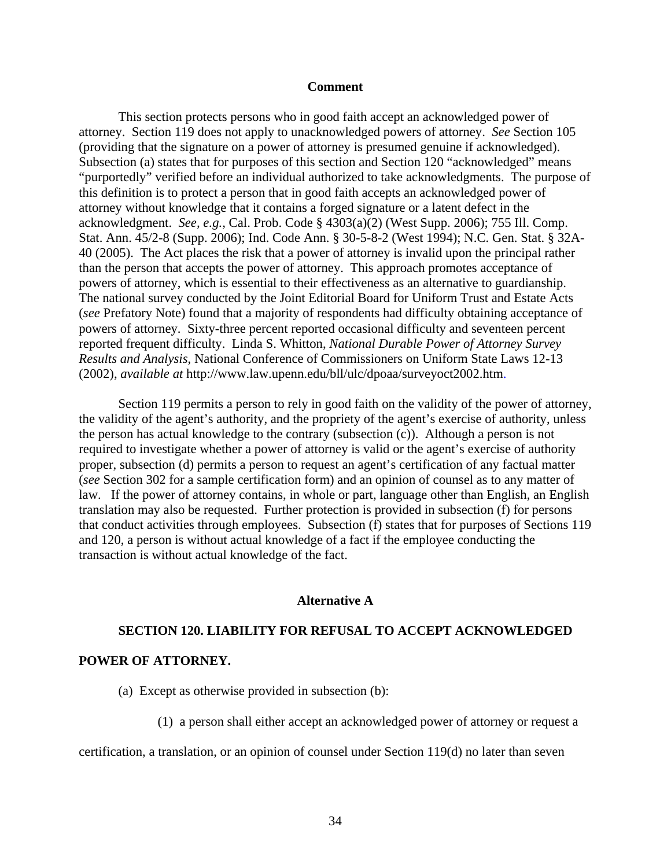#### **Comment**

This section protects persons who in good faith accept an acknowledged power of attorney. Section 119 does not apply to unacknowledged powers of attorney. *See* Section 105 (providing that the signature on a power of attorney is presumed genuine if acknowledged). Subsection (a) states that for purposes of this section and Section 120 "acknowledged" means "purportedly" verified before an individual authorized to take acknowledgments. The purpose of this definition is to protect a person that in good faith accepts an acknowledged power of attorney without knowledge that it contains a forged signature or a latent defect in the acknowledgment. *See, e.g.,* Cal. Prob. Code § 4303(a)(2) (West Supp. 2006); 755 Ill. Comp. Stat. Ann. 45/2-8 (Supp. 2006); Ind. Code Ann. § 30-5-8-2 (West 1994); N.C. Gen. Stat. § 32A-40 (2005). The Act places the risk that a power of attorney is invalid upon the principal rather than the person that accepts the power of attorney. This approach promotes acceptance of powers of attorney, which is essential to their effectiveness as an alternative to guardianship. The national survey conducted by the Joint Editorial Board for Uniform Trust and Estate Acts (*see* Prefatory Note) found that a majority of respondents had difficulty obtaining acceptance of powers of attorney. Sixty-three percent reported occasional difficulty and seventeen percent reported frequent difficulty. Linda S. Whitton, *National Durable Power of Attorney Survey Results and Analysis*, National Conference of Commissioners on Uniform State Laws 12-13 (2002), *available at* http://www.law.upenn.edu/bll/ulc/dpoaa/surveyoct2002.htm.

 Section 119 permits a person to rely in good faith on the validity of the power of attorney, the validity of the agent's authority, and the propriety of the agent's exercise of authority, unless the person has actual knowledge to the contrary (subsection (c)). Although a person is not required to investigate whether a power of attorney is valid or the agent's exercise of authority proper, subsection (d) permits a person to request an agent's certification of any factual matter (*see* Section 302 for a sample certification form) and an opinion of counsel as to any matter of law. If the power of attorney contains, in whole or part, language other than English, an English translation may also be requested. Further protection is provided in subsection (f) for persons that conduct activities through employees. Subsection (f) states that for purposes of Sections 119 and 120, a person is without actual knowledge of a fact if the employee conducting the transaction is without actual knowledge of the fact.

### **Alternative A**

#### **SECTION 120. LIABILITY FOR REFUSAL TO ACCEPT ACKNOWLEDGED**

#### **POWER OF ATTORNEY.**

- (a) Except as otherwise provided in subsection (b):
	- (1) a person shall either accept an acknowledged power of attorney or request a

certification, a translation, or an opinion of counsel under Section 119(d) no later than seven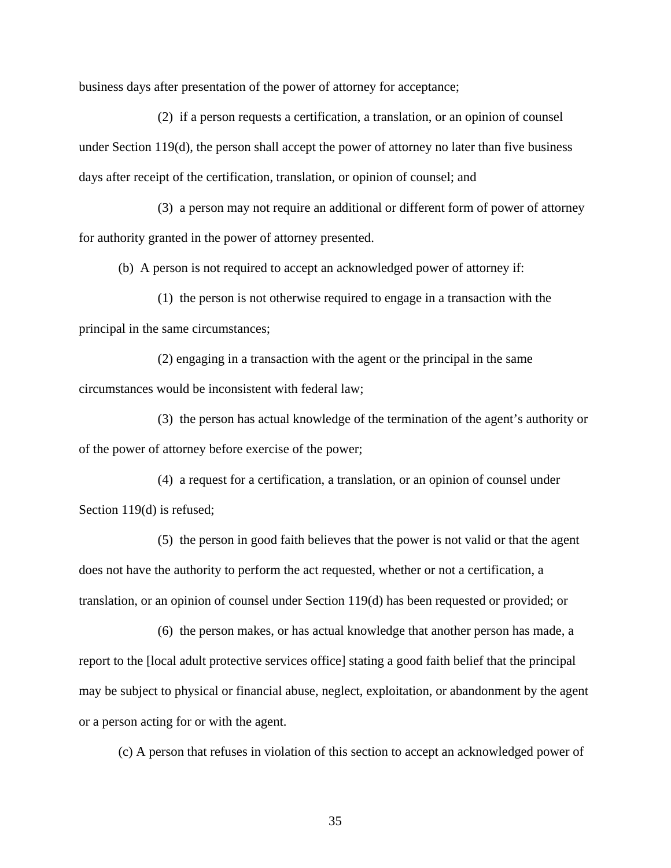business days after presentation of the power of attorney for acceptance;

 (2) if a person requests a certification, a translation, or an opinion of counsel under Section 119(d), the person shall accept the power of attorney no later than five business days after receipt of the certification, translation, or opinion of counsel; and

 (3) a person may not require an additional or different form of power of attorney for authority granted in the power of attorney presented.

(b) A person is not required to accept an acknowledged power of attorney if:

 (1) the person is not otherwise required to engage in a transaction with the principal in the same circumstances;

 (2) engaging in a transaction with the agent or the principal in the same circumstances would be inconsistent with federal law;

 (3) the person has actual knowledge of the termination of the agent's authority or of the power of attorney before exercise of the power;

 (4) a request for a certification, a translation, or an opinion of counsel under Section 119(d) is refused;

 (5) the person in good faith believes that the power is not valid or that the agent does not have the authority to perform the act requested, whether or not a certification, a translation, or an opinion of counsel under Section 119(d) has been requested or provided; or

 (6) the person makes, or has actual knowledge that another person has made, a report to the [local adult protective services office] stating a good faith belief that the principal may be subject to physical or financial abuse, neglect, exploitation, or abandonment by the agent or a person acting for or with the agent.

(c) A person that refuses in violation of this section to accept an acknowledged power of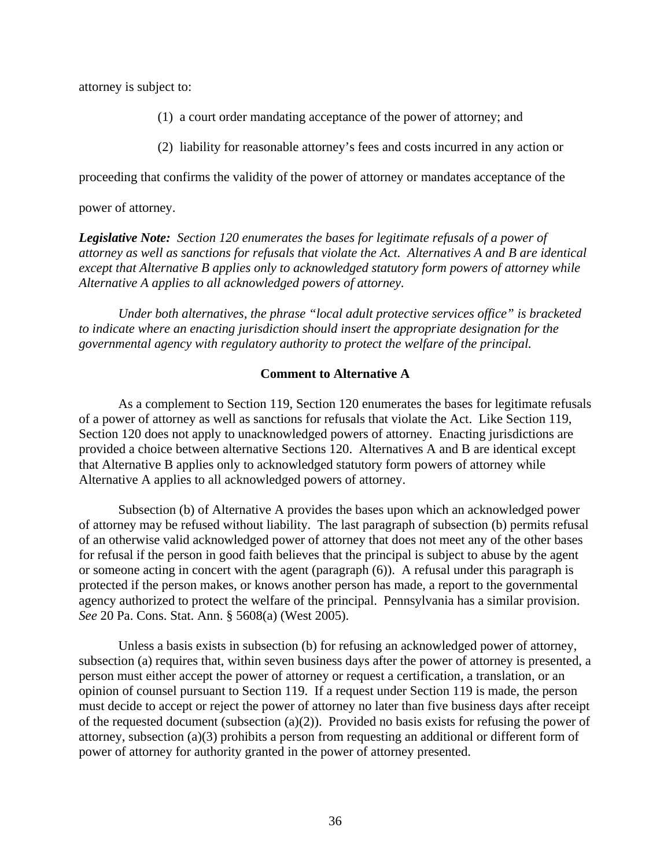attorney is subject to:

- (1) a court order mandating acceptance of the power of attorney; and
- (2) liability for reasonable attorney's fees and costs incurred in any action or

proceeding that confirms the validity of the power of attorney or mandates acceptance of the

# power of attorney.

*Legislative Note: Section 120 enumerates the bases for legitimate refusals of a power of attorney as well as sanctions for refusals that violate the Act. Alternatives A and B are identical except that Alternative B applies only to acknowledged statutory form powers of attorney while Alternative A applies to all acknowledged powers of attorney.* 

 *Under both alternatives, the phrase "local adult protective services office" is bracketed to indicate where an enacting jurisdiction should insert the appropriate designation for the governmental agency with regulatory authority to protect the welfare of the principal.* 

# **Comment to Alternative A**

 As a complement to Section 119, Section 120 enumerates the bases for legitimate refusals of a power of attorney as well as sanctions for refusals that violate the Act. Like Section 119, Section 120 does not apply to unacknowledged powers of attorney. Enacting jurisdictions are provided a choice between alternative Sections 120. Alternatives A and B are identical except that Alternative B applies only to acknowledged statutory form powers of attorney while Alternative A applies to all acknowledged powers of attorney.

 Subsection (b) of Alternative A provides the bases upon which an acknowledged power of attorney may be refused without liability. The last paragraph of subsection (b) permits refusal of an otherwise valid acknowledged power of attorney that does not meet any of the other bases for refusal if the person in good faith believes that the principal is subject to abuse by the agent or someone acting in concert with the agent (paragraph (6)). A refusal under this paragraph is protected if the person makes, or knows another person has made, a report to the governmental agency authorized to protect the welfare of the principal. Pennsylvania has a similar provision. *See* 20 Pa. Cons. Stat. Ann. § 5608(a) (West 2005).

 Unless a basis exists in subsection (b) for refusing an acknowledged power of attorney, subsection (a) requires that, within seven business days after the power of attorney is presented, a person must either accept the power of attorney or request a certification, a translation, or an opinion of counsel pursuant to Section 119. If a request under Section 119 is made, the person must decide to accept or reject the power of attorney no later than five business days after receipt of the requested document (subsection (a)(2)). Provided no basis exists for refusing the power of attorney, subsection (a)(3) prohibits a person from requesting an additional or different form of power of attorney for authority granted in the power of attorney presented.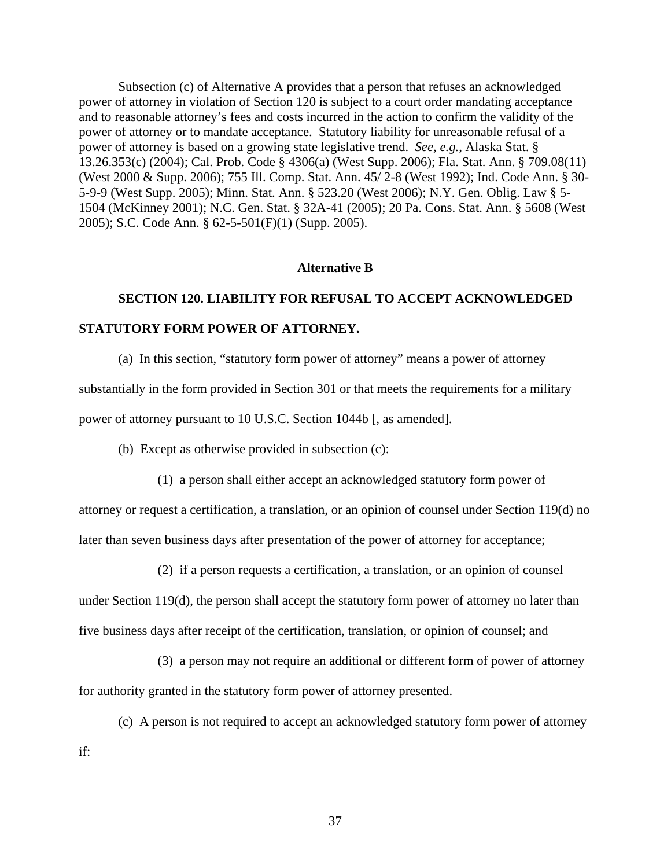Subsection (c) of Alternative A provides that a person that refuses an acknowledged power of attorney in violation of Section 120 is subject to a court order mandating acceptance and to reasonable attorney's fees and costs incurred in the action to confirm the validity of the power of attorney or to mandate acceptance. Statutory liability for unreasonable refusal of a power of attorney is based on a growing state legislative trend. *See, e.g.*, Alaska Stat. § 13.26.353(c) (2004); Cal. Prob. Code § 4306(a) (West Supp. 2006); Fla. Stat. Ann. § 709.08(11) (West 2000 & Supp. 2006); 755 Ill. Comp. Stat. Ann. 45/ 2-8 (West 1992); Ind. Code Ann. § 30- 5-9-9 (West Supp. 2005); Minn. Stat. Ann. § 523.20 (West 2006); N.Y. Gen. Oblig. Law § 5- 1504 (McKinney 2001); N.C. Gen. Stat. § 32A-41 (2005); 20 Pa. Cons. Stat. Ann. § 5608 (West 2005); S.C. Code Ann. § 62-5-501(F)(1) (Supp. 2005).

## **Alternative B**

# **SECTION 120. LIABILITY FOR REFUSAL TO ACCEPT ACKNOWLEDGED STATUTORY FORM POWER OF ATTORNEY.**

(a) In this section, "statutory form power of attorney" means a power of attorney

substantially in the form provided in Section 301 or that meets the requirements for a military

power of attorney pursuant to 10 U.S.C. Section 1044b [, as amended].

(b) Except as otherwise provided in subsection (c):

(1) a person shall either accept an acknowledged statutory form power of

attorney or request a certification, a translation, or an opinion of counsel under Section 119(d) no later than seven business days after presentation of the power of attorney for acceptance;

 (2) if a person requests a certification, a translation, or an opinion of counsel under Section 119(d), the person shall accept the statutory form power of attorney no later than five business days after receipt of the certification, translation, or opinion of counsel; and

 (3) a person may not require an additional or different form of power of attorney for authority granted in the statutory form power of attorney presented.

 (c) A person is not required to accept an acknowledged statutory form power of attorney if: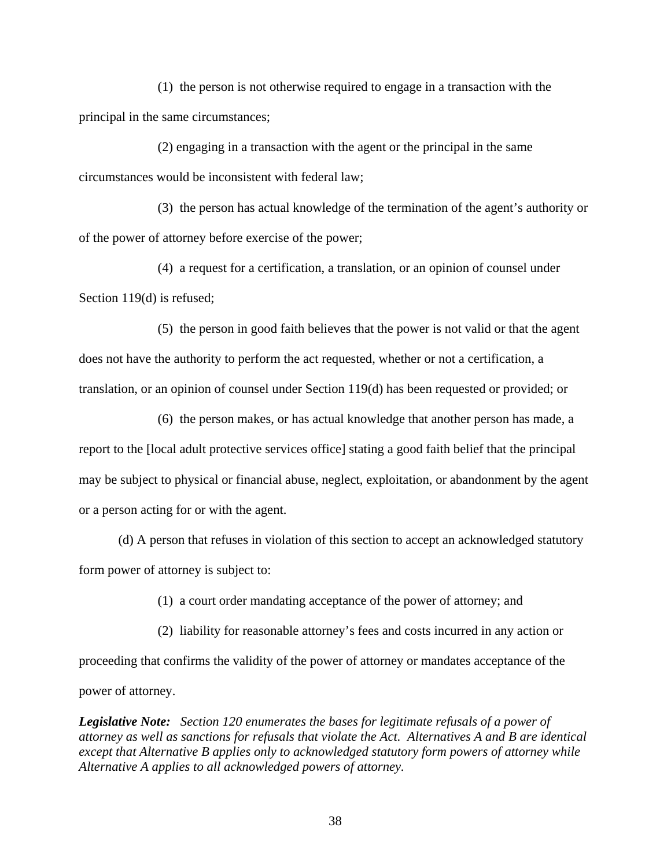(1) the person is not otherwise required to engage in a transaction with the principal in the same circumstances;

 (2) engaging in a transaction with the agent or the principal in the same circumstances would be inconsistent with federal law;

 (3) the person has actual knowledge of the termination of the agent's authority or of the power of attorney before exercise of the power;

 (4) a request for a certification, a translation, or an opinion of counsel under Section 119(d) is refused;

 (5) the person in good faith believes that the power is not valid or that the agent does not have the authority to perform the act requested, whether or not a certification, a translation, or an opinion of counsel under Section 119(d) has been requested or provided; or

 (6) the person makes, or has actual knowledge that another person has made, a report to the [local adult protective services office] stating a good faith belief that the principal may be subject to physical or financial abuse, neglect, exploitation, or abandonment by the agent or a person acting for or with the agent.

 (d) A person that refuses in violation of this section to accept an acknowledged statutory form power of attorney is subject to:

(1) a court order mandating acceptance of the power of attorney; and

 (2) liability for reasonable attorney's fees and costs incurred in any action or proceeding that confirms the validity of the power of attorney or mandates acceptance of the power of attorney.

*Legislative Note: Section 120 enumerates the bases for legitimate refusals of a power of attorney as well as sanctions for refusals that violate the Act. Alternatives A and B are identical except that Alternative B applies only to acknowledged statutory form powers of attorney while Alternative A applies to all acknowledged powers of attorney.*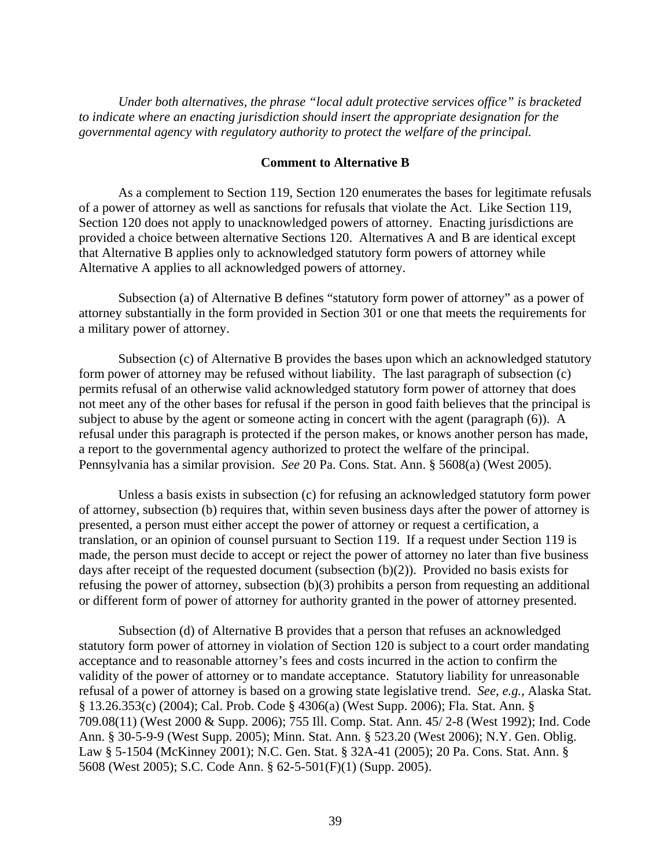*Under both alternatives, the phrase "local adult protective services office" is bracketed to indicate where an enacting jurisdiction should insert the appropriate designation for the governmental agency with regulatory authority to protect the welfare of the principal.* 

# **Comment to Alternative B**

 As a complement to Section 119, Section 120 enumerates the bases for legitimate refusals of a power of attorney as well as sanctions for refusals that violate the Act. Like Section 119, Section 120 does not apply to unacknowledged powers of attorney. Enacting jurisdictions are provided a choice between alternative Sections 120. Alternatives A and B are identical except that Alternative B applies only to acknowledged statutory form powers of attorney while Alternative A applies to all acknowledged powers of attorney.

 Subsection (a) of Alternative B defines "statutory form power of attorney" as a power of attorney substantially in the form provided in Section 301 or one that meets the requirements for a military power of attorney.

 Subsection (c) of Alternative B provides the bases upon which an acknowledged statutory form power of attorney may be refused without liability. The last paragraph of subsection (c) permits refusal of an otherwise valid acknowledged statutory form power of attorney that does not meet any of the other bases for refusal if the person in good faith believes that the principal is subject to abuse by the agent or someone acting in concert with the agent (paragraph (6)). A refusal under this paragraph is protected if the person makes, or knows another person has made, a report to the governmental agency authorized to protect the welfare of the principal. Pennsylvania has a similar provision. *See* 20 Pa. Cons. Stat. Ann. § 5608(a) (West 2005).

 Unless a basis exists in subsection (c) for refusing an acknowledged statutory form power of attorney, subsection (b) requires that, within seven business days after the power of attorney is presented, a person must either accept the power of attorney or request a certification, a translation, or an opinion of counsel pursuant to Section 119. If a request under Section 119 is made, the person must decide to accept or reject the power of attorney no later than five business days after receipt of the requested document (subsection (b)(2)). Provided no basis exists for refusing the power of attorney, subsection (b)(3) prohibits a person from requesting an additional or different form of power of attorney for authority granted in the power of attorney presented.

 Subsection (d) of Alternative B provides that a person that refuses an acknowledged statutory form power of attorney in violation of Section 120 is subject to a court order mandating acceptance and to reasonable attorney's fees and costs incurred in the action to confirm the validity of the power of attorney or to mandate acceptance. Statutory liability for unreasonable refusal of a power of attorney is based on a growing state legislative trend. *See, e.g.*, Alaska Stat. § 13.26.353(c) (2004); Cal. Prob. Code § 4306(a) (West Supp. 2006); Fla. Stat. Ann. § 709.08(11) (West 2000 & Supp. 2006); 755 Ill. Comp. Stat. Ann. 45/ 2-8 (West 1992); Ind. Code Ann. § 30-5-9-9 (West Supp. 2005); Minn. Stat. Ann. § 523.20 (West 2006); N.Y. Gen. Oblig. Law § 5-1504 (McKinney 2001); N.C. Gen. Stat. § 32A-41 (2005); 20 Pa. Cons. Stat. Ann. § 5608 (West 2005); S.C. Code Ann. § 62-5-501(F)(1) (Supp. 2005).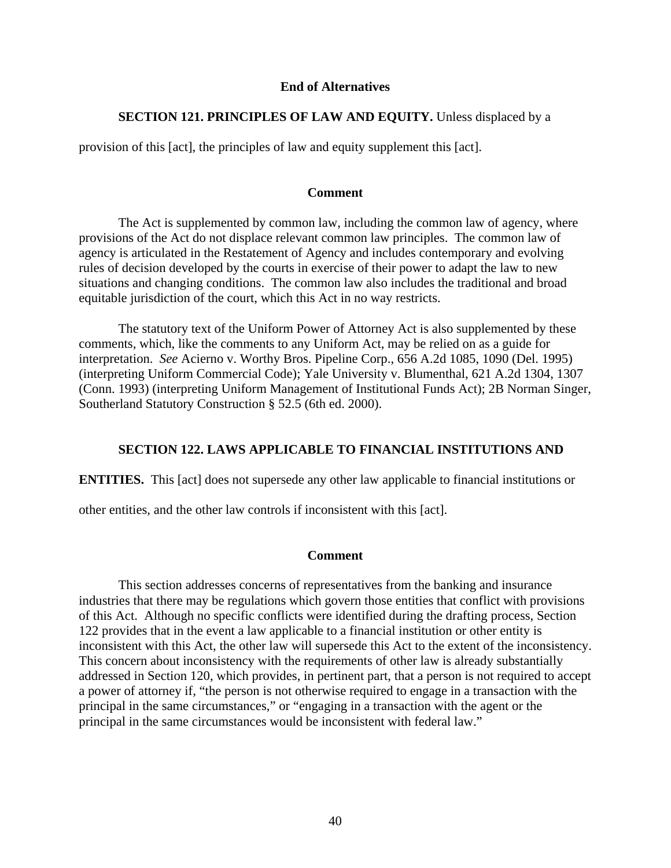# **End of Alternatives**

# **SECTION 121. PRINCIPLES OF LAW AND EQUITY.** Unless displaced by a

provision of this [act], the principles of law and equity supplement this [act].

# **Comment**

The Act is supplemented by common law, including the common law of agency, where provisions of the Act do not displace relevant common law principles. The common law of agency is articulated in the Restatement of Agency and includes contemporary and evolving rules of decision developed by the courts in exercise of their power to adapt the law to new situations and changing conditions. The common law also includes the traditional and broad equitable jurisdiction of the court, which this Act in no way restricts.

 The statutory text of the Uniform Power of Attorney Act is also supplemented by these comments, which, like the comments to any Uniform Act, may be relied on as a guide for interpretation. *See* Acierno v. Worthy Bros. Pipeline Corp., 656 A.2d 1085, 1090 (Del. 1995) (interpreting Uniform Commercial Code); Yale University v. Blumenthal, 621 A.2d 1304, 1307 (Conn. 1993) (interpreting Uniform Management of Institutional Funds Act); 2B Norman Singer, Southerland Statutory Construction § 52.5 (6th ed. 2000).

# **SECTION 122. LAWS APPLICABLE TO FINANCIAL INSTITUTIONS AND**

**ENTITIES.** This [act] does not supersede any other law applicable to financial institutions or

other entities, and the other law controls if inconsistent with this [act].

# **Comment**

This section addresses concerns of representatives from the banking and insurance industries that there may be regulations which govern those entities that conflict with provisions of this Act. Although no specific conflicts were identified during the drafting process, Section 122 provides that in the event a law applicable to a financial institution or other entity is inconsistent with this Act, the other law will supersede this Act to the extent of the inconsistency. This concern about inconsistency with the requirements of other law is already substantially addressed in Section 120, which provides, in pertinent part, that a person is not required to accept a power of attorney if, "the person is not otherwise required to engage in a transaction with the principal in the same circumstances," or "engaging in a transaction with the agent or the principal in the same circumstances would be inconsistent with federal law."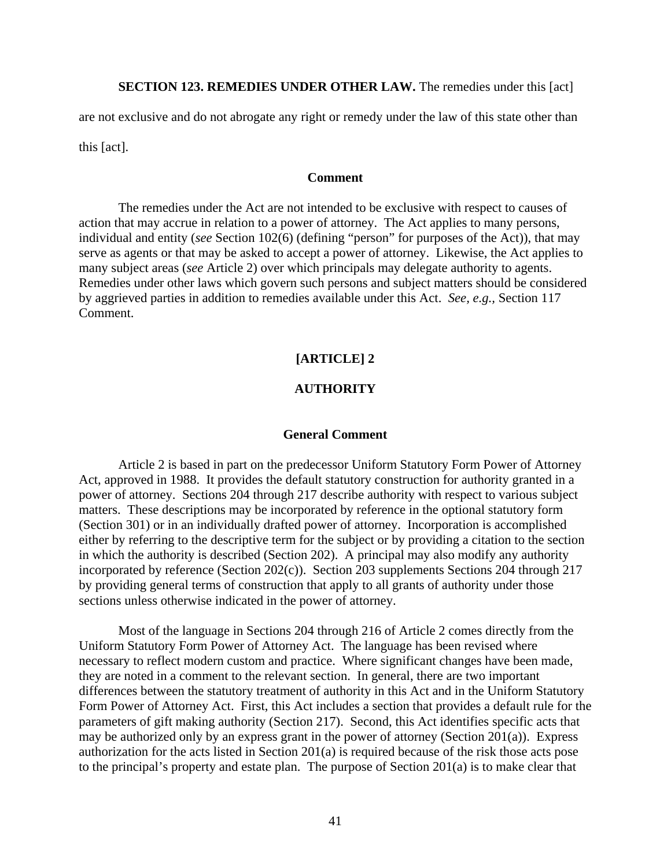**SECTION 123. REMEDIES UNDER OTHER LAW.** The remedies under this [act]

are not exclusive and do not abrogate any right or remedy under the law of this state other than

this [act].

## **Comment**

 The remedies under the Act are not intended to be exclusive with respect to causes of action that may accrue in relation to a power of attorney. The Act applies to many persons, individual and entity (*see* Section 102(6) (defining "person" for purposes of the Act)), that may serve as agents or that may be asked to accept a power of attorney. Likewise, the Act applies to many subject areas (*see* Article 2) over which principals may delegate authority to agents. Remedies under other laws which govern such persons and subject matters should be considered by aggrieved parties in addition to remedies available under this Act. *See, e.g.,* Section 117 Comment.

# **[ARTICLE] 2**

# **AUTHORITY**

#### **General Comment**

 Article 2 is based in part on the predecessor Uniform Statutory Form Power of Attorney Act, approved in 1988. It provides the default statutory construction for authority granted in a power of attorney. Sections 204 through 217 describe authority with respect to various subject matters. These descriptions may be incorporated by reference in the optional statutory form (Section 301) or in an individually drafted power of attorney. Incorporation is accomplished either by referring to the descriptive term for the subject or by providing a citation to the section in which the authority is described (Section 202). A principal may also modify any authority incorporated by reference (Section 202(c)). Section 203 supplements Sections 204 through 217 by providing general terms of construction that apply to all grants of authority under those sections unless otherwise indicated in the power of attorney.

 Most of the language in Sections 204 through 216 of Article 2 comes directly from the Uniform Statutory Form Power of Attorney Act. The language has been revised where necessary to reflect modern custom and practice. Where significant changes have been made, they are noted in a comment to the relevant section. In general, there are two important differences between the statutory treatment of authority in this Act and in the Uniform Statutory Form Power of Attorney Act. First, this Act includes a section that provides a default rule for the parameters of gift making authority (Section 217). Second, this Act identifies specific acts that may be authorized only by an express grant in the power of attorney (Section 201(a)). Express authorization for the acts listed in Section 201(a) is required because of the risk those acts pose to the principal's property and estate plan. The purpose of Section 201(a) is to make clear that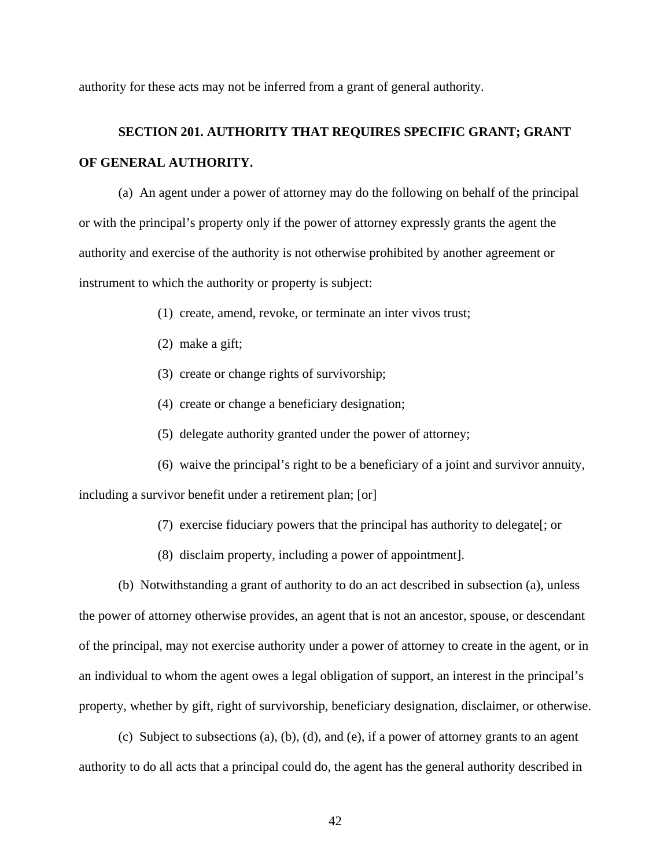authority for these acts may not be inferred from a grant of general authority.

# **SECTION 201. AUTHORITY THAT REQUIRES SPECIFIC GRANT; GRANT OF GENERAL AUTHORITY.**

 (a) An agent under a power of attorney may do the following on behalf of the principal or with the principal's property only if the power of attorney expressly grants the agent the authority and exercise of the authority is not otherwise prohibited by another agreement or instrument to which the authority or property is subject:

- (1) create, amend, revoke, or terminate an inter vivos trust;
- (2) make a gift;
- (3) create or change rights of survivorship;
- (4) create or change a beneficiary designation;
- (5) delegate authority granted under the power of attorney;
- (6) waive the principal's right to be a beneficiary of a joint and survivor annuity,

including a survivor benefit under a retirement plan; [or]

- (7) exercise fiduciary powers that the principal has authority to delegate[; or
- (8) disclaim property, including a power of appointment].

 (b) Notwithstanding a grant of authority to do an act described in subsection (a), unless the power of attorney otherwise provides, an agent that is not an ancestor, spouse, or descendant of the principal, may not exercise authority under a power of attorney to create in the agent, or in an individual to whom the agent owes a legal obligation of support, an interest in the principal's property, whether by gift, right of survivorship, beneficiary designation, disclaimer, or otherwise.

 (c) Subject to subsections (a), (b), (d), and (e), if a power of attorney grants to an agent authority to do all acts that a principal could do, the agent has the general authority described in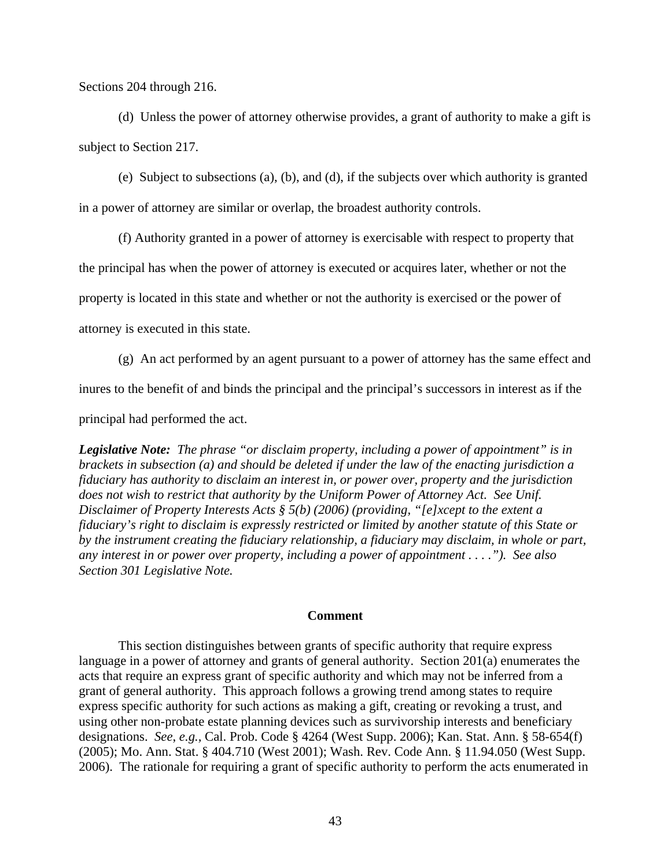Sections 204 through 216.

 (d) Unless the power of attorney otherwise provides, a grant of authority to make a gift is subject to Section 217.

 (e) Subject to subsections (a), (b), and (d), if the subjects over which authority is granted in a power of attorney are similar or overlap, the broadest authority controls.

 (f) Authority granted in a power of attorney is exercisable with respect to property that the principal has when the power of attorney is executed or acquires later, whether or not the property is located in this state and whether or not the authority is exercised or the power of attorney is executed in this state.

(g) An act performed by an agent pursuant to a power of attorney has the same effect and

inures to the benefit of and binds the principal and the principal's successors in interest as if the

principal had performed the act.

*Legislative Note: The phrase "or disclaim property, including a power of appointment" is in brackets in subsection (a) and should be deleted if under the law of the enacting jurisdiction a fiduciary has authority to disclaim an interest in, or power over, property and the jurisdiction does not wish to restrict that authority by the Uniform Power of Attorney Act. See Unif. Disclaimer of Property Interests Acts § 5(b) (2006) (providing, "[e]xcept to the extent a fiduciary's right to disclaim is expressly restricted or limited by another statute of this State or by the instrument creating the fiduciary relationship, a fiduciary may disclaim, in whole or part, any interest in or power over property, including a power of appointment . . . ."). See also Section 301 Legislative Note.*

#### **Comment**

This section distinguishes between grants of specific authority that require express language in a power of attorney and grants of general authority. Section 201(a) enumerates the acts that require an express grant of specific authority and which may not be inferred from a grant of general authority. This approach follows a growing trend among states to require express specific authority for such actions as making a gift, creating or revoking a trust, and using other non-probate estate planning devices such as survivorship interests and beneficiary designations. *See*, *e.g.,* Cal. Prob. Code § 4264 (West Supp. 2006); Kan. Stat. Ann. § 58-654(f) (2005); Mo. Ann. Stat. § 404.710 (West 2001); Wash. Rev. Code Ann. § 11.94.050 (West Supp. 2006). The rationale for requiring a grant of specific authority to perform the acts enumerated in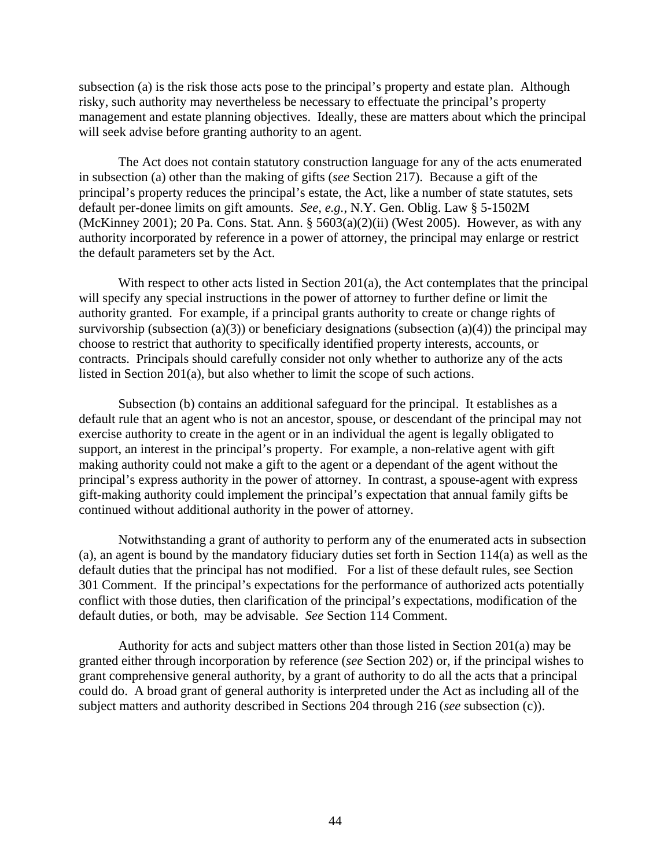subsection (a) is the risk those acts pose to the principal's property and estate plan. Although risky, such authority may nevertheless be necessary to effectuate the principal's property management and estate planning objectives. Ideally, these are matters about which the principal will seek advise before granting authority to an agent.

 The Act does not contain statutory construction language for any of the acts enumerated in subsection (a) other than the making of gifts (*see* Section 217). Because a gift of the principal's property reduces the principal's estate, the Act, like a number of state statutes, sets default per-donee limits on gift amounts. *See, e.g.*, N.Y. Gen. Oblig. Law § 5-1502M (McKinney 2001); 20 Pa. Cons. Stat. Ann. § 5603(a)(2)(ii) (West 2005). However, as with any authority incorporated by reference in a power of attorney, the principal may enlarge or restrict the default parameters set by the Act.

With respect to other acts listed in Section 201(a), the Act contemplates that the principal will specify any special instructions in the power of attorney to further define or limit the authority granted. For example, if a principal grants authority to create or change rights of survivorship (subsection (a)(3)) or beneficiary designations (subsection (a)(4)) the principal may choose to restrict that authority to specifically identified property interests, accounts, or contracts. Principals should carefully consider not only whether to authorize any of the acts listed in Section 201(a), but also whether to limit the scope of such actions.

 Subsection (b) contains an additional safeguard for the principal. It establishes as a default rule that an agent who is not an ancestor, spouse, or descendant of the principal may not exercise authority to create in the agent or in an individual the agent is legally obligated to support, an interest in the principal's property. For example, a non-relative agent with gift making authority could not make a gift to the agent or a dependant of the agent without the principal's express authority in the power of attorney. In contrast, a spouse-agent with express gift-making authority could implement the principal's expectation that annual family gifts be continued without additional authority in the power of attorney.

Notwithstanding a grant of authority to perform any of the enumerated acts in subsection (a), an agent is bound by the mandatory fiduciary duties set forth in Section 114(a) as well as the default duties that the principal has not modified. For a list of these default rules, see Section 301 Comment. If the principal's expectations for the performance of authorized acts potentially conflict with those duties, then clarification of the principal's expectations, modification of the default duties, or both, may be advisable. *See* Section 114 Comment.

 Authority for acts and subject matters other than those listed in Section 201(a) may be granted either through incorporation by reference (*see* Section 202) or, if the principal wishes to grant comprehensive general authority, by a grant of authority to do all the acts that a principal could do. A broad grant of general authority is interpreted under the Act as including all of the subject matters and authority described in Sections 204 through 216 (*see* subsection (c)).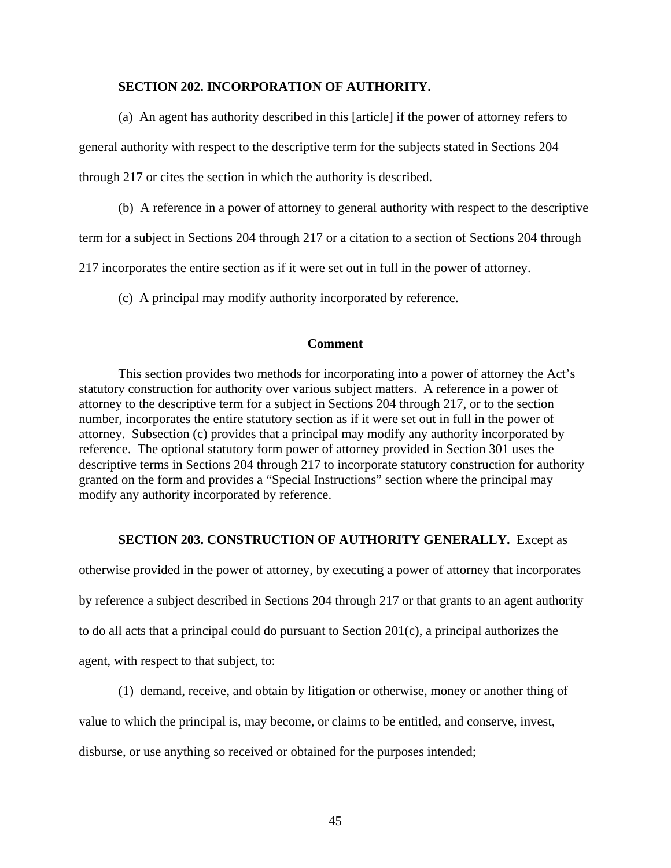## **SECTION 202. INCORPORATION OF AUTHORITY.**

 (a) An agent has authority described in this [article] if the power of attorney refers to general authority with respect to the descriptive term for the subjects stated in Sections 204 through 217 or cites the section in which the authority is described.

(b) A reference in a power of attorney to general authority with respect to the descriptive

term for a subject in Sections 204 through 217 or a citation to a section of Sections 204 through

217 incorporates the entire section as if it were set out in full in the power of attorney.

(c) A principal may modify authority incorporated by reference.

## **Comment**

 This section provides two methods for incorporating into a power of attorney the Act's statutory construction for authority over various subject matters. A reference in a power of attorney to the descriptive term for a subject in Sections 204 through 217, or to the section number, incorporates the entire statutory section as if it were set out in full in the power of attorney. Subsection (c) provides that a principal may modify any authority incorporated by reference. The optional statutory form power of attorney provided in Section 301 uses the descriptive terms in Sections 204 through 217 to incorporate statutory construction for authority granted on the form and provides a "Special Instructions" section where the principal may modify any authority incorporated by reference.

## **SECTION 203. CONSTRUCTION OF AUTHORITY GENERALLY.** Except as

otherwise provided in the power of attorney, by executing a power of attorney that incorporates by reference a subject described in Sections 204 through 217 or that grants to an agent authority to do all acts that a principal could do pursuant to Section 201(c), a principal authorizes the agent, with respect to that subject, to:

(1) demand, receive, and obtain by litigation or otherwise, money or another thing of

value to which the principal is, may become, or claims to be entitled, and conserve, invest, disburse, or use anything so received or obtained for the purposes intended;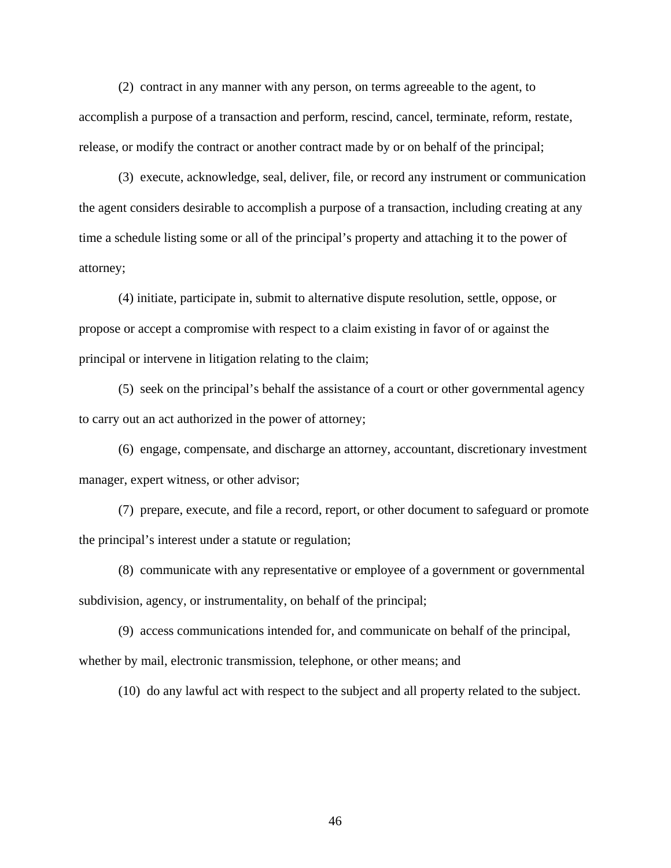(2) contract in any manner with any person, on terms agreeable to the agent, to accomplish a purpose of a transaction and perform, rescind, cancel, terminate, reform, restate, release, or modify the contract or another contract made by or on behalf of the principal;

 (3) execute, acknowledge, seal, deliver, file, or record any instrument or communication the agent considers desirable to accomplish a purpose of a transaction, including creating at any time a schedule listing some or all of the principal's property and attaching it to the power of attorney;

 (4) initiate, participate in, submit to alternative dispute resolution, settle, oppose, or propose or accept a compromise with respect to a claim existing in favor of or against the principal or intervene in litigation relating to the claim;

 (5) seek on the principal's behalf the assistance of a court or other governmental agency to carry out an act authorized in the power of attorney;

 (6) engage, compensate, and discharge an attorney, accountant, discretionary investment manager, expert witness, or other advisor;

 (7) prepare, execute, and file a record, report, or other document to safeguard or promote the principal's interest under a statute or regulation;

 (8) communicate with any representative or employee of a government or governmental subdivision, agency, or instrumentality, on behalf of the principal;

 (9) access communications intended for, and communicate on behalf of the principal, whether by mail, electronic transmission, telephone, or other means; and

(10) do any lawful act with respect to the subject and all property related to the subject.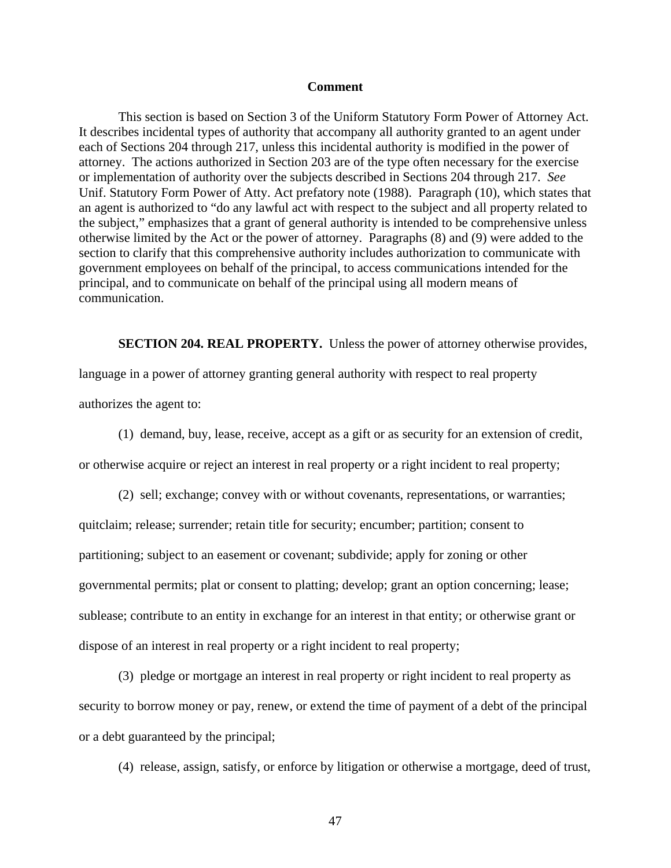#### **Comment**

This section is based on Section 3 of the Uniform Statutory Form Power of Attorney Act. It describes incidental types of authority that accompany all authority granted to an agent under each of Sections 204 through 217, unless this incidental authority is modified in the power of attorney. The actions authorized in Section 203 are of the type often necessary for the exercise or implementation of authority over the subjects described in Sections 204 through 217. *See*  Unif. Statutory Form Power of Atty. Act prefatory note (1988). Paragraph (10), which states that an agent is authorized to "do any lawful act with respect to the subject and all property related to the subject," emphasizes that a grant of general authority is intended to be comprehensive unless otherwise limited by the Act or the power of attorney. Paragraphs (8) and (9) were added to the section to clarify that this comprehensive authority includes authorization to communicate with government employees on behalf of the principal, to access communications intended for the principal, and to communicate on behalf of the principal using all modern means of communication.

**SECTION 204. REAL PROPERTY.** Unless the power of attorney otherwise provides,

language in a power of attorney granting general authority with respect to real property

authorizes the agent to:

(1) demand, buy, lease, receive, accept as a gift or as security for an extension of credit,

or otherwise acquire or reject an interest in real property or a right incident to real property;

(2) sell; exchange; convey with or without covenants, representations, or warranties;

quitclaim; release; surrender; retain title for security; encumber; partition; consent to

partitioning; subject to an easement or covenant; subdivide; apply for zoning or other

governmental permits; plat or consent to platting; develop; grant an option concerning; lease;

sublease; contribute to an entity in exchange for an interest in that entity; or otherwise grant or

dispose of an interest in real property or a right incident to real property;

 (3) pledge or mortgage an interest in real property or right incident to real property as security to borrow money or pay, renew, or extend the time of payment of a debt of the principal or a debt guaranteed by the principal;

(4) release, assign, satisfy, or enforce by litigation or otherwise a mortgage, deed of trust,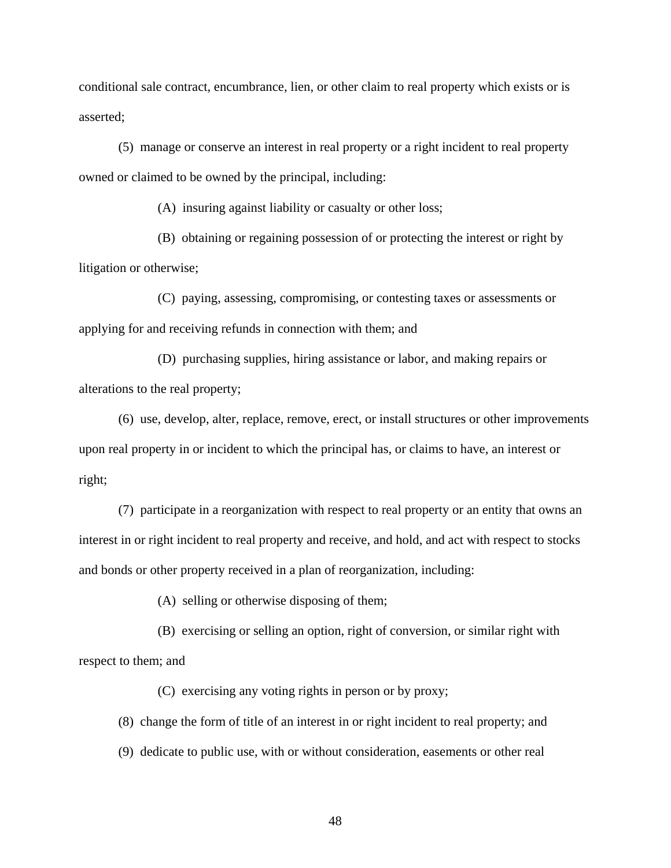conditional sale contract, encumbrance, lien, or other claim to real property which exists or is asserted;

 (5) manage or conserve an interest in real property or a right incident to real property owned or claimed to be owned by the principal, including:

(A) insuring against liability or casualty or other loss;

 (B) obtaining or regaining possession of or protecting the interest or right by litigation or otherwise;

 (C) paying, assessing, compromising, or contesting taxes or assessments or applying for and receiving refunds in connection with them; and

 (D) purchasing supplies, hiring assistance or labor, and making repairs or alterations to the real property;

 (6) use, develop, alter, replace, remove, erect, or install structures or other improvements upon real property in or incident to which the principal has, or claims to have, an interest or right;

 (7) participate in a reorganization with respect to real property or an entity that owns an interest in or right incident to real property and receive, and hold, and act with respect to stocks and bonds or other property received in a plan of reorganization, including:

(A) selling or otherwise disposing of them;

 (B) exercising or selling an option, right of conversion, or similar right with respect to them; and

(C) exercising any voting rights in person or by proxy;

(8) change the form of title of an interest in or right incident to real property; and

(9) dedicate to public use, with or without consideration, easements or other real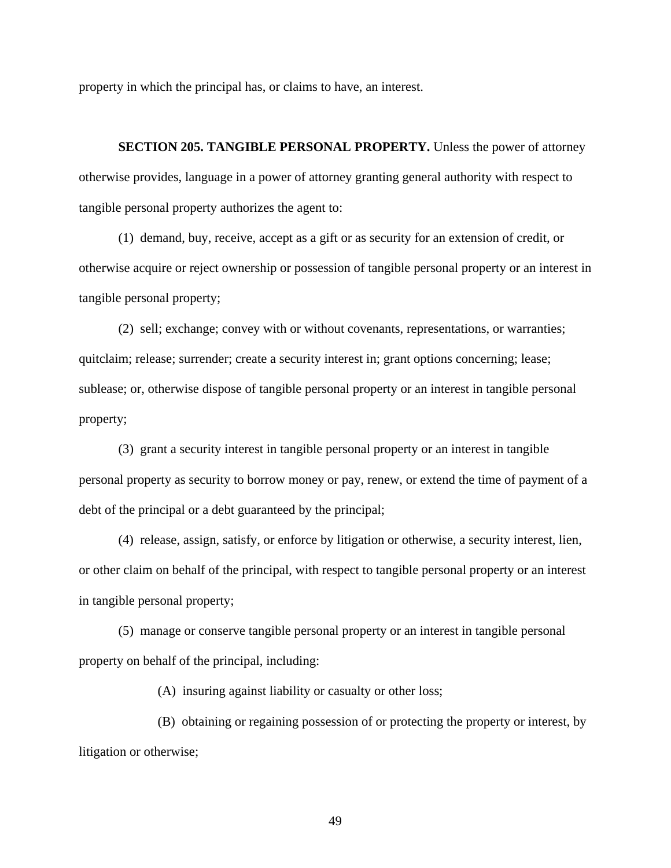property in which the principal has, or claims to have, an interest.

**SECTION 205. TANGIBLE PERSONAL PROPERTY.** Unless the power of attorney otherwise provides, language in a power of attorney granting general authority with respect to tangible personal property authorizes the agent to:

 (1) demand, buy, receive, accept as a gift or as security for an extension of credit, or otherwise acquire or reject ownership or possession of tangible personal property or an interest in tangible personal property;

 (2) sell; exchange; convey with or without covenants, representations, or warranties; quitclaim; release; surrender; create a security interest in; grant options concerning; lease; sublease; or, otherwise dispose of tangible personal property or an interest in tangible personal property;

 (3) grant a security interest in tangible personal property or an interest in tangible personal property as security to borrow money or pay, renew, or extend the time of payment of a debt of the principal or a debt guaranteed by the principal;

 (4) release, assign, satisfy, or enforce by litigation or otherwise, a security interest, lien, or other claim on behalf of the principal, with respect to tangible personal property or an interest in tangible personal property;

 (5) manage or conserve tangible personal property or an interest in tangible personal property on behalf of the principal, including:

(A) insuring against liability or casualty or other loss;

 (B) obtaining or regaining possession of or protecting the property or interest, by litigation or otherwise;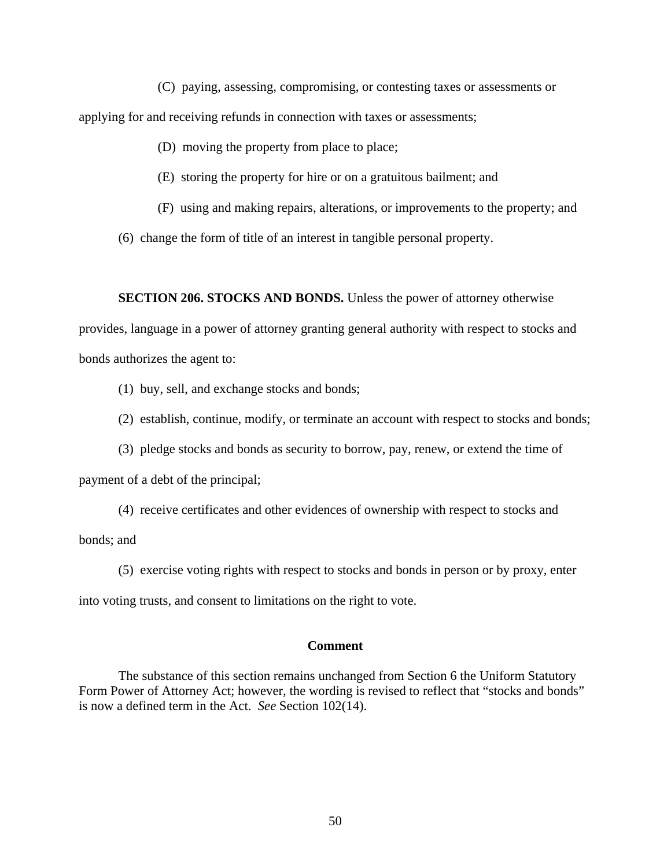(C) paying, assessing, compromising, or contesting taxes or assessments or applying for and receiving refunds in connection with taxes or assessments;

(D) moving the property from place to place;

(E) storing the property for hire or on a gratuitous bailment; and

(F) using and making repairs, alterations, or improvements to the property; and

(6) change the form of title of an interest in tangible personal property.

**SECTION 206. STOCKS AND BONDS.** Unless the power of attorney otherwise

provides, language in a power of attorney granting general authority with respect to stocks and bonds authorizes the agent to:

- (1) buy, sell, and exchange stocks and bonds;
- (2) establish, continue, modify, or terminate an account with respect to stocks and bonds;
- (3) pledge stocks and bonds as security to borrow, pay, renew, or extend the time of

payment of a debt of the principal;

 (4) receive certificates and other evidences of ownership with respect to stocks and bonds; and

(5) exercise voting rights with respect to stocks and bonds in person or by proxy, enter

into voting trusts, and consent to limitations on the right to vote.

# **Comment**

The substance of this section remains unchanged from Section 6 the Uniform Statutory Form Power of Attorney Act; however, the wording is revised to reflect that "stocks and bonds" is now a defined term in the Act. *See* Section 102(14).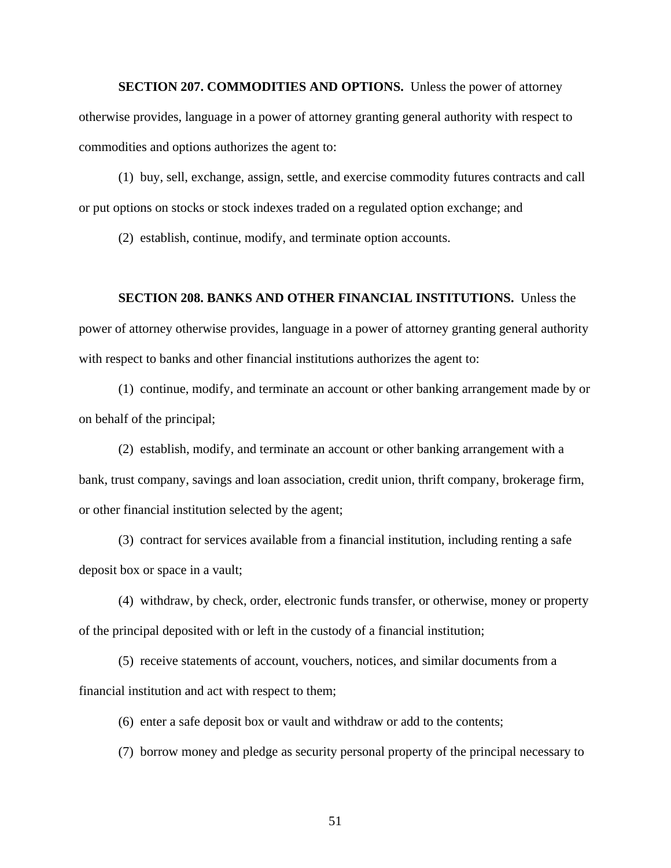**SECTION 207. COMMODITIES AND OPTIONS.** Unless the power of attorney otherwise provides, language in a power of attorney granting general authority with respect to commodities and options authorizes the agent to:

 (1) buy, sell, exchange, assign, settle, and exercise commodity futures contracts and call or put options on stocks or stock indexes traded on a regulated option exchange; and

(2) establish, continue, modify, and terminate option accounts.

#### **SECTION 208. BANKS AND OTHER FINANCIAL INSTITUTIONS.** Unless the

power of attorney otherwise provides, language in a power of attorney granting general authority with respect to banks and other financial institutions authorizes the agent to:

 (1) continue, modify, and terminate an account or other banking arrangement made by or on behalf of the principal;

 (2) establish, modify, and terminate an account or other banking arrangement with a bank, trust company, savings and loan association, credit union, thrift company, brokerage firm, or other financial institution selected by the agent;

 (3) contract for services available from a financial institution, including renting a safe deposit box or space in a vault;

 (4) withdraw, by check, order, electronic funds transfer, or otherwise, money or property of the principal deposited with or left in the custody of a financial institution;

 (5) receive statements of account, vouchers, notices, and similar documents from a financial institution and act with respect to them;

(6) enter a safe deposit box or vault and withdraw or add to the contents;

(7) borrow money and pledge as security personal property of the principal necessary to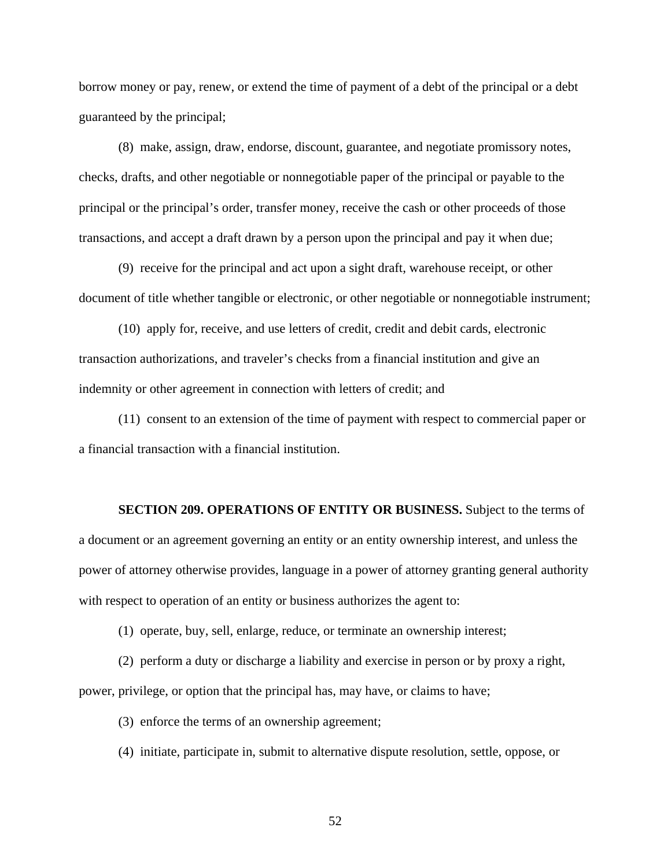borrow money or pay, renew, or extend the time of payment of a debt of the principal or a debt guaranteed by the principal;

 (8) make, assign, draw, endorse, discount, guarantee, and negotiate promissory notes, checks, drafts, and other negotiable or nonnegotiable paper of the principal or payable to the principal or the principal's order, transfer money, receive the cash or other proceeds of those transactions, and accept a draft drawn by a person upon the principal and pay it when due;

 (9) receive for the principal and act upon a sight draft, warehouse receipt, or other document of title whether tangible or electronic, or other negotiable or nonnegotiable instrument;

 (10) apply for, receive, and use letters of credit, credit and debit cards, electronic transaction authorizations, and traveler's checks from a financial institution and give an indemnity or other agreement in connection with letters of credit; and

 (11) consent to an extension of the time of payment with respect to commercial paper or a financial transaction with a financial institution.

#### **SECTION 209. OPERATIONS OF ENTITY OR BUSINESS.** Subject to the terms of

a document or an agreement governing an entity or an entity ownership interest, and unless the power of attorney otherwise provides, language in a power of attorney granting general authority with respect to operation of an entity or business authorizes the agent to:

(1) operate, buy, sell, enlarge, reduce, or terminate an ownership interest;

 (2) perform a duty or discharge a liability and exercise in person or by proxy a right, power, privilege, or option that the principal has, may have, or claims to have;

(3) enforce the terms of an ownership agreement;

(4) initiate, participate in, submit to alternative dispute resolution, settle, oppose, or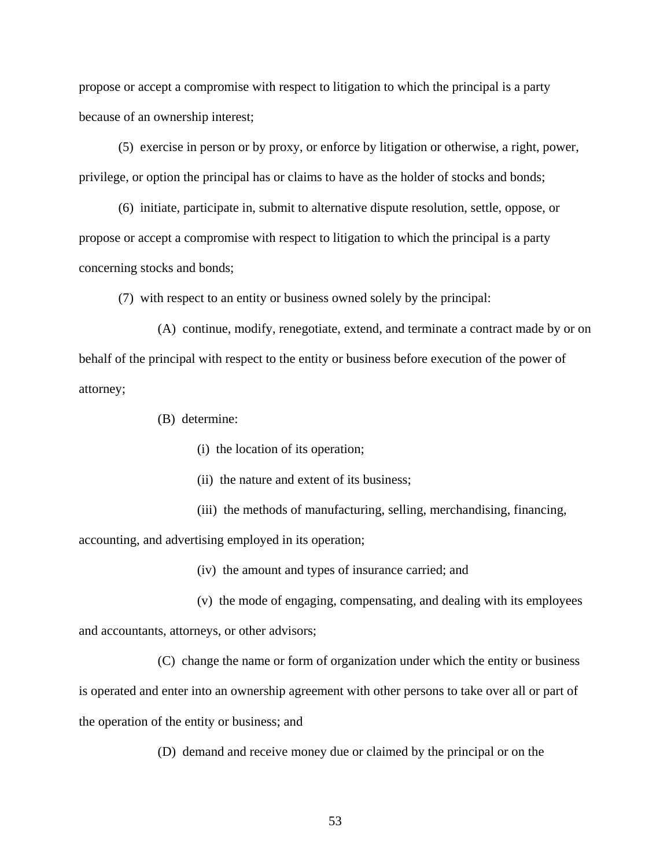propose or accept a compromise with respect to litigation to which the principal is a party because of an ownership interest;

 (5) exercise in person or by proxy, or enforce by litigation or otherwise, a right, power, privilege, or option the principal has or claims to have as the holder of stocks and bonds;

 (6) initiate, participate in, submit to alternative dispute resolution, settle, oppose, or propose or accept a compromise with respect to litigation to which the principal is a party concerning stocks and bonds;

(7) with respect to an entity or business owned solely by the principal:

 (A) continue, modify, renegotiate, extend, and terminate a contract made by or on behalf of the principal with respect to the entity or business before execution of the power of attorney;

(B) determine:

(i) the location of its operation;

(ii) the nature and extent of its business;

(iii) the methods of manufacturing, selling, merchandising, financing,

accounting, and advertising employed in its operation;

(iv) the amount and types of insurance carried; and

 (v) the mode of engaging, compensating, and dealing with its employees and accountants, attorneys, or other advisors;

 (C) change the name or form of organization under which the entity or business is operated and enter into an ownership agreement with other persons to take over all or part of the operation of the entity or business; and

(D) demand and receive money due or claimed by the principal or on the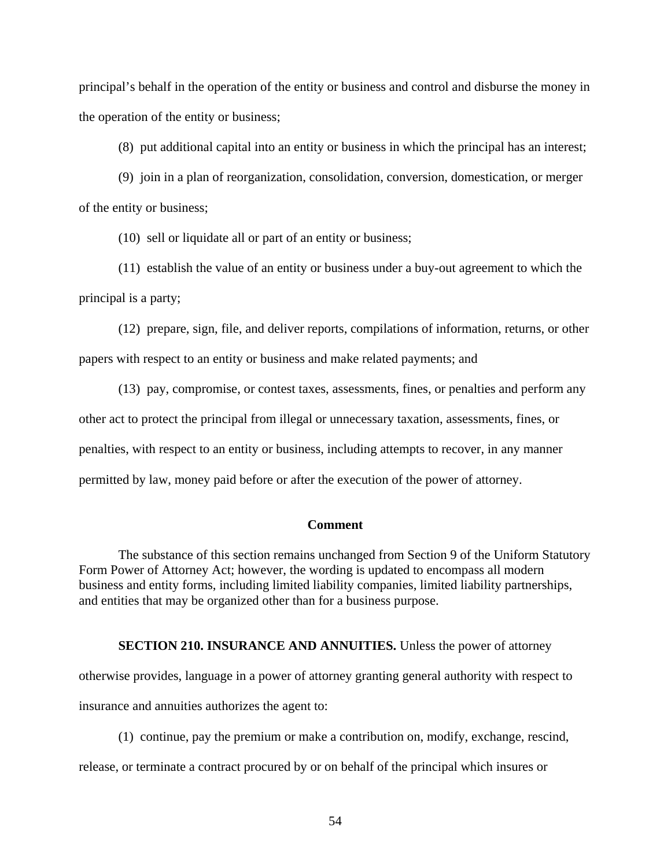principal's behalf in the operation of the entity or business and control and disburse the money in the operation of the entity or business;

(8) put additional capital into an entity or business in which the principal has an interest;

 (9) join in a plan of reorganization, consolidation, conversion, domestication, or merger of the entity or business;

(10) sell or liquidate all or part of an entity or business;

 (11) establish the value of an entity or business under a buy-out agreement to which the principal is a party;

 (12) prepare, sign, file, and deliver reports, compilations of information, returns, or other papers with respect to an entity or business and make related payments; and

 (13) pay, compromise, or contest taxes, assessments, fines, or penalties and perform any other act to protect the principal from illegal or unnecessary taxation, assessments, fines, or penalties, with respect to an entity or business, including attempts to recover, in any manner permitted by law, money paid before or after the execution of the power of attorney.

# **Comment**

The substance of this section remains unchanged from Section 9 of the Uniform Statutory Form Power of Attorney Act; however, the wording is updated to encompass all modern business and entity forms, including limited liability companies, limited liability partnerships, and entities that may be organized other than for a business purpose.

#### **SECTION 210. INSURANCE AND ANNUITIES.** Unless the power of attorney

otherwise provides, language in a power of attorney granting general authority with respect to insurance and annuities authorizes the agent to:

(1) continue, pay the premium or make a contribution on, modify, exchange, rescind,

release, or terminate a contract procured by or on behalf of the principal which insures or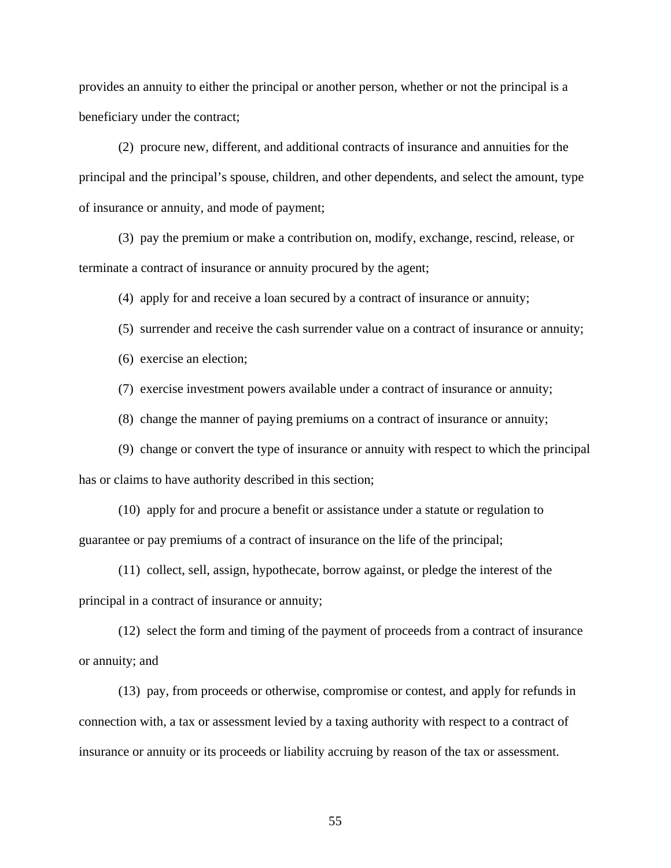provides an annuity to either the principal or another person, whether or not the principal is a beneficiary under the contract;

 (2) procure new, different, and additional contracts of insurance and annuities for the principal and the principal's spouse, children, and other dependents, and select the amount, type of insurance or annuity, and mode of payment;

 (3) pay the premium or make a contribution on, modify, exchange, rescind, release, or terminate a contract of insurance or annuity procured by the agent;

(4) apply for and receive a loan secured by a contract of insurance or annuity;

- (5) surrender and receive the cash surrender value on a contract of insurance or annuity;
- (6) exercise an election;
- (7) exercise investment powers available under a contract of insurance or annuity;
- (8) change the manner of paying premiums on a contract of insurance or annuity;

 (9) change or convert the type of insurance or annuity with respect to which the principal has or claims to have authority described in this section;

 (10) apply for and procure a benefit or assistance under a statute or regulation to guarantee or pay premiums of a contract of insurance on the life of the principal;

 (11) collect, sell, assign, hypothecate, borrow against, or pledge the interest of the principal in a contract of insurance or annuity;

 (12) select the form and timing of the payment of proceeds from a contract of insurance or annuity; and

 (13) pay, from proceeds or otherwise, compromise or contest, and apply for refunds in connection with, a tax or assessment levied by a taxing authority with respect to a contract of insurance or annuity or its proceeds or liability accruing by reason of the tax or assessment.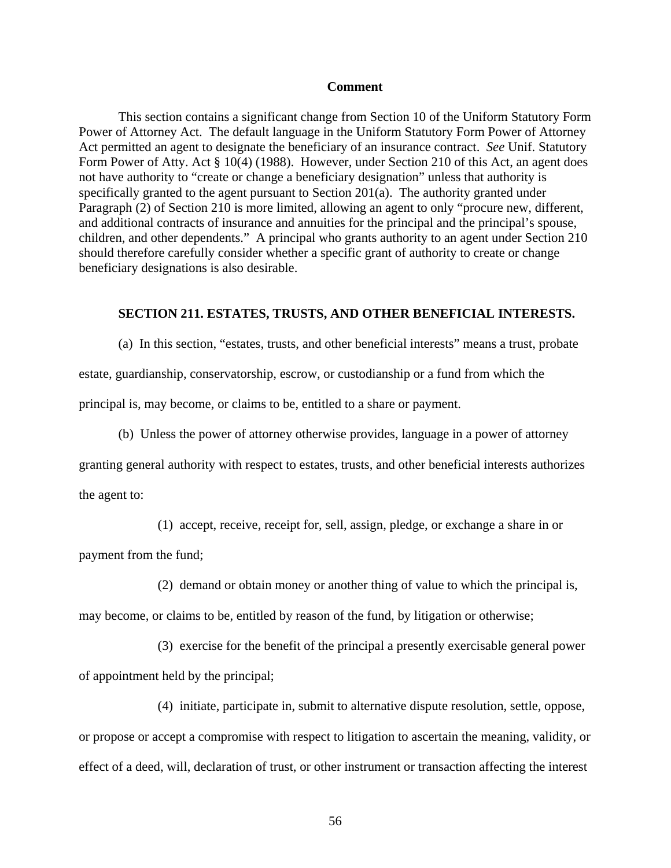#### **Comment**

 This section contains a significant change from Section 10 of the Uniform Statutory Form Power of Attorney Act. The default language in the Uniform Statutory Form Power of Attorney Act permitted an agent to designate the beneficiary of an insurance contract. *See* Unif. Statutory Form Power of Atty. Act § 10(4) (1988). However, under Section 210 of this Act, an agent does not have authority to "create or change a beneficiary designation" unless that authority is specifically granted to the agent pursuant to Section 201(a). The authority granted under Paragraph (2) of Section 210 is more limited, allowing an agent to only "procure new, different, and additional contracts of insurance and annuities for the principal and the principal's spouse, children, and other dependents." A principal who grants authority to an agent under Section 210 should therefore carefully consider whether a specific grant of authority to create or change beneficiary designations is also desirable.

# **SECTION 211. ESTATES, TRUSTS, AND OTHER BENEFICIAL INTERESTS.**

(a) In this section, "estates, trusts, and other beneficial interests" means a trust, probate

estate, guardianship, conservatorship, escrow, or custodianship or a fund from which the

principal is, may become, or claims to be, entitled to a share or payment.

(b) Unless the power of attorney otherwise provides, language in a power of attorney

granting general authority with respect to estates, trusts, and other beneficial interests authorizes the agent to:

(1) accept, receive, receipt for, sell, assign, pledge, or exchange a share in or

payment from the fund;

(2) demand or obtain money or another thing of value to which the principal is,

may become, or claims to be, entitled by reason of the fund, by litigation or otherwise;

 (3) exercise for the benefit of the principal a presently exercisable general power of appointment held by the principal;

(4) initiate, participate in, submit to alternative dispute resolution, settle, oppose,

or propose or accept a compromise with respect to litigation to ascertain the meaning, validity, or effect of a deed, will, declaration of trust, or other instrument or transaction affecting the interest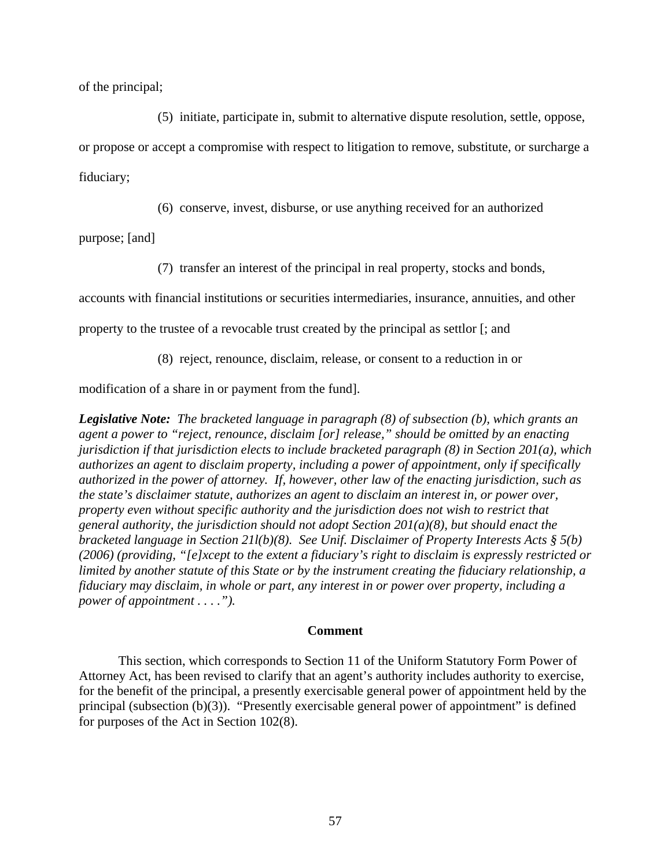of the principal;

 (5) initiate, participate in, submit to alternative dispute resolution, settle, oppose, or propose or accept a compromise with respect to litigation to remove, substitute, or surcharge a fiduciary;

(6) conserve, invest, disburse, or use anything received for an authorized

purpose; [and]

(7) transfer an interest of the principal in real property, stocks and bonds,

accounts with financial institutions or securities intermediaries, insurance, annuities, and other

property to the trustee of a revocable trust created by the principal as settlor [; and

(8) reject, renounce, disclaim, release, or consent to a reduction in or

modification of a share in or payment from the fund].

*Legislative Note: The bracketed language in paragraph (8) of subsection (b), which grants an agent a power to "reject, renounce, disclaim [or] release," should be omitted by an enacting jurisdiction if that jurisdiction elects to include bracketed paragraph (8) in Section 201(a), which authorizes an agent to disclaim property, including a power of appointment, only if specifically authorized in the power of attorney. If, however, other law of the enacting jurisdiction, such as the state's disclaimer statute, authorizes an agent to disclaim an interest in, or power over, property even without specific authority and the jurisdiction does not wish to restrict that general authority, the jurisdiction should not adopt Section 201(a)(8), but should enact the bracketed language in Section 21l(b)(8). See Unif. Disclaimer of Property Interests Acts § 5(b) (2006) (providing, "[e]xcept to the extent a fiduciary's right to disclaim is expressly restricted or limited by another statute of this State or by the instrument creating the fiduciary relationship, a fiduciary may disclaim, in whole or part, any interest in or power over property, including a power of appointment . . . .").* 

# **Comment**

 This section, which corresponds to Section 11 of the Uniform Statutory Form Power of Attorney Act, has been revised to clarify that an agent's authority includes authority to exercise, for the benefit of the principal, a presently exercisable general power of appointment held by the principal (subsection (b)(3)). "Presently exercisable general power of appointment" is defined for purposes of the Act in Section 102(8).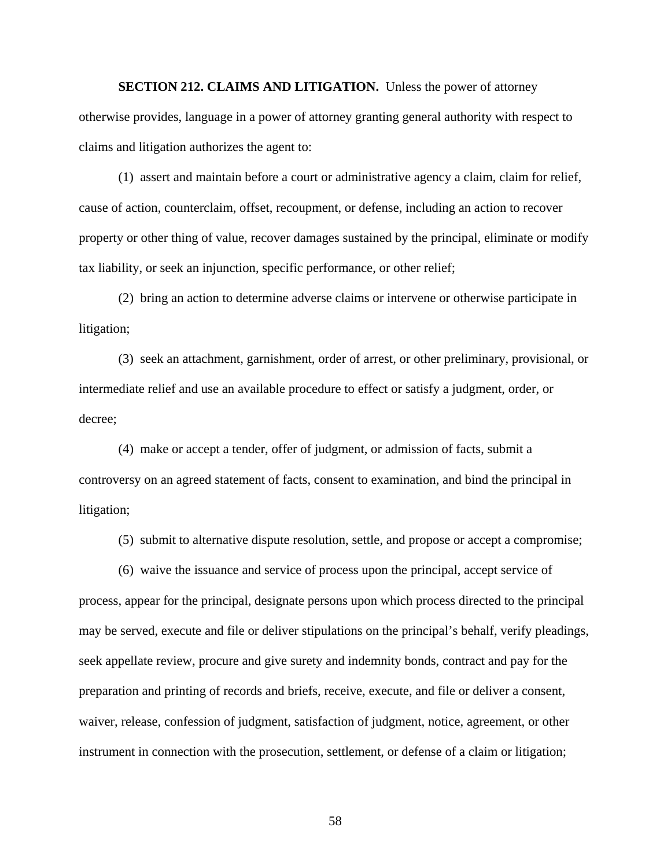**SECTION 212. CLAIMS AND LITIGATION.** Unless the power of attorney otherwise provides, language in a power of attorney granting general authority with respect to claims and litigation authorizes the agent to:

 (1) assert and maintain before a court or administrative agency a claim, claim for relief, cause of action, counterclaim, offset, recoupment, or defense, including an action to recover property or other thing of value, recover damages sustained by the principal, eliminate or modify tax liability, or seek an injunction, specific performance, or other relief;

 (2) bring an action to determine adverse claims or intervene or otherwise participate in litigation;

 (3) seek an attachment, garnishment, order of arrest, or other preliminary, provisional, or intermediate relief and use an available procedure to effect or satisfy a judgment, order, or decree;

 (4) make or accept a tender, offer of judgment, or admission of facts, submit a controversy on an agreed statement of facts, consent to examination, and bind the principal in litigation;

(5) submit to alternative dispute resolution, settle, and propose or accept a compromise;

 (6) waive the issuance and service of process upon the principal, accept service of process, appear for the principal, designate persons upon which process directed to the principal may be served, execute and file or deliver stipulations on the principal's behalf, verify pleadings, seek appellate review, procure and give surety and indemnity bonds, contract and pay for the preparation and printing of records and briefs, receive, execute, and file or deliver a consent, waiver, release, confession of judgment, satisfaction of judgment, notice, agreement, or other instrument in connection with the prosecution, settlement, or defense of a claim or litigation;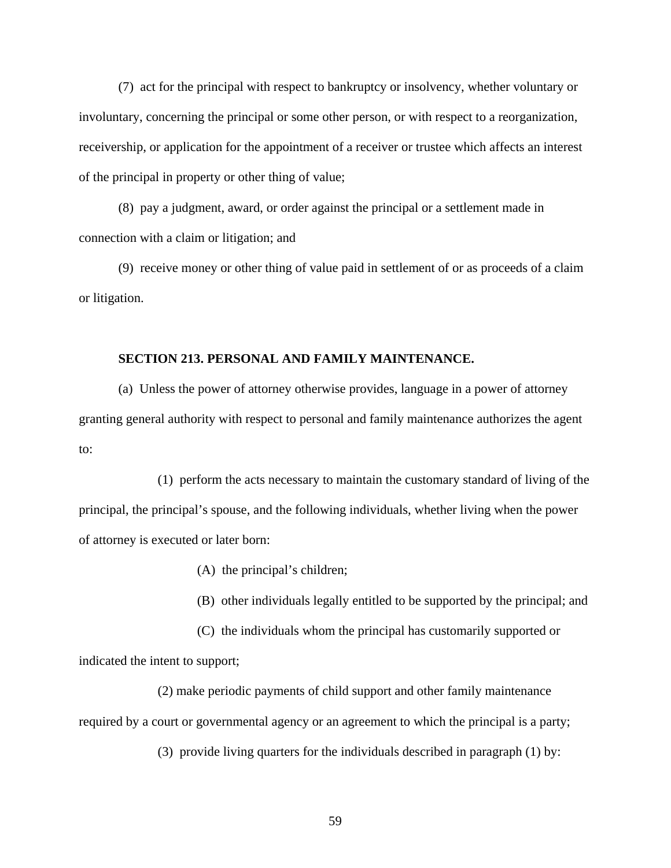(7) act for the principal with respect to bankruptcy or insolvency, whether voluntary or involuntary, concerning the principal or some other person, or with respect to a reorganization, receivership, or application for the appointment of a receiver or trustee which affects an interest of the principal in property or other thing of value;

 (8) pay a judgment, award, or order against the principal or a settlement made in connection with a claim or litigation; and

 (9) receive money or other thing of value paid in settlement of or as proceeds of a claim or litigation.

# **SECTION 213. PERSONAL AND FAMILY MAINTENANCE.**

 (a) Unless the power of attorney otherwise provides, language in a power of attorney granting general authority with respect to personal and family maintenance authorizes the agent to:

 (1) perform the acts necessary to maintain the customary standard of living of the principal, the principal's spouse, and the following individuals, whether living when the power of attorney is executed or later born:

(A) the principal's children;

(B) other individuals legally entitled to be supported by the principal; and

(C) the individuals whom the principal has customarily supported or

indicated the intent to support;

 (2) make periodic payments of child support and other family maintenance required by a court or governmental agency or an agreement to which the principal is a party;

(3) provide living quarters for the individuals described in paragraph (1) by: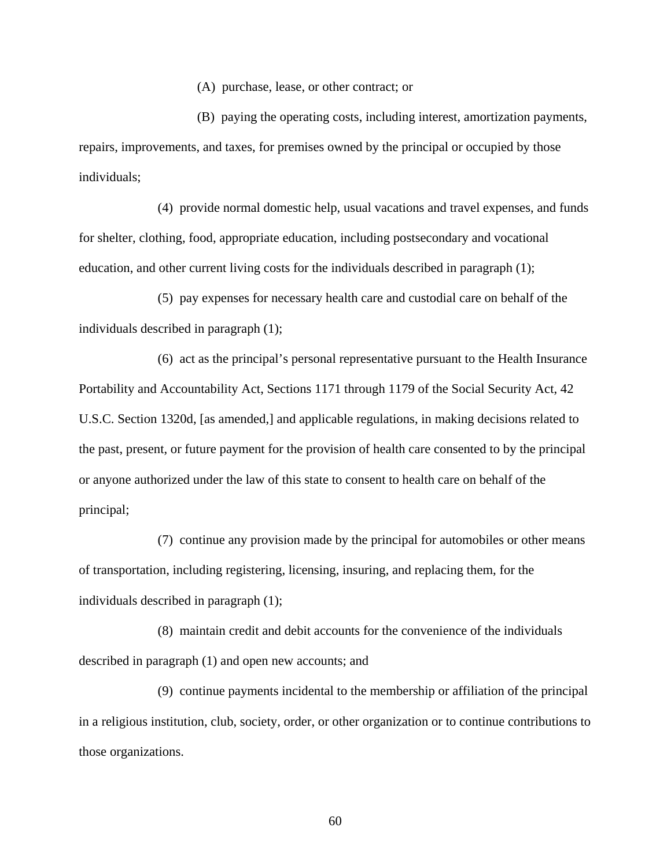(A) purchase, lease, or other contract; or

 (B) paying the operating costs, including interest, amortization payments, repairs, improvements, and taxes, for premises owned by the principal or occupied by those individuals;

 (4) provide normal domestic help, usual vacations and travel expenses, and funds for shelter, clothing, food, appropriate education, including postsecondary and vocational education, and other current living costs for the individuals described in paragraph (1);

 (5) pay expenses for necessary health care and custodial care on behalf of the individuals described in paragraph (1);

 (6) act as the principal's personal representative pursuant to the Health Insurance Portability and Accountability Act, Sections 1171 through 1179 of the Social Security Act, 42 U.S.C. Section 1320d, [as amended,] and applicable regulations, in making decisions related to the past, present, or future payment for the provision of health care consented to by the principal or anyone authorized under the law of this state to consent to health care on behalf of the principal;

 (7) continue any provision made by the principal for automobiles or other means of transportation, including registering, licensing, insuring, and replacing them, for the individuals described in paragraph (1);

 (8) maintain credit and debit accounts for the convenience of the individuals described in paragraph (1) and open new accounts; and

 (9) continue payments incidental to the membership or affiliation of the principal in a religious institution, club, society, order, or other organization or to continue contributions to those organizations.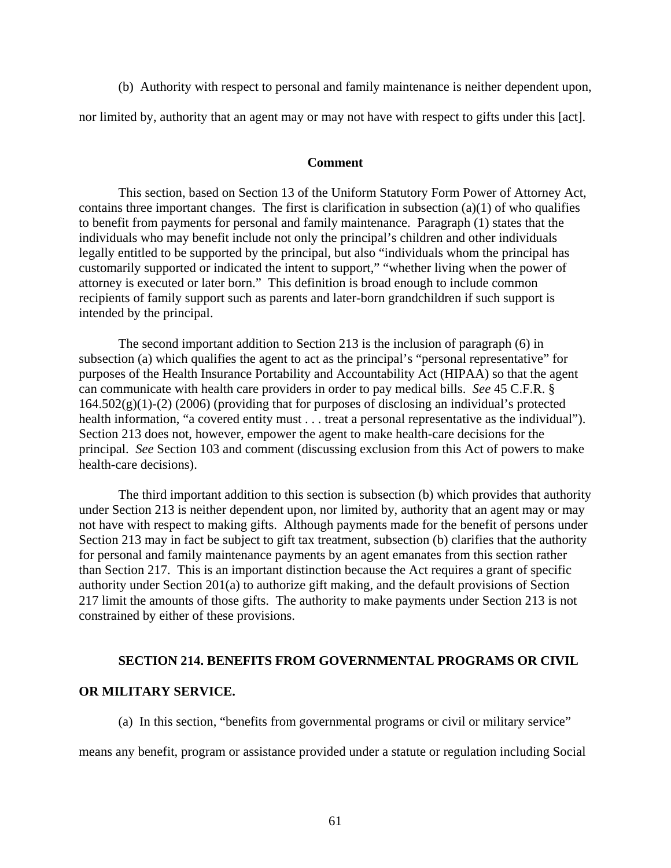(b) Authority with respect to personal and family maintenance is neither dependent upon,

nor limited by, authority that an agent may or may not have with respect to gifts under this [act].

#### **Comment**

 This section, based on Section 13 of the Uniform Statutory Form Power of Attorney Act, contains three important changes. The first is clarification in subsection  $(a)(1)$  of who qualifies to benefit from payments for personal and family maintenance. Paragraph (1) states that the individuals who may benefit include not only the principal's children and other individuals legally entitled to be supported by the principal, but also "individuals whom the principal has customarily supported or indicated the intent to support," "whether living when the power of attorney is executed or later born." This definition is broad enough to include common recipients of family support such as parents and later-born grandchildren if such support is intended by the principal.

 The second important addition to Section 213 is the inclusion of paragraph (6) in subsection (a) which qualifies the agent to act as the principal's "personal representative" for purposes of the Health Insurance Portability and Accountability Act (HIPAA) so that the agent can communicate with health care providers in order to pay medical bills. *See* 45 C.F.R. §  $164.502(g)(1)-(2)$  (2006) (providing that for purposes of disclosing an individual's protected health information, "a covered entity must . . . treat a personal representative as the individual"). Section 213 does not, however, empower the agent to make health-care decisions for the principal. *See* Section 103 and comment (discussing exclusion from this Act of powers to make health-care decisions).

 The third important addition to this section is subsection (b) which provides that authority under Section 213 is neither dependent upon, nor limited by, authority that an agent may or may not have with respect to making gifts. Although payments made for the benefit of persons under Section 213 may in fact be subject to gift tax treatment, subsection (b) clarifies that the authority for personal and family maintenance payments by an agent emanates from this section rather than Section 217. This is an important distinction because the Act requires a grant of specific authority under Section 201(a) to authorize gift making, and the default provisions of Section 217 limit the amounts of those gifts. The authority to make payments under Section 213 is not constrained by either of these provisions.

#### **SECTION 214. BENEFITS FROM GOVERNMENTAL PROGRAMS OR CIVIL**

## **OR MILITARY SERVICE.**

(a) In this section, "benefits from governmental programs or civil or military service"

means any benefit, program or assistance provided under a statute or regulation including Social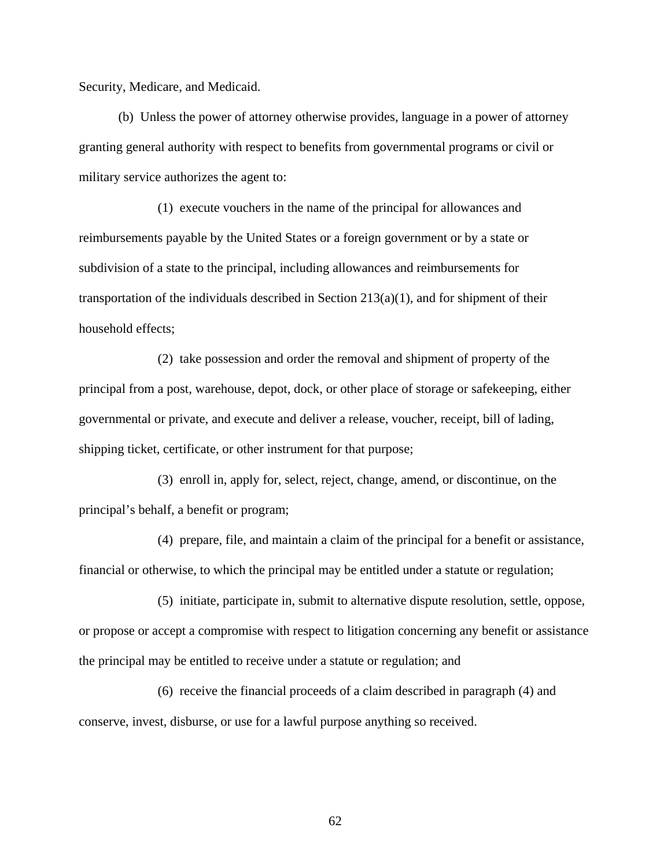Security, Medicare, and Medicaid.

 (b) Unless the power of attorney otherwise provides, language in a power of attorney granting general authority with respect to benefits from governmental programs or civil or military service authorizes the agent to:

 (1) execute vouchers in the name of the principal for allowances and reimbursements payable by the United States or a foreign government or by a state or subdivision of a state to the principal, including allowances and reimbursements for transportation of the individuals described in Section  $213(a)(1)$ , and for shipment of their household effects;

 (2) take possession and order the removal and shipment of property of the principal from a post, warehouse, depot, dock, or other place of storage or safekeeping, either governmental or private, and execute and deliver a release, voucher, receipt, bill of lading, shipping ticket, certificate, or other instrument for that purpose;

 (3) enroll in, apply for, select, reject, change, amend, or discontinue, on the principal's behalf, a benefit or program;

 (4) prepare, file, and maintain a claim of the principal for a benefit or assistance, financial or otherwise, to which the principal may be entitled under a statute or regulation;

 (5) initiate, participate in, submit to alternative dispute resolution, settle, oppose, or propose or accept a compromise with respect to litigation concerning any benefit or assistance the principal may be entitled to receive under a statute or regulation; and

 (6) receive the financial proceeds of a claim described in paragraph (4) and conserve, invest, disburse, or use for a lawful purpose anything so received.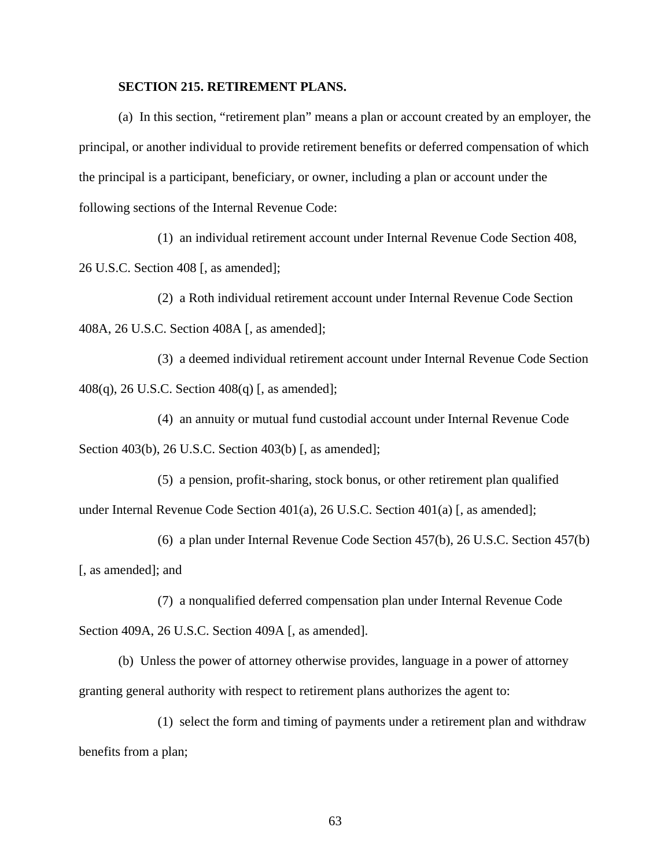#### **SECTION 215. RETIREMENT PLANS.**

(a) In this section, "retirement plan" means a plan or account created by an employer, the principal, or another individual to provide retirement benefits or deferred compensation of which the principal is a participant, beneficiary, or owner, including a plan or account under the following sections of the Internal Revenue Code:

 (1) an individual retirement account under Internal Revenue Code Section 408, 26 U.S.C. Section 408 [, as amended];

 (2) a Roth individual retirement account under Internal Revenue Code Section 408A, 26 U.S.C. Section 408A [, as amended];

 (3) a deemed individual retirement account under Internal Revenue Code Section 408(q), 26 U.S.C. Section 408(q) [, as amended];

 (4) an annuity or mutual fund custodial account under Internal Revenue Code Section 403(b), 26 U.S.C. Section 403(b) [, as amended];

 (5) a pension, profit-sharing, stock bonus, or other retirement plan qualified under Internal Revenue Code Section 401(a), 26 U.S.C. Section 401(a) [, as amended];

 (6) a plan under Internal Revenue Code Section 457(b), 26 U.S.C. Section 457(b) [, as amended]; and

 (7) a nonqualified deferred compensation plan under Internal Revenue Code Section 409A, 26 U.S.C. Section 409A [, as amended].

 (b) Unless the power of attorney otherwise provides, language in a power of attorney granting general authority with respect to retirement plans authorizes the agent to:

 (1) select the form and timing of payments under a retirement plan and withdraw benefits from a plan;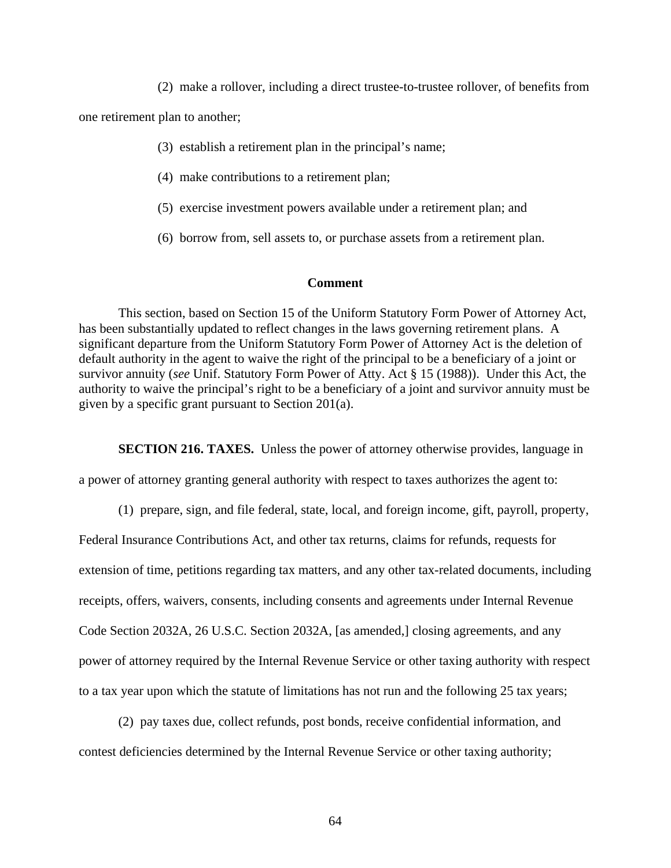(2) make a rollover, including a direct trustee-to-trustee rollover, of benefits from

one retirement plan to another;

- (3) establish a retirement plan in the principal's name;
- (4) make contributions to a retirement plan;
- (5) exercise investment powers available under a retirement plan; and
- (6) borrow from, sell assets to, or purchase assets from a retirement plan.

## **Comment**

 This section, based on Section 15 of the Uniform Statutory Form Power of Attorney Act, has been substantially updated to reflect changes in the laws governing retirement plans. A significant departure from the Uniform Statutory Form Power of Attorney Act is the deletion of default authority in the agent to waive the right of the principal to be a beneficiary of a joint or survivor annuity (*see* Unif. Statutory Form Power of Atty. Act § 15 (1988)). Under this Act, the authority to waive the principal's right to be a beneficiary of a joint and survivor annuity must be given by a specific grant pursuant to Section 201(a).

**SECTION 216. TAXES.** Unless the power of attorney otherwise provides, language in

a power of attorney granting general authority with respect to taxes authorizes the agent to:

(1) prepare, sign, and file federal, state, local, and foreign income, gift, payroll, property,

Federal Insurance Contributions Act, and other tax returns, claims for refunds, requests for extension of time, petitions regarding tax matters, and any other tax-related documents, including receipts, offers, waivers, consents, including consents and agreements under Internal Revenue Code Section 2032A, 26 U.S.C. Section 2032A, [as amended,] closing agreements, and any power of attorney required by the Internal Revenue Service or other taxing authority with respect to a tax year upon which the statute of limitations has not run and the following 25 tax years;

 (2) pay taxes due, collect refunds, post bonds, receive confidential information, and contest deficiencies determined by the Internal Revenue Service or other taxing authority;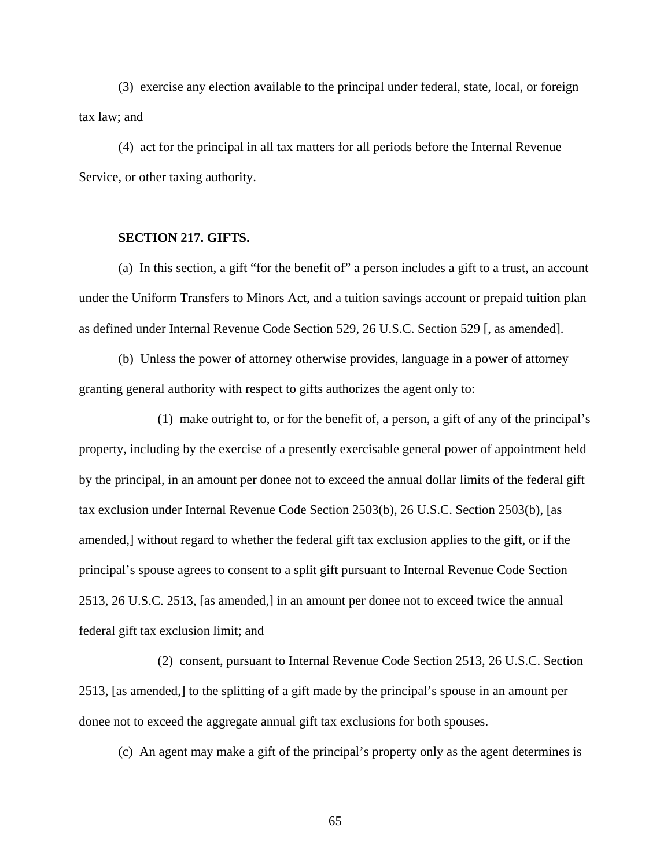(3) exercise any election available to the principal under federal, state, local, or foreign tax law; and

 (4) act for the principal in all tax matters for all periods before the Internal Revenue Service, or other taxing authority.

## **SECTION 217. GIFTS.**

 (a) In this section, a gift "for the benefit of" a person includes a gift to a trust, an account under the Uniform Transfers to Minors Act, and a tuition savings account or prepaid tuition plan as defined under Internal Revenue Code Section 529, 26 U.S.C. Section 529 [, as amended].

 (b) Unless the power of attorney otherwise provides, language in a power of attorney granting general authority with respect to gifts authorizes the agent only to:

 (1) make outright to, or for the benefit of, a person, a gift of any of the principal's property, including by the exercise of a presently exercisable general power of appointment held by the principal, in an amount per donee not to exceed the annual dollar limits of the federal gift tax exclusion under Internal Revenue Code Section 2503(b), 26 U.S.C. Section 2503(b), [as amended,] without regard to whether the federal gift tax exclusion applies to the gift, or if the principal's spouse agrees to consent to a split gift pursuant to Internal Revenue Code Section 2513, 26 U.S.C. 2513, [as amended,] in an amount per donee not to exceed twice the annual federal gift tax exclusion limit; and

 (2) consent, pursuant to Internal Revenue Code Section 2513, 26 U.S.C. Section 2513, [as amended,] to the splitting of a gift made by the principal's spouse in an amount per donee not to exceed the aggregate annual gift tax exclusions for both spouses.

(c) An agent may make a gift of the principal's property only as the agent determines is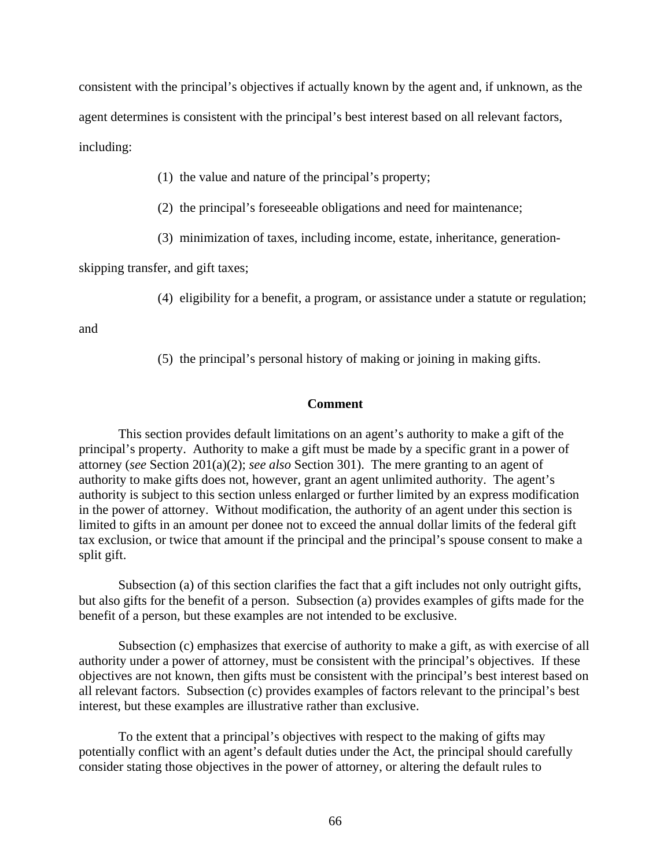consistent with the principal's objectives if actually known by the agent and, if unknown, as the agent determines is consistent with the principal's best interest based on all relevant factors, including:

(1) the value and nature of the principal's property;

(2) the principal's foreseeable obligations and need for maintenance;

(3) minimization of taxes, including income, estate, inheritance, generation-

skipping transfer, and gift taxes;

(4) eligibility for a benefit, a program, or assistance under a statute or regulation;

and

(5) the principal's personal history of making or joining in making gifts.

# **Comment**

 This section provides default limitations on an agent's authority to make a gift of the principal's property. Authority to make a gift must be made by a specific grant in a power of attorney (*see* Section 201(a)(2); *see also* Section 301). The mere granting to an agent of authority to make gifts does not, however, grant an agent unlimited authority. The agent's authority is subject to this section unless enlarged or further limited by an express modification in the power of attorney. Without modification, the authority of an agent under this section is limited to gifts in an amount per donee not to exceed the annual dollar limits of the federal gift tax exclusion, or twice that amount if the principal and the principal's spouse consent to make a split gift.

 Subsection (a) of this section clarifies the fact that a gift includes not only outright gifts, but also gifts for the benefit of a person. Subsection (a) provides examples of gifts made for the benefit of a person, but these examples are not intended to be exclusive.

 Subsection (c) emphasizes that exercise of authority to make a gift, as with exercise of all authority under a power of attorney, must be consistent with the principal's objectives. If these objectives are not known, then gifts must be consistent with the principal's best interest based on all relevant factors. Subsection (c) provides examples of factors relevant to the principal's best interest, but these examples are illustrative rather than exclusive.

 To the extent that a principal's objectives with respect to the making of gifts may potentially conflict with an agent's default duties under the Act, the principal should carefully consider stating those objectives in the power of attorney, or altering the default rules to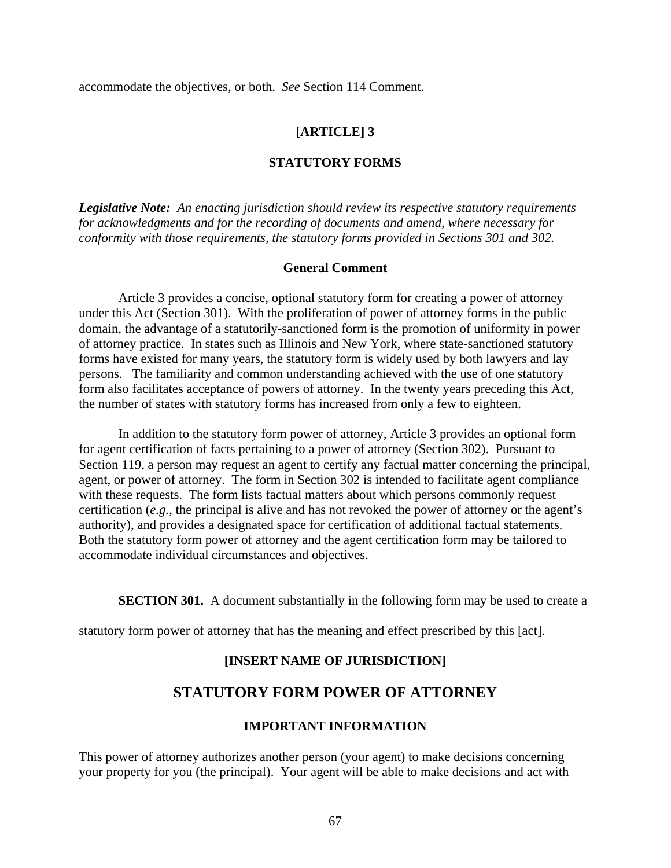accommodate the objectives, or both. *See* Section 114 Comment.

# **[ARTICLE] 3**

# **STATUTORY FORMS**

*Legislative Note: An enacting jurisdiction should review its respective statutory requirements for acknowledgments and for the recording of documents and amend, where necessary for conformity with those requirements, the statutory forms provided in Sections 301 and 302.* 

# **General Comment**

 Article 3 provides a concise, optional statutory form for creating a power of attorney under this Act (Section 301). With the proliferation of power of attorney forms in the public domain, the advantage of a statutorily-sanctioned form is the promotion of uniformity in power of attorney practice. In states such as Illinois and New York, where state-sanctioned statutory forms have existed for many years, the statutory form is widely used by both lawyers and lay persons. The familiarity and common understanding achieved with the use of one statutory form also facilitates acceptance of powers of attorney. In the twenty years preceding this Act, the number of states with statutory forms has increased from only a few to eighteen.

 In addition to the statutory form power of attorney, Article 3 provides an optional form for agent certification of facts pertaining to a power of attorney (Section 302). Pursuant to Section 119, a person may request an agent to certify any factual matter concerning the principal, agent, or power of attorney. The form in Section 302 is intended to facilitate agent compliance with these requests. The form lists factual matters about which persons commonly request certification (*e.g.*, the principal is alive and has not revoked the power of attorney or the agent's authority), and provides a designated space for certification of additional factual statements. Both the statutory form power of attorney and the agent certification form may be tailored to accommodate individual circumstances and objectives.

**SECTION 301.** A document substantially in the following form may be used to create a

statutory form power of attorney that has the meaning and effect prescribed by this [act].

# **[INSERT NAME OF JURISDICTION]**

# **STATUTORY FORM POWER OF ATTORNEY**

# **IMPORTANT INFORMATION**

This power of attorney authorizes another person (your agent) to make decisions concerning your property for you (the principal). Your agent will be able to make decisions and act with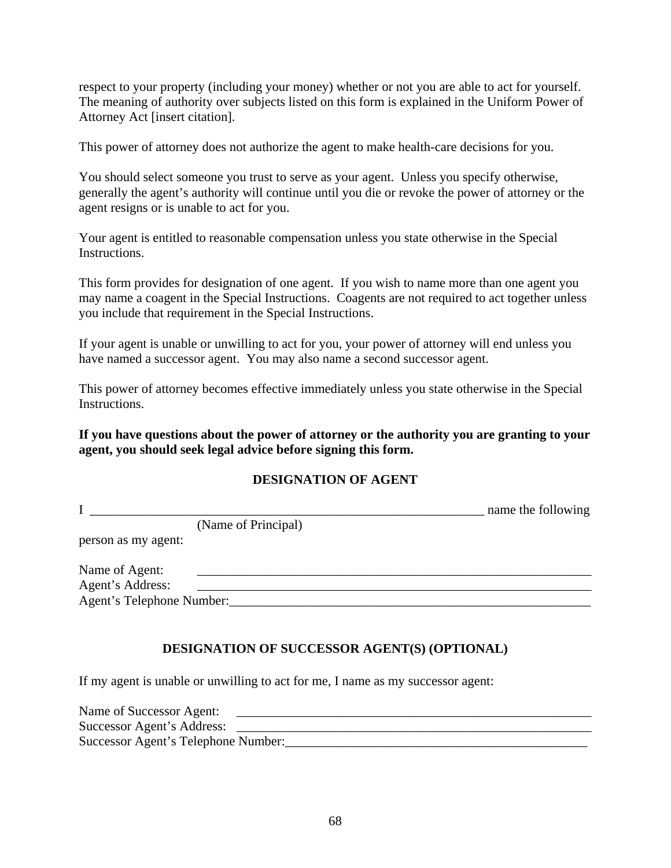respect to your property (including your money) whether or not you are able to act for yourself. The meaning of authority over subjects listed on this form is explained in the Uniform Power of Attorney Act [insert citation].

This power of attorney does not authorize the agent to make health-care decisions for you.

You should select someone you trust to serve as your agent. Unless you specify otherwise, generally the agent's authority will continue until you die or revoke the power of attorney or the agent resigns or is unable to act for you.

Your agent is entitled to reasonable compensation unless you state otherwise in the Special Instructions.

This form provides for designation of one agent. If you wish to name more than one agent you may name a coagent in the Special Instructions. Coagents are not required to act together unless you include that requirement in the Special Instructions.

If your agent is unable or unwilling to act for you, your power of attorney will end unless you have named a successor agent. You may also name a second successor agent.

This power of attorney becomes effective immediately unless you state otherwise in the Special Instructions.

**If you have questions about the power of attorney or the authority you are granting to your agent, you should seek legal advice before signing this form.**

### **DESIGNATION OF AGENT**

|                           | name the following |
|---------------------------|--------------------|
| (Name of Principal)       |                    |
| person as my agent:       |                    |
| Name of Agent:            |                    |
| Agent's Address:          |                    |
| Agent's Telephone Number: |                    |

### **DESIGNATION OF SUCCESSOR AGENT(S) (OPTIONAL)**

If my agent is unable or unwilling to act for me, I name as my successor agent:

| Name of Successor Agent:            |  |
|-------------------------------------|--|
| Successor Agent's Address:          |  |
| Successor Agent's Telephone Number: |  |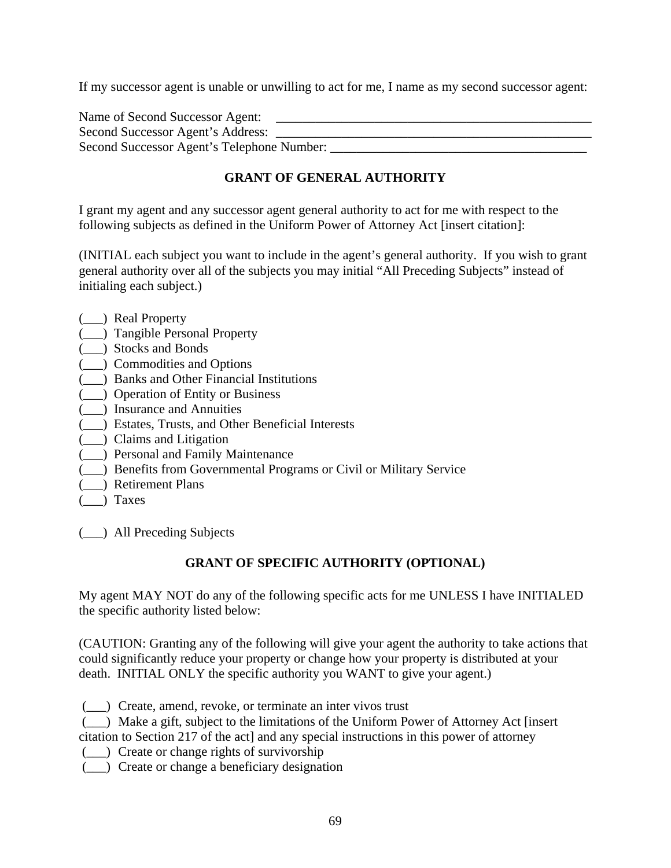If my successor agent is unable or unwilling to act for me, I name as my second successor agent:

| Name of Second Successor Agent:            |  |
|--------------------------------------------|--|
| Second Successor Agent's Address:          |  |
| Second Successor Agent's Telephone Number: |  |

## **GRANT OF GENERAL AUTHORITY**

I grant my agent and any successor agent general authority to act for me with respect to the following subjects as defined in the Uniform Power of Attorney Act [insert citation]:

(INITIAL each subject you want to include in the agent's general authority. If you wish to grant general authority over all of the subjects you may initial "All Preceding Subjects" instead of initialing each subject.)

- (\_\_\_) Real Property
- (\_\_\_) Tangible Personal Property
- (\_\_\_) Stocks and Bonds
- (\_\_\_) Commodities and Options
- (\_\_\_) Banks and Other Financial Institutions
- (\_\_\_) Operation of Entity or Business
- (\_\_\_) Insurance and Annuities
- (\_\_\_) Estates, Trusts, and Other Beneficial Interests
- (\_\_\_) Claims and Litigation
- (\_\_\_) Personal and Family Maintenance
- (\_\_\_) Benefits from Governmental Programs or Civil or Military Service
- (\_\_\_) Retirement Plans
- (\_\_\_) Taxes
- (\_\_\_) All Preceding Subjects

# **GRANT OF SPECIFIC AUTHORITY (OPTIONAL)**

My agent MAY NOT do any of the following specific acts for me UNLESS I have INITIALED the specific authority listed below:

(CAUTION: Granting any of the following will give your agent the authority to take actions that could significantly reduce your property or change how your property is distributed at your death. INITIAL ONLY the specific authority you WANT to give your agent.)

(\_\_\_) Create, amend, revoke, or terminate an inter vivos trust

(\_\_\_) Make a gift, subject to the limitations of the Uniform Power of Attorney Act [insert

citation to Section 217 of the act] and any special instructions in this power of attorney

- (\_\_\_) Create or change rights of survivorship
- (\_\_\_) Create or change a beneficiary designation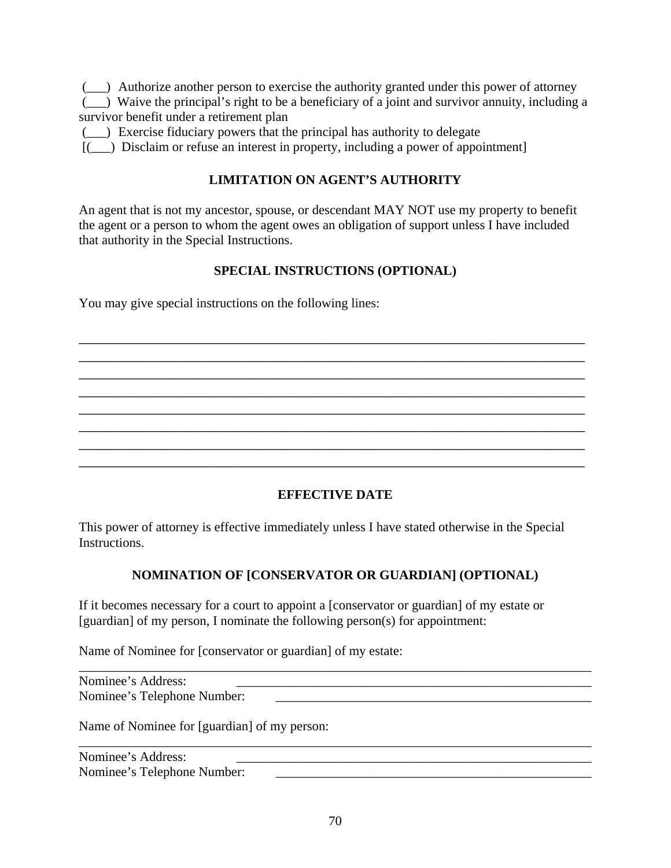(\_\_\_) Authorize another person to exercise the authority granted under this power of attorney

 (\_\_\_) Waive the principal's right to be a beneficiary of a joint and survivor annuity, including a survivor benefit under a retirement plan

(\_\_\_) Exercise fiduciary powers that the principal has authority to delegate

 $\overline{(\hspace{-.08in}(1\hspace{-.08in})\hspace{-.08in})}$  Disclaim or refuse an interest in property, including a power of appointment]

## **LIMITATION ON AGENT'S AUTHORITY**

An agent that is not my ancestor, spouse, or descendant MAY NOT use my property to benefit the agent or a person to whom the agent owes an obligation of support unless I have included that authority in the Special Instructions.

## **SPECIAL INSTRUCTIONS (OPTIONAL)**

\_\_\_\_\_\_\_\_\_\_\_\_\_\_\_\_\_\_\_\_\_\_\_\_\_\_\_\_\_\_\_\_\_\_\_\_\_\_\_\_\_\_\_\_\_\_\_\_\_\_\_\_\_\_\_\_\_\_\_\_\_\_\_\_\_\_ \_\_\_\_\_\_\_\_\_\_\_\_\_\_\_\_\_\_\_\_\_\_\_\_\_\_\_\_\_\_\_\_\_\_\_\_\_\_\_\_\_\_\_\_\_\_\_\_\_\_\_\_\_\_\_\_\_\_\_\_\_\_\_\_\_\_ \_\_\_\_\_\_\_\_\_\_\_\_\_\_\_\_\_\_\_\_\_\_\_\_\_\_\_\_\_\_\_\_\_\_\_\_\_\_\_\_\_\_\_\_\_\_\_\_\_\_\_\_\_\_\_\_\_\_\_\_\_\_\_\_\_\_ \_\_\_\_\_\_\_\_\_\_\_\_\_\_\_\_\_\_\_\_\_\_\_\_\_\_\_\_\_\_\_\_\_\_\_\_\_\_\_\_\_\_\_\_\_\_\_\_\_\_\_\_\_\_\_\_\_\_\_\_\_\_\_\_\_\_ \_\_\_\_\_\_\_\_\_\_\_\_\_\_\_\_\_\_\_\_\_\_\_\_\_\_\_\_\_\_\_\_\_\_\_\_\_\_\_\_\_\_\_\_\_\_\_\_\_\_\_\_\_\_\_\_\_\_\_\_\_\_\_\_\_\_ \_\_\_\_\_\_\_\_\_\_\_\_\_\_\_\_\_\_\_\_\_\_\_\_\_\_\_\_\_\_\_\_\_\_\_\_\_\_\_\_\_\_\_\_\_\_\_\_\_\_\_\_\_\_\_\_\_\_\_\_\_\_\_\_\_\_ \_\_\_\_\_\_\_\_\_\_\_\_\_\_\_\_\_\_\_\_\_\_\_\_\_\_\_\_\_\_\_\_\_\_\_\_\_\_\_\_\_\_\_\_\_\_\_\_\_\_\_\_\_\_\_\_\_\_\_\_\_\_\_\_\_\_ \_\_\_\_\_\_\_\_\_\_\_\_\_\_\_\_\_\_\_\_\_\_\_\_\_\_\_\_\_\_\_\_\_\_\_\_\_\_\_\_\_\_\_\_\_\_\_\_\_\_\_\_\_\_\_\_\_\_\_\_\_\_\_\_\_\_

You may give special instructions on the following lines:

# **EFFECTIVE DATE**

This power of attorney is effective immediately unless I have stated otherwise in the Special Instructions.

## **NOMINATION OF [CONSERVATOR OR GUARDIAN] (OPTIONAL)**

\_\_\_\_\_\_\_\_\_\_\_\_\_\_\_\_\_\_\_\_\_\_\_\_\_\_\_\_\_\_\_\_\_\_\_\_\_\_\_\_\_\_\_\_\_\_\_\_\_\_\_\_\_\_\_\_\_\_\_\_\_\_\_\_\_\_\_\_\_\_\_\_\_\_\_\_\_\_

If it becomes necessary for a court to appoint a [conservator or guardian] of my estate or [guardian] of my person, I nominate the following person(s) for appointment:

Name of Nominee for [conservator or guardian] of my estate:

Nominee's Address: Nominee's Telephone Number:

Name of Nominee for [guardian] of my person:

Nominee's Address: Nominee's Telephone Number: \_\_\_\_\_\_\_\_\_\_\_\_\_\_\_\_\_\_\_\_\_\_\_\_\_\_\_\_\_\_\_\_\_\_\_\_\_\_\_\_\_\_\_\_\_\_\_\_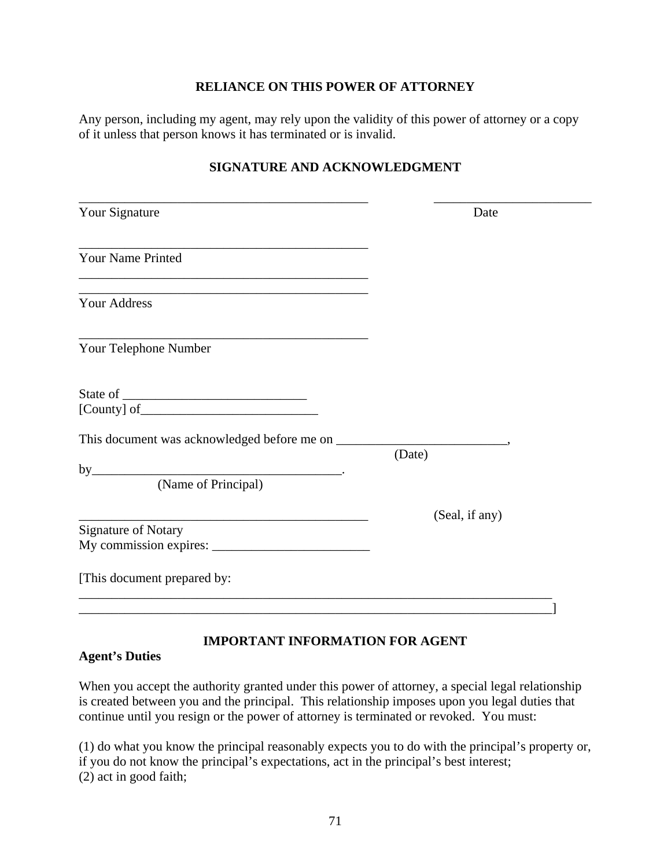### **RELIANCE ON THIS POWER OF ATTORNEY**

Any person, including my agent, may rely upon the validity of this power of attorney or a copy of it unless that person knows it has terminated or is invalid.

| Date |                                                                                    |
|------|------------------------------------------------------------------------------------|
|      |                                                                                    |
|      |                                                                                    |
|      |                                                                                    |
|      |                                                                                    |
|      |                                                                                    |
|      |                                                                                    |
|      |                                                                                    |
|      |                                                                                    |
|      |                                                                                    |
|      |                                                                                    |
|      |                                                                                    |
|      |                                                                                    |
|      |                                                                                    |
|      | This document was acknowledged before me on __________<br>(Date)<br>(Seal, if any) |

## **IMPORTANT INFORMATION FOR AGENT**

### **Agent's Duties**

When you accept the authority granted under this power of attorney, a special legal relationship is created between you and the principal. This relationship imposes upon you legal duties that continue until you resign or the power of attorney is terminated or revoked. You must:

(1) do what you know the principal reasonably expects you to do with the principal's property or, if you do not know the principal's expectations, act in the principal's best interest; (2) act in good faith;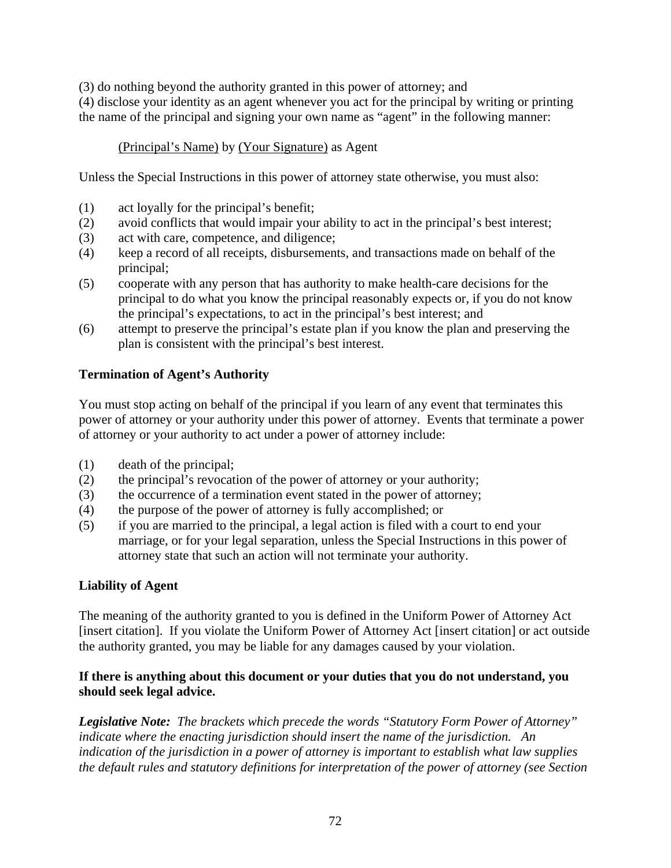(3) do nothing beyond the authority granted in this power of attorney; and

(4) disclose your identity as an agent whenever you act for the principal by writing or printing the name of the principal and signing your own name as "agent" in the following manner:

## (Principal's Name) by (Your Signature) as Agent

Unless the Special Instructions in this power of attorney state otherwise, you must also:

- (1) act loyally for the principal's benefit;
- (2) avoid conflicts that would impair your ability to act in the principal's best interest;
- (3) act with care, competence, and diligence;
- (4) keep a record of all receipts, disbursements, and transactions made on behalf of the principal;
- (5) cooperate with any person that has authority to make health-care decisions for the principal to do what you know the principal reasonably expects or, if you do not know the principal's expectations, to act in the principal's best interest; and
- (6) attempt to preserve the principal's estate plan if you know the plan and preserving the plan is consistent with the principal's best interest.

# **Termination of Agent's Authority**

You must stop acting on behalf of the principal if you learn of any event that terminates this power of attorney or your authority under this power of attorney. Events that terminate a power of attorney or your authority to act under a power of attorney include:

- (1) death of the principal;
- (2) the principal's revocation of the power of attorney or your authority;
- (3) the occurrence of a termination event stated in the power of attorney;
- (4) the purpose of the power of attorney is fully accomplished; or
- (5) if you are married to the principal, a legal action is filed with a court to end your marriage, or for your legal separation, unless the Special Instructions in this power of attorney state that such an action will not terminate your authority.

# **Liability of Agent**

The meaning of the authority granted to you is defined in the Uniform Power of Attorney Act [insert citation]. If you violate the Uniform Power of Attorney Act [insert citation] or act outside the authority granted, you may be liable for any damages caused by your violation.

## **If there is anything about this document or your duties that you do not understand, you should seek legal advice.**

*Legislative Note: The brackets which precede the words "Statutory Form Power of Attorney" indicate where the enacting jurisdiction should insert the name of the jurisdiction. An indication of the jurisdiction in a power of attorney is important to establish what law supplies the default rules and statutory definitions for interpretation of the power of attorney (see Section*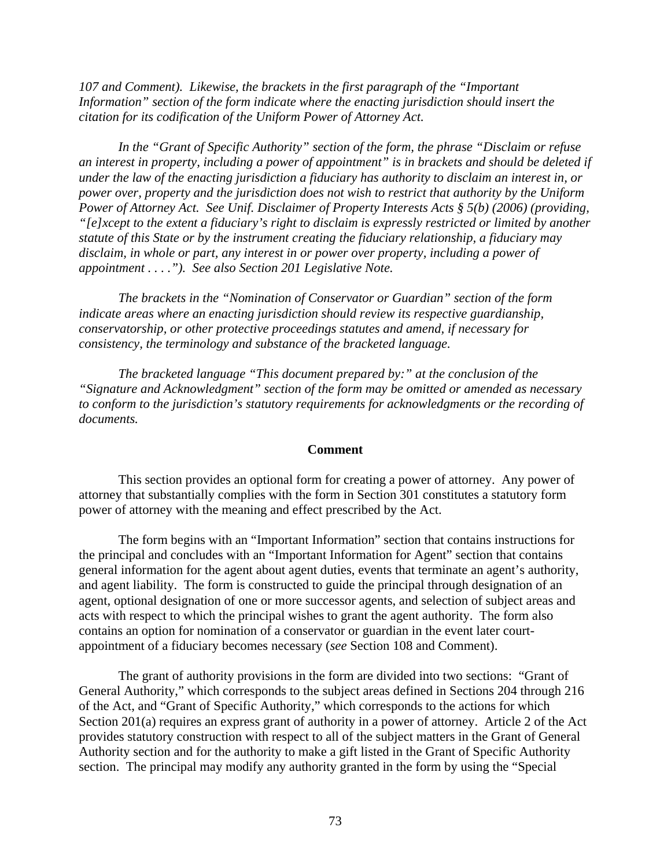*107 and Comment). Likewise, the brackets in the first paragraph of the "Important Information" section of the form indicate where the enacting jurisdiction should insert the citation for its codification of the Uniform Power of Attorney Act.* 

*In the "Grant of Specific Authority" section of the form, the phrase "Disclaim or refuse an interest in property, including a power of appointment" is in brackets and should be deleted if under the law of the enacting jurisdiction a fiduciary has authority to disclaim an interest in, or power over, property and the jurisdiction does not wish to restrict that authority by the Uniform Power of Attorney Act. See Unif. Disclaimer of Property Interests Acts § 5(b) (2006) (providing, "[e]xcept to the extent a fiduciary's right to disclaim is expressly restricted or limited by another statute of this State or by the instrument creating the fiduciary relationship, a fiduciary may disclaim, in whole or part, any interest in or power over property, including a power of appointment . . . ."). See also Section 201 Legislative Note.* 

 *The brackets in the "Nomination of Conservator or Guardian" section of the form indicate areas where an enacting jurisdiction should review its respective guardianship, conservatorship, or other protective proceedings statutes and amend, if necessary for consistency, the terminology and substance of the bracketed language.* 

 *The bracketed language "This document prepared by:" at the conclusion of the "Signature and Acknowledgment" section of the form may be omitted or amended as necessary to conform to the jurisdiction's statutory requirements for acknowledgments or the recording of documents.* 

#### **Comment**

This section provides an optional form for creating a power of attorney. Any power of attorney that substantially complies with the form in Section 301 constitutes a statutory form power of attorney with the meaning and effect prescribed by the Act.

 The form begins with an "Important Information" section that contains instructions for the principal and concludes with an "Important Information for Agent" section that contains general information for the agent about agent duties, events that terminate an agent's authority, and agent liability. The form is constructed to guide the principal through designation of an agent, optional designation of one or more successor agents, and selection of subject areas and acts with respect to which the principal wishes to grant the agent authority. The form also contains an option for nomination of a conservator or guardian in the event later courtappointment of a fiduciary becomes necessary (*see* Section 108 and Comment).

 The grant of authority provisions in the form are divided into two sections: "Grant of General Authority," which corresponds to the subject areas defined in Sections 204 through 216 of the Act, and "Grant of Specific Authority," which corresponds to the actions for which Section 201(a) requires an express grant of authority in a power of attorney. Article 2 of the Act provides statutory construction with respect to all of the subject matters in the Grant of General Authority section and for the authority to make a gift listed in the Grant of Specific Authority section. The principal may modify any authority granted in the form by using the "Special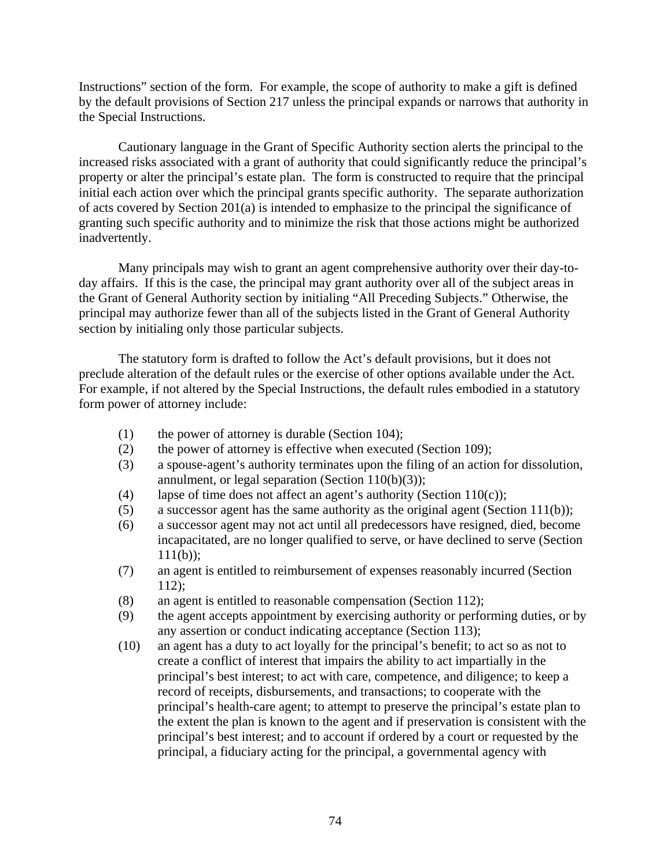Instructions" section of the form. For example, the scope of authority to make a gift is defined by the default provisions of Section 217 unless the principal expands or narrows that authority in the Special Instructions.

 Cautionary language in the Grant of Specific Authority section alerts the principal to the increased risks associated with a grant of authority that could significantly reduce the principal's property or alter the principal's estate plan. The form is constructed to require that the principal initial each action over which the principal grants specific authority. The separate authorization of acts covered by Section 201(a) is intended to emphasize to the principal the significance of granting such specific authority and to minimize the risk that those actions might be authorized inadvertently.

 Many principals may wish to grant an agent comprehensive authority over their day-today affairs. If this is the case, the principal may grant authority over all of the subject areas in the Grant of General Authority section by initialing "All Preceding Subjects." Otherwise, the principal may authorize fewer than all of the subjects listed in the Grant of General Authority section by initialing only those particular subjects.

 The statutory form is drafted to follow the Act's default provisions, but it does not preclude alteration of the default rules or the exercise of other options available under the Act. For example, if not altered by the Special Instructions, the default rules embodied in a statutory form power of attorney include:

- (1) the power of attorney is durable (Section 104);
- (2) the power of attorney is effective when executed (Section 109);
- (3) a spouse-agent's authority terminates upon the filing of an action for dissolution, annulment, or legal separation (Section 110(b)(3));
- (4) lapse of time does not affect an agent's authority (Section 110(c));
- (5) a successor agent has the same authority as the original agent (Section 111(b));
- (6) a successor agent may not act until all predecessors have resigned, died, become incapacitated, are no longer qualified to serve, or have declined to serve (Section  $111(b)$ :
- (7) an agent is entitled to reimbursement of expenses reasonably incurred (Section 112);
- (8) an agent is entitled to reasonable compensation (Section 112);
- (9) the agent accepts appointment by exercising authority or performing duties, or by any assertion or conduct indicating acceptance (Section 113);
- (10) an agent has a duty to act loyally for the principal's benefit; to act so as not to create a conflict of interest that impairs the ability to act impartially in the principal's best interest; to act with care, competence, and diligence; to keep a record of receipts, disbursements, and transactions; to cooperate with the principal's health-care agent; to attempt to preserve the principal's estate plan to the extent the plan is known to the agent and if preservation is consistent with the principal's best interest; and to account if ordered by a court or requested by the principal, a fiduciary acting for the principal, a governmental agency with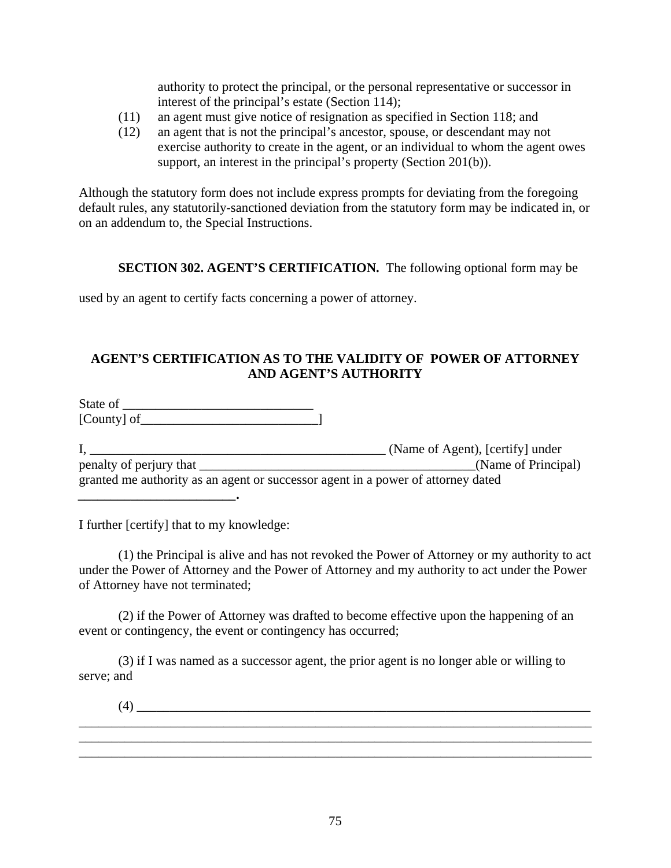authority to protect the principal, or the personal representative or successor in interest of the principal's estate (Section 114);

- (11) an agent must give notice of resignation as specified in Section 118; and
- (12) an agent that is not the principal's ancestor, spouse, or descendant may not exercise authority to create in the agent, or an individual to whom the agent owes support, an interest in the principal's property (Section 201(b)).

Although the statutory form does not include express prompts for deviating from the foregoing default rules, any statutorily-sanctioned deviation from the statutory form may be indicated in, or on an addendum to, the Special Instructions.

### **SECTION 302. AGENT'S CERTIFICATION.** The following optional form may be

used by an agent to certify facts concerning a power of attorney.

## **AGENT'S CERTIFICATION AS TO THE VALIDITY OF POWER OF ATTORNEY AND AGENT'S AUTHORITY**

State of \_\_\_\_\_\_\_\_\_\_\_\_\_\_\_\_\_\_\_\_\_\_\_\_\_\_\_\_\_ [County] of\_\_\_\_\_\_\_\_\_\_\_\_\_\_\_\_\_\_\_\_\_\_\_\_\_\_\_]

I, \_\_\_\_\_\_\_\_\_\_\_\_\_\_\_\_\_\_\_\_\_\_\_\_\_\_\_\_\_\_\_\_\_\_\_\_\_\_\_\_\_\_\_\_\_ (Name of Agent), [certify] under penalty of perjury that \_\_\_\_\_\_\_\_\_\_\_\_\_\_\_\_\_\_\_\_\_\_\_\_\_\_\_\_\_\_\_\_\_\_\_\_\_\_\_\_\_\_(Name of Principal) granted me authority as an agent or successor agent in a power of attorney dated

I further [certify] that to my knowledge:

*\_\_\_\_\_\_\_\_\_\_\_\_\_\_\_\_\_\_\_\_\_\_\_\_.*

 (1) the Principal is alive and has not revoked the Power of Attorney or my authority to act under the Power of Attorney and the Power of Attorney and my authority to act under the Power of Attorney have not terminated;

 (2) if the Power of Attorney was drafted to become effective upon the happening of an event or contingency, the event or contingency has occurred;

 (3) if I was named as a successor agent, the prior agent is no longer able or willing to serve; and

 $(4)$ 

\_\_\_\_\_\_\_\_\_\_\_\_\_\_\_\_\_\_\_\_\_\_\_\_\_\_\_\_\_\_\_\_\_\_\_\_\_\_\_\_\_\_\_\_\_\_\_\_\_\_\_\_\_\_\_\_\_\_\_\_\_\_\_\_\_\_\_\_\_\_\_\_\_\_\_\_\_\_ \_\_\_\_\_\_\_\_\_\_\_\_\_\_\_\_\_\_\_\_\_\_\_\_\_\_\_\_\_\_\_\_\_\_\_\_\_\_\_\_\_\_\_\_\_\_\_\_\_\_\_\_\_\_\_\_\_\_\_\_\_\_\_\_\_\_\_\_\_\_\_\_\_\_\_\_\_\_ \_\_\_\_\_\_\_\_\_\_\_\_\_\_\_\_\_\_\_\_\_\_\_\_\_\_\_\_\_\_\_\_\_\_\_\_\_\_\_\_\_\_\_\_\_\_\_\_\_\_\_\_\_\_\_\_\_\_\_\_\_\_\_\_\_\_\_\_\_\_\_\_\_\_\_\_\_\_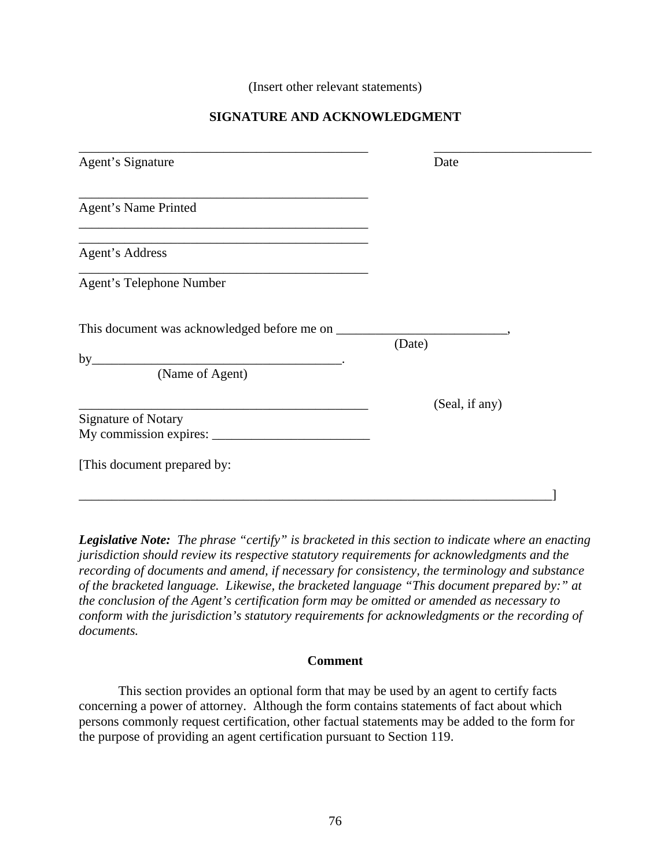(Insert other relevant statements)

### **SIGNATURE AND ACKNOWLEDGMENT**

| <b>Agent's Signature</b>                          | Date           |  |
|---------------------------------------------------|----------------|--|
|                                                   |                |  |
| <b>Agent's Name Printed</b>                       |                |  |
| Agent's Address                                   |                |  |
| Agent's Telephone Number                          |                |  |
| This document was acknowledged before me on _____ | (Date)         |  |
| $by_$                                             |                |  |
| (Name of Agent)                                   |                |  |
|                                                   | (Seal, if any) |  |
| <b>Signature of Notary</b>                        |                |  |
|                                                   |                |  |
| [This document prepared by:                       |                |  |
|                                                   |                |  |

*Legislative Note: The phrase "certify" is bracketed in this section to indicate where an enacting jurisdiction should review its respective statutory requirements for acknowledgments and the recording of documents and amend, if necessary for consistency, the terminology and substance of the bracketed language. Likewise, the bracketed language "This document prepared by:" at the conclusion of the Agent's certification form may be omitted or amended as necessary to conform with the jurisdiction's statutory requirements for acknowledgments or the recording of documents.* 

#### **Comment**

 This section provides an optional form that may be used by an agent to certify facts concerning a power of attorney. Although the form contains statements of fact about which persons commonly request certification, other factual statements may be added to the form for the purpose of providing an agent certification pursuant to Section 119.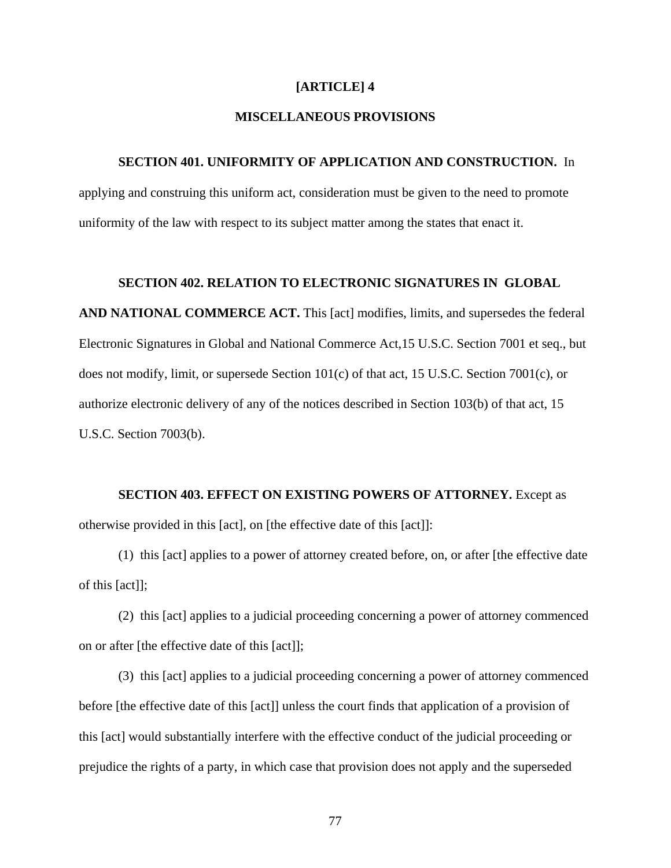#### **[ARTICLE] 4**

### **MISCELLANEOUS PROVISIONS**

#### **SECTION 401. UNIFORMITY OF APPLICATION AND CONSTRUCTION.** In

applying and construing this uniform act, consideration must be given to the need to promote uniformity of the law with respect to its subject matter among the states that enact it.

### **SECTION 402. RELATION TO ELECTRONIC SIGNATURES IN GLOBAL**

**AND NATIONAL COMMERCE ACT.** This [act] modifies, limits, and supersedes the federal Electronic Signatures in Global and National Commerce Act,15 U.S.C. Section 7001 et seq., but does not modify, limit, or supersede Section 101(c) of that act, 15 U.S.C. Section 7001(c), or authorize electronic delivery of any of the notices described in Section 103(b) of that act, 15 U.S.C. Section 7003(b).

#### **SECTION 403. EFFECT ON EXISTING POWERS OF ATTORNEY.** Except as

otherwise provided in this [act], on [the effective date of this [act]]:

 (1) this [act] applies to a power of attorney created before, on, or after [the effective date of this [act]];

 (2) this [act] applies to a judicial proceeding concerning a power of attorney commenced on or after [the effective date of this [act]];

 (3) this [act] applies to a judicial proceeding concerning a power of attorney commenced before [the effective date of this [act]] unless the court finds that application of a provision of this [act] would substantially interfere with the effective conduct of the judicial proceeding or prejudice the rights of a party, in which case that provision does not apply and the superseded

77